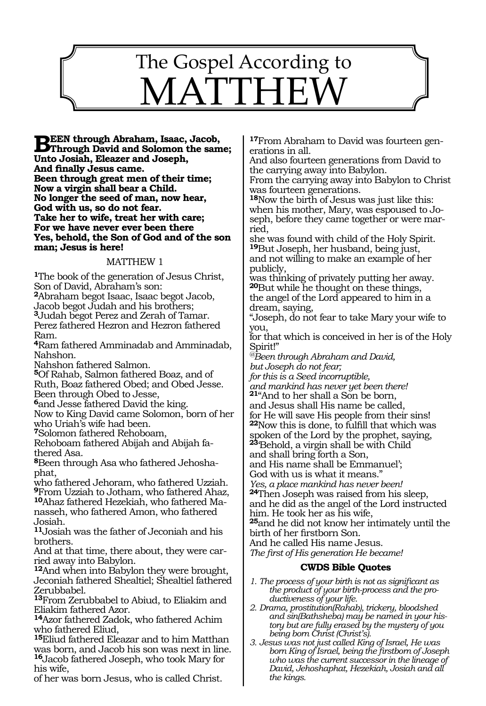

**BEEN through Abraham, Isaac, Jacob,**<br> **Phrough David and Solomon the same;**<br> **Thate Isabel Eleases and Jacoph Unto Josiah, Eleazer and Joseph, And finally Jesus came. Been through great men of their time; Now a virgin shall bear a Child. No longer the seed of man, now hear, God with us, so do not fear. Take her to wife, treat her with care; For we have never ever been there Yes, behold, the Son of God and of the son man; Jesus is here!**

#### MATTHEW 1

**<sup>1</sup>**The book of the generation of Jesus Christ, Son of David, Abraham's son:

**<sup>2</sup>**Abraham begot Isaac, Isaac begot Jacob,

Jacob begot Judah and his brothers;

**<sup>3</sup>**Judah begot Perez and Zerah of Tamar. Perez fathered Hezron and Hezron fathered Ram.

**<sup>4</sup>**Ram fathered Amminadab and Amminadab, Nahshon.

Nahshon fathered Salmon.

**<sup>5</sup>**Of Rahab, Salmon fathered Boaz, and of Ruth, Boaz fathered Obed; and Obed Jesse.

Been through Obed to Jesse,

**<sup>6</sup>**and Jesse fathered David the king.

Now to King David came Solomon, born of her who Uriah's wife had been.

**<sup>7</sup>**Solomon fathered Rehoboam,

Rehoboam fathered Abijah and Abijah fathered Asa.

**8**Been through Asa who fathered Jehoshaphat,

who fathered Jehoram, who fathered Uzziah. **<sup>9</sup>**From Uzziah to Jotham, who fathered Ahaz, **10**Ahaz fathered Hezekiah, who fathered Manasseh, who fathered Amon, who fathered Josiah.

**<sup>11</sup>**Josiah was the father of Jeconiah and his brothers.

And at that time, there about, they were carried away into Babylon.

**<sup>12</sup>**And when into Babylon they were brought, Jeconiah fathered Shealtiel; Shealtiel fathered Zerubbabel.

**<sup>13</sup>**From Zerubbabel to Abiud, to Eliakim and Eliakim fathered Azor.

**<sup>14</sup>**Azor fathered Zadok, who fathered Achim who fathered Eliud,

**<sup>15</sup>**Eliud fathered Eleazar and to him Matthan was born, and Jacob his son was next in line. **<sup>16</sup>**Jacob fathered Joseph, who took Mary for his wife,

of her was born Jesus, who is called Christ.

**17**From Abraham to David was fourteen generations in all.

And also fourteen generations from David to the carrying away into Babylon.

From the carrying away into Babylon to Christ was fourteen generations.

**<sup>18</sup>**Now the birth of Jesus was just like this: when his mother, Mary, was espoused to Joseph, before they came together or were married,

she was found with child of the Holy Spirit. **<sup>19</sup>**But Joseph, her husband, being just, and not willing to make an example of her publicly,

was thinking of privately putting her away. **<sup>20</sup>**But while he thought on these things, the angel of the Lord appeared to him in a

dream, saying, "Joseph, do not fear to take Mary your wife to you,

for that which is conceived in her is of the Holy Spirit!"

*@Been through Abraham and David, but Joseph do not fear;*

*for this is a Seed incorruptible,* 

*and mankind has never yet been there!* **21**"And to her shall a Son be born,

and Jesus shall His name be called,

for He will save His people from their sins! **<sup>22</sup>**Now this is done, to fulfill that which was

spoken of the Lord by the prophet, saying,

**<sup>23</sup>**'Behold, a virgin shall be with Child

and shall bring forth a Son,

and His name shall be Emmanuel';

God with us is what it means.'

*Yes, a place mankind has never been!* **<sup>24</sup>**Then Joseph was raised from his sleep,

and he did as the angel of the Lord instructed him. He took her as his wife,

**<sup>25</sup>**and he did not know her intimately until the birth of her firstborn Son.

And he called His name Jesus.

*The first of His generation He became!*

- *1. The process of your birth is not as significant as the product of your birth-process and the productiveness of your life.*
- *2. Drama, prostitution(Rahab), trickery, bloodshed and sin(Bathsheba) may be named in your history but are fully erased by the mystery of you being born Christ (Christ's).*
- *3. Jesus was not just called King of Israel, He was born King of Israel, being the firstborn of Joseph who was the current successor in the lineage of David, Jehoshaphat, Hezekiah, Josiah and all the kings.*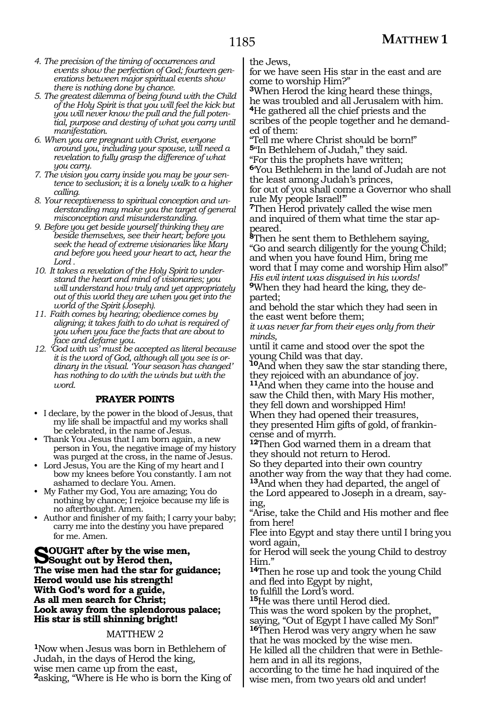- *4. The precision of the timing of occurrences and events show the perfection of God; fourteen generations between major spiritual events show there is nothing done by chance.*
- *5. The greatest dilemma of being found with the Child of the Holy Spirit is that you will feel the kick but you will never know the pull and the full potential, purpose and destiny of what you carry until manifestation.*
- *6. When you are pregnant with Christ, everyone around you, including your spouse, will need a revelation to fully grasp the difference of what you carry.*
- *7. The vision you carry inside you may be your sentence to seclusion; it is a lonely walk to a higher calling.*
- *8. Your receptiveness to spiritual conception and understanding may make you the target of general misconception and misunderstanding.*
- *9. Before you get beside yourself thinking they are beside themselves, see their heart; before you seek the head of extreme visionaries like Mary and before you heed your heart to act, hear the Lord .*
- *10. It takes a revelation of the Holy Spirit to understand the heart and mind of visionaries; you will understand how truly and yet appropriately out of this world they are when you get into the world of the Spirit (Joseph).*
- *11. Faith comes by hearing; obedience comes by aligning; it takes faith to do what is required of you when you face the facts that are about to face and defame you.*
- *12. 'God with us' must be accepted as literal because it is the word of God, although all you see is ordinary in the visual. 'Your season has changed' has nothing to do with the winds but with the word.*

## **PRAYER POINTS**

- I declare, by the power in the blood of Jesus, that my life shall be impactful and my works shall be celebrated, in the name of Jesus.
- Thank You Jesus that I am born again, a new person in You, the negative image of my history was purged at the cross, in the name of Jesus.
- Lord Jesus, You are the King of my heart and I bow my knees before You constantly. I am not ashamed to declare You. Amen.
- My Father my God, You are amazing; You do nothing by chance; I rejoice because my life is no afterthought. Amen.
- Author and finisher of my faith; I carry your baby; carry me into the destiny you have prepared for me. Amen.

**Sought** out by the wise men,<br>
Sought out by Herod then,<br>
The wise men hed the star for mi **The wise men had the star for guidance; Herod would use his strength! With God's word for a guide, As all men search for Christ; Look away from the splendorous palace; His star is still shinning bright!**

# MATTHEW 2

**<sup>1</sup>**Now when Jesus was born in Bethlehem of Judah, in the days of Herod the king, wise men came up from the east, **<sup>2</sup>**asking, "Where is He who is born the King of the Jews,

for we have seen His star in the east and are come to worship Him?"

**<sup>3</sup>**When Herod the king heard these things, he was troubled and all Jerusalem with him. **<sup>4</sup>**He gathered all the chief priests and the

scribes of the people together and he demanded of them:

"Tell me where Christ should be born!" **<sup>5</sup>**"In Bethlehem of Judah," they said. "For this the prophets have written;

**<sup>6</sup>**'You Bethlehem in the land of Judah are not the least among Judah's princes,

for out of you shall come a Governor who shall rule My people Israel!'"

**<sup>7</sup>**Then Herod privately called the wise men and inquired of them what time the star ap- peared.

**8**Then he sent them to Bethlehem saying "Go and search diligently for the young Child; and when you have found Him, bring me word that I may come and worship Him also!" *His evil intent was disguised in his words!*

**<sup>9</sup>**When they had heard the king, they de- parted;

and behold the star which they had seen in the east went before them;

*it was never far from their eyes only from their minds,*

until it came and stood over the spot the young Child was that day.

**<sup>10</sup>**And when they saw the star standing there, they rejoiced with an abundance of joy.

**<sup>11</sup>**And when they came into the house and saw the Child then, with Mary His mother, they fell down and worshipped Him!

When they had opened their treasures, they presented Him gifts of gold, of frankin- cense and of myrrh.

**<sup>12</sup>**Then God warned them in a dream that they should not return to Herod.

So they departed into their own country another way from the way that they had come. **<sup>13</sup>**And when they had departed, the angel of

the Lord appeared to Joseph in a dream, saying,

"Arise, take the Child and His mother and flee from here!

Flee into Egypt and stay there until I bring you word again,

for Herod will seek the young Child to destroy Him."

**<sup>14</sup>**Then he rose up and took the young Child and fled into Egypt by night,

to fulfill the Lord's word.

**<sup>15</sup>**He was there until Herod died.

This was the word spoken by the prophet, saying, "Out of Egypt I have called My Son!"

**<sup>16</sup>**Then Herod was very angry when he saw that he was mocked by the wise men. He killed all the children that were in Bethle-

hem and in all its regions,

according to the time he had inquired of the wise men, from two years old and under!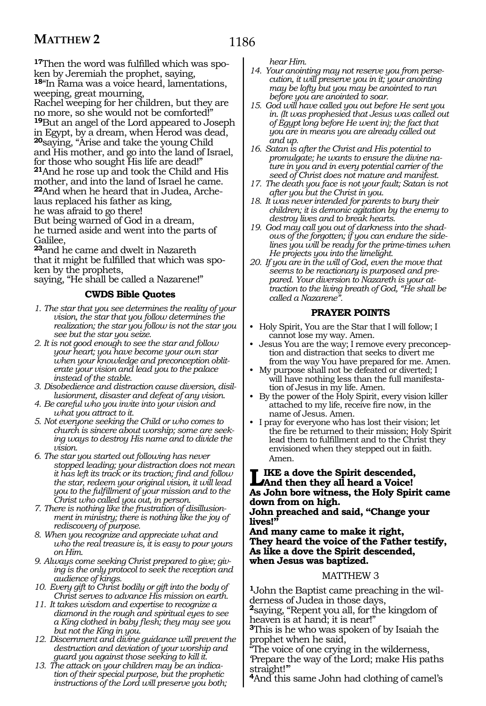**17**Then the word was fulfilled which was spoken by Jeremiah the prophet, saying, **<sup>18</sup>**"In Rama was a voice heard, lamentations, weeping, great mourning,

Rachel weeping for her children, but they are no more, so she would not be comforted!" **<sup>19</sup>**But an angel of the Lord appeared to Joseph in Egypt, by a dream, when Herod was dead, **<sup>20</sup>**saying, "Arise and take the young Child and His mother, and go into the land of Israel, for those who sought His life are dead!" **<sup>21</sup>**And he rose up and took the Child and His mother, and into the land of Israel he came. **<sup>22</sup>**And when he heard that in Judea, Arche- laus replaced his father as king, he was afraid to go there! But being warned of God in a dream, he turned aside and went into the parts of

Galilee, **<sup>23</sup>**and he came and dwelt in Nazareth

that it might be fulfilled that which was spoken by the prophets,

saying, "He shall be called a Nazarene!"

# **CWDS Bible Quotes**

- *1. The star that you see determines the reality of your vision, the star that you follow determines the realization; the star you follow is not the star you see but the star you seize.*
- *2. It is not good enough to see the star and follow your heart; you have become your own star when your knowledge and preconception obliterate your vision and lead you to the palace instead of the stable.*
- *3. Disobedience and distraction cause diversion, disillusionment, disaster and defeat of any vision.*
- *4. Be careful who you invite into your vision and what you attract to it.*
- *5. Not everyone seeking the Child or who comes to church is sincere about worship; some are seeking ways to destroy His name and to divide the vision.*
- *6. The star you started out following has never stopped leading; your distraction does not mean it has left its track or its traction; find and follow the star, redeem your original vision, it will lead you to the fulfillment of your mission and to the Christ who called you out, in person.*
- *7. There is nothing like the frustration of disillusionment in ministry; there is nothing like the joy of rediscovery of purpose.*
- *8. When you recognize and appreciate what and who the real treasure is, it is easy to pour yours on Him.*
- *9. Always come seeking Christ prepared to give; giving is the only protocol to seek the reception and audience of kings.*
- *10. Every gift to Christ bodily or gift into the body of Christ serves to advance His mission on earth.*
- *11. It takes wisdom and expertise to recognize a diamond in the rough and spiritual eyes to see a King clothed in baby flesh; they may see you but not the King in you.*
- *12. Discernment and divine guidance will prevent the destruction and deviation of your worship and guard you against those seeking to kill it.*
- *13. The attack on your children may be an indication of their special purpose, but the prophetic instructions of the Lord will preserve you both;*

*hear Him.*

- *14. Your anointing may not reserve you from persecution, it will preserve you in it; your anointing may be lofty but you may be anointed to run before you are anointed to soar.*
- *15. God will have called you out before He sent you in. (It was prophesied that Jesus was called out of Egypt long before He went in); the fact that you are in means you are already called out and up.*
- *16. Satan is after the Christ and His potential to promulgate; he wants to ensure the divine nature in you and in every potential carrier of the seed of Christ does not mature and manifest.*
- *17. The death you face is not your fault; Satan is not after you but the Christ in you.*
- *18. It was never intended for parents to bury their children; it is demonic agitation by the enemy to destroy lives and to break hearts.*
- *19. God may call you out of darkness into the shadows of the forgotten; if you can endure the sidelines you will be ready for the prime-times when He projects you into the limelight.*
- *20. If you are in the will of God, even the move that seems to be reactionary is purposed and prepared. Your diversion to Nazareth is your attraction to the living breath of God, "He shall be called a Nazarene".*

# **PRAYER POINTS**

- Holy Spirit, You are the Star that I will follow; I cannot lose my way. Amen.
- Jesus You are the way; I remove every preconception and distraction that seeks to divert me from the way You have prepared for me. Amen.
- My purpose shall not be defeated or diverted; I will have nothing less than the full manifestation of Jesus in my life. Amen.
- By the power of the Holy Spirit, every vision killer attached to my life, receive fire now, in the name of Jesus. Amen.
- I pray for everyone who has lost their vision; let the fire be returned to their mission; Holy Spirit lead them to fulfillment and to the Christ they envisioned when they stepped out in faith. Amen.

# LIKE a dove the Spirit descended,<br>
And then they all heard a Voice!<br>
An Islam here witness, the Hely Spirit **As John bore witness, the Holy Spirit came down from on high.**

**John preached and said, "Change your lives!"**

**And many came to make it right, They heard the voice of the Father testify, As like a dove the Spirit descended, when Jesus was baptized.**

## MATTHEW 3

**1**John the Baptist came preaching in the wilderness of Judea in those days,

**<sup>2</sup>**saying, "Repent you all, for the kingdom of heaven is at hand; it is near!"

**<sup>3</sup>**This is he who was spoken of by Isaiah the prophet when he said,

"The voice of one crying in the wilderness,

'Prepare the way of the Lord; make His paths straight!'"

**<sup>4</sup>**And this same John had clothing of camel's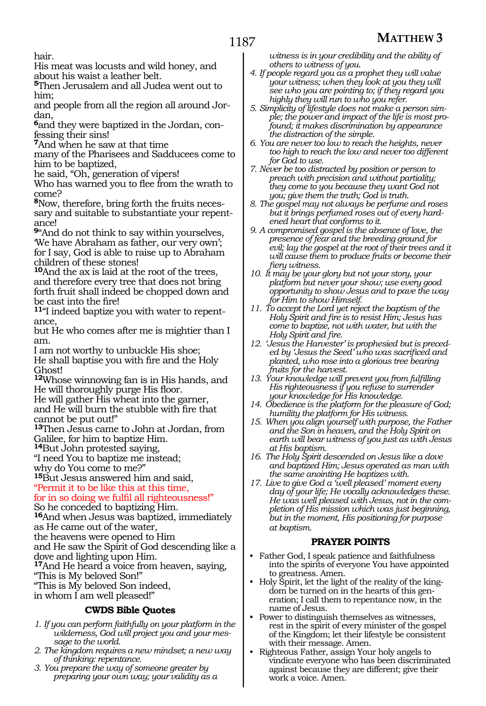hair.

His meat was locusts and wild honey, and about his waist a leather belt.

**<sup>5</sup>**Then Jerusalem and all Judea went out to him;

and people from all the region all around Jor- dan,

**6**and they were baptized in the Jordan, con-<br>fessing their sins!

**<sup>7</sup>**And when he saw at that time

many of the Pharisees and Sadducees come to him to be baptized,

he said, "Oh, generation of vipers!

Who has warned you to flee from the wrath to come?

**8**Now, therefore, bring forth the fruits necessary and suitable to substantiate your repentance!

**<sup>9</sup>**"And do not think to say within yourselves, 'We have Abraham as father, our very own'; for I say, God is able to raise up to Abraham children of these stones!

**<sup>10</sup>**And the ax is laid at the root of the trees, and therefore every tree that does not bring forth fruit shall indeed be chopped down and be cast into the fire!

**11**"I indeed baptize you with water to repentance,

but He who comes after me is mightier than I am.

I am not worthy to unbuckle His shoe; He shall baptise you with fire and the Holy Ghost!

**<sup>12</sup>**Whose winnowing fan is in His hands, and He will thoroughly purge His floor.

He will gather His wheat into the garner, and He will burn the stubble with fire that cannot be put out!"

**<sup>13</sup>**Then Jesus came to John at Jordan, from Galilee, for him to baptize Him.

**<sup>14</sup>**But John protested saying,

"I need You to baptize me instead;

why do You come to me?"

**<sup>15</sup>**But Jesus answered him and said, "Permit it to be like this at this time,

for in so doing we fulfil all righteousness!"

So he conceded to baptizing Him.

**<sup>16</sup>**And when Jesus was baptized, immediately as He came out of the water,

the heavens were opened to Him

and He saw the Spirit of God descending like a dove and lighting upon Him.

**<sup>17</sup>**And He heard a voice from heaven, saying,

"This is My beloved Son!"

"This is My beloved Son indeed,

in whom I am well pleased!"

# **CWDS Bible Quotes**

- *1. If you can perform faithfully on your platform in the wilderness, God will project you and your message to the world.*
- *2. The kingdom requires a new mindset; a new way of thinking: repentance.*
- *3. You prepare the way of someone greater by preparing your own way; your validity as a*

*witness is in your credibility and the ability of others to witness of you.*

- *4. If people regard you as a prophet they will value your witness; when they look at you they will see who you are pointing to; if they regard you highly they will run to who you refer.*
- *5. Simplicity of lifestyle does not make a person simple; the power and impact of the life is most profound; it makes discrimination by appearance the distraction of the simple.*
- *6. You are never too low to reach the heights, never too high to reach the low and never too different for God to use.*
- *7. Never be too distracted by position or person to preach with precision and without partiality; they come to you because they want God not you; give them the truth; God is truth.*
- *8. The gospel may not always be perfume and roses but it brings perfumed roses out of every hardened heart that conforms to it.*
- *9. A compromised gospel is the absence of love, the presence of fear and the breeding ground for evil; lay the gospel at the root of their trees and it will cause them to produce fruits or become their fiery witness.*
- *10. It may be your glory but not your story, your platform but never your show; use every good opportunity to show Jesus and to pave the way for Him to show Himself.*
- *11. To accept the Lord yet reject the baptism of the Holy Spirit and fire is to resist Him; Jesus has come to baptize, not with water, but with the Holy Spirit and fire.*
- *12. 'Jesus the Harvester' is prophesied but is preceded by 'Jesus the Seed' who was sacrificed and planted, who rose into a glorious tree bearing fruits for the harvest.*
- *13. Your knowledge will prevent you from fulfilling His righteousness if you refuse to surrender your knowledge for His knowledge.*
- *14. Obedience is the platform for the pleasure of God; humility the platform for His witness.*
- *15. When you align yourself with purpose, the Father and the Son in heaven, and the Holy Spirit on earth will bear witness of you just as with Jesus at His baptism.*
- *16. The Holy Spirit descended on Jesus like a dove and baptized Him; Jesus operated as man with the same anointing He baptizes with.*
- *17. Live to give God a 'well pleased' moment every day of your life; He vocally acknowledges these. He was well pleased with Jesus, not in the completion of His mission which was just beginning, but in the moment, His positioning for purpose at baptism.*

# **PRAYER POINTS**

- Father God, I speak patience and faithfulness into the spirits of everyone You have appointed to greatness. Amen.
- Holy Spirit, let the light of the reality of the kingdom be turned on in the hearts of this generation; I call them to repentance now, in the name of Jesus.
- Power to distinguish themselves as witnesses, rest in the spirit of every minister of the gospel of the Kingdom; let their lifestyle be consistent with their message. Amen.
- Righteous Father, assign Your holy angels to vindicate everyone who has been discriminated against because they are different; give their work a voice. Amen.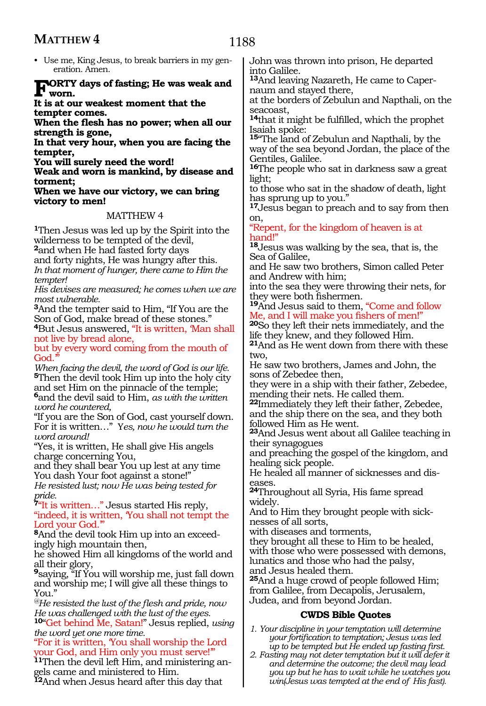• Use me, King Jesus, to break barriers in my generation. Amen.

**Forty days of fasting; He was weak and worn.**

**It is at our weakest moment that the tempter comes.**

**When the flesh has no power; when all our strength is gone,**

**In that very hour, when you are facing the tempter,**

**You will surely need the word!**

**Weak and worn is mankind, by disease and torment;**

**When we have our victory, we can bring victory to men!**

## MATTHEW 4

**<sup>1</sup>**Then Jesus was led up by the Spirit into the wilderness to be tempted of the devil,

**<sup>2</sup>**and when He had fasted forty days and forty nights, He was hungry after this. *In that moment of hunger, there came to Him the tempter!*

*His devises are measured; he comes when we are most vulnerable.*

**<sup>3</sup>**And the tempter said to Him, "If You are the Son of God, make bread of these stones."

**<sup>4</sup>**But Jesus answered, "It is written, 'Man shall not live by bread alone, but by every word coming from the mouth of

God.

*When facing the devil, the word of God is our life.* **<sup>5</sup>**Then the devil took Him up into the holy city and set Him on the pinnacle of the temple; **<sup>6</sup>**and the devil said to Him, *as with the written word he countered,*

"If you are the Son of God, cast yourself down. For it is written…" Y*es, now he would turn the word around!*

"Yes, it is written, He shall give His angels charge concerning You,

and they shall bear You up lest at any time You dash Your foot against a stone!"

*He resisted lust; now He was being tested for pride.*

**<sup>7</sup>**"It is written…" Jesus started His reply, "indeed, it is written, 'You shall not tempt the Lord your God.'"

**8**And the devil took Him up into an exceedingly high mountain then,

he showed Him all kingdoms of the world and all their glory,

**<sup>9</sup>**saying, "If You will worship me, just fall down and worship me; I will give all these things to You."

*@He resisted the lust of the flesh and pride, now He was challenged with the lust of the eyes.*

**<sup>10</sup>**"Get behind Me, Satan!" Jesus replied, *using the word yet one more time.*

"For it is written, 'You shall worship the Lord your God, and Him only you must serve!'"

**11**Then the devil left Him, and ministering angels came and ministered to Him.

**<sup>12</sup>**And when Jesus heard after this day that

John was thrown into prison, He departed into Galilee.

**13**And leaving Nazareth, He came to Capernaum and stayed there,

at the borders of Zebulun and Napthali, on the seacoast,

**<sup>14</sup>**that it might be fulfilled, which the prophet Isaiah spoke:

**<sup>15</sup>**"The land of Zebulun and Napthali, by the way of the sea beyond Jordan, the place of the Gentiles, Galilee.

**<sup>16</sup>**The people who sat in darkness saw a great light;

to those who sat in the shadow of death, light has sprung up to you."

**<sup>17</sup>**Jesus began to preach and to say from then on,

"Repent, for the kingdom of heaven is at hand!"

**<sup>18</sup>**Jesus was walking by the sea, that is, the Sea of Galilee,

and He saw two brothers, Simon called Peter and Andrew with him;

into the sea they were throwing their nets, for they were both fishermen.

**<sup>19</sup>**And Jesus said to them, "Come and follow Me, and I will make you fishers of men!"

**<sup>20</sup>**So they left their nets immediately, and the life they knew, and they followed Him.

**<sup>21</sup>**And as He went down from there with these two,

He saw two brothers, James and John, the sons of Zebedee then,

they were in a ship with their father, Zebedee, mending their nets. He called them.

**<sup>22</sup>**Immediately they left their father, Zebedee, and the ship there on the sea, and they both followed Him as He went.

**<sup>23</sup>**And Jesus went about all Galilee teaching in their synagogues

and preaching the gospel of the kingdom, and healing sick people.

He healed all manner of sicknesses and diseases.

**<sup>24</sup>**Throughout all Syria, His fame spread widely.

And to Him they brought people with sicknesses of all sorts,

with diseases and torments,

they brought all these to Him to be healed, with those who were possessed with demons, lunatics and those who had the palsy, and Jesus healed them.

**<sup>25</sup>**And a huge crowd of people followed Him; from Galilee, from Decapolis, Jerusalem, Judea, and from beyond Jordan.

- *1. Your discipline in your temptation will determine your fortification to temptation; Jesus was led up to be tempted but He ended up fasting first.*
- *2. Fasting may not deter temptation but it will defer it and determine the outcome; the devil may lead you up but he has to wait while he watches you win(Jesus was tempted at the end of His fast).*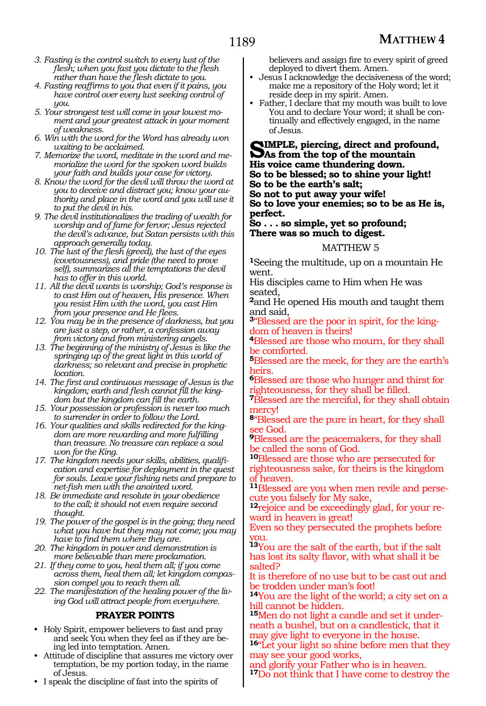- *3. Fasting is the control switch to every lust of the flesh; when you fast you dictate to the flesh rather than have the flesh dictate to you.*
- *4. Fasting reaffirms to you that even if it pains, you have control over every lust seeking control of you.*
- *5. Your strongest test will come in your lowest moment and your greatest attack in your moment of weakness.*
- *6. Win with the word for the Word has already won waiting to be acclaimed.*
- *7. Memorize the word, meditate in the word and memorialize the word for the spoken word builds your faith and builds your case for victory.*
- *8. Know the word for the devil will throw the word at you to deceive and distract you; know your authority and place in the word and you will use it to put the devil in his.*
- *9. The devil institutionalizes the trading of wealth for worship and of fame for fervor; Jesus rejected the devil's advance, but Satan persists with this approach generally today.*
- *10. The lust of the flesh (greed), the lust of the eyes (covetousness), and pride (the need to prove self), summarizes all the temptations the devil has to offer in this world.*
- *11. All the devil wants is worship; God's response is to cast Him out of heaven, His presence. When you resist Him with the word, you cast Him from your presence and He flees.*
- *12. You may be in the presence of darkness, but you are just a step, or rather, a confession away from victory and from ministering angels.*
- *13. The beginning of the ministry of Jesus is like the springing up of the great light in this world of darkness; so relevant and precise in prophetic location.*
- *14. The first and continuous message of Jesus is the kingdom; earth and flesh cannot fill the kingdom but the kingdom can fill the earth.*
- *15. Your possession or profession is never too much to surrender in order to follow the Lord.*
- *16. Your qualities and skills redirected for the kingdom are more rewarding and more fulfilling than treasure. No treasure can replace a soul won for the King.*
- *17. The kingdom needs your skills, abilities, qualification and expertise for deployment in the quest for souls. Leave your fishing nets and prepare to net-fish men with the anointed word.*
- *18. Be immediate and resolute in your obedience to the call; it should not even require second thought.*
- *19. The power of the gospel is in the going; they need what you have but they may not come; you may have to find them where they are.*
- *20. The kingdom in power and demonstration is more believable than mere proclamation.*
- *21. If they come to you, heal them all; if you come across them, heal them all; let kingdom compassion compel you to reach them all.*
- *22. The manifestation of the healing power of the living God will attract people from everywhere.*

## **PRAYER POINTS**

- Holy Spirit, empower believers to fast and pray and seek You when they feel as if they are being led into temptation. Amen.
- Attitude of discipline that assures me victory over temptation, be my portion today, in the name of Jesus.
- I speak the discipline of fast into the spirits of

believers and assign fire to every spirit of greed deployed to divert them. Amen.

- Jesus I acknowledge the decisiveness of the word; make me a repository of the Holy word; let it reside deep in my spirit. Amen.
- Father, I declare that my mouth was built to love You and to declare Your word; it shall be continually and effectively engaged, in the name of Jesus.

**SIMPLE, piercing, direct and profound,**<br> **As from the top of the mountain**<br> **His prejon come than derive down His voice came thundering down. So to be blessed; so to shine your light! So to be the earth's salt; So not to put away your wife!** 

**So to love your enemies; so to be as He is, perfect.** 

## **So . . . so simple, yet so profound; There was so much to digest.**

#### MATTHEW 5

**<sup>1</sup>**Seeing the multitude, up on a mountain He went.

His disciples came to Him when He was seated,

**<sup>2</sup>**and He opened His mouth and taught them and said,

**<sup>3</sup>**"Blessed are the poor in spirit, for the king- dom of heaven is theirs!

**<sup>4</sup>**Blessed are those who mourn, for they shall be comforted.

**<sup>5</sup>**Blessed are the meek, for they are the earth's heirs.

**<sup>6</sup>**Blessed are those who hunger and thirst for righteousness, for they shall be filled.

**<sup>7</sup>**Blessed are the merciful, for they shall obtain mercy!

**<sup>8</sup>**"Blessed are the pure in heart, for they shall see God.

**<sup>9</sup>**Blessed are the peacemakers, for they shall be called the sons of God.

**<sup>10</sup>**Blessed are those who are persecuted for righteousness sake, for theirs is the kingdom of heaven.

**11**Blessed are you when men revile and persecute you falsely for My sake,

**12**rejoice and be exceedingly glad, for your reward in heaven is great!

Even so they persecuted the prophets before you.

**<sup>13</sup>**You are the salt of the earth, but if the salt has lost its salty flavor, with what shall it be salted?

It is therefore of no use but to be cast out and be trodden under man's foot!

**<sup>14</sup>**You are the light of the world; a city set on a hill cannot be hidden.

**<sup>15</sup>**Men do not light a candle and set it under- neath a bushel, but on a candlestick, that it may give light to everyone in the house.

**<sup>16</sup>**"Let your light so shine before men that they may see your good works,

and glorify your Father who is in heaven. **<sup>17</sup>**Do not think that I have come to destroy the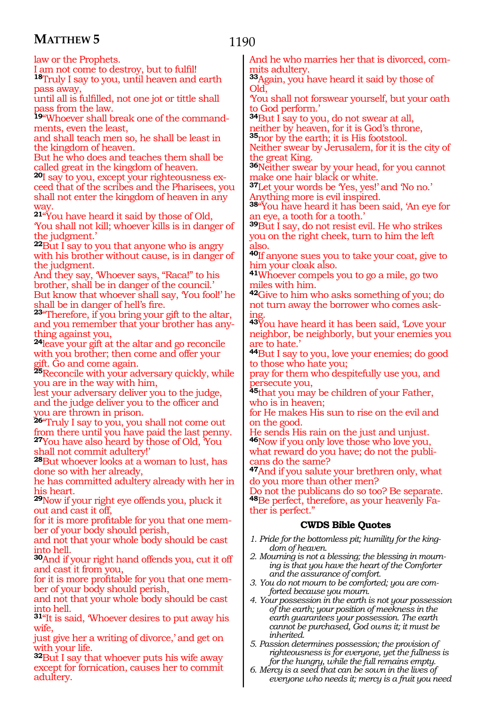law or the Prophets.

I am not come to destroy, but to fulfil! **<sup>18</sup>**Truly I say to you, until heaven and earth pass away,

until all is fulfilled, not one jot or tittle shall pass from the law.

**19**"Whoever shall break one of the commandments, even the least,

and shall teach men so, he shall be least in the kingdom of heaven.

But he who does and teaches them shall be called great in the kingdom of heaven.

**20**I say to you, except your righteousness exceed that of the scribes and the Pharisees, you shall not enter the kingdom of heaven in any way.

**<sup>21</sup>**"You have heard it said by those of Old, 'You shall not kill; whoever kills is in danger of the judgment.'

**<sup>22</sup>**But I say to you that anyone who is angry with his brother without cause, is in danger of the judgment.

And they say, 'Whoever says, "Raca!" to his brother, shall be in danger of the council.' But know that whoever shall say, 'You fool!' he shall be in danger of hell's fire.

**<sup>23</sup>**"Therefore, if you bring your gift to the altar, and you remember that your brother has anything against you,

**<sup>24</sup>**leave your gift at the altar and go reconcile with you brother; then come and offer your gift. Go and come again.

**<sup>25</sup>**Reconcile with your adversary quickly, while you are in the way with him,

lest your adversary deliver you to the judge, and the judge deliver you to the officer and you are thrown in prison.

**<sup>26</sup>**"Truly I say to you, you shall not come out from there until you have paid the last penny. **<sup>27</sup>**You have also heard by those of Old, 'You shall not commit adultery!'

**<sup>28</sup>**But whoever looks at a woman to lust, has done so with her already,

he has committed adultery already with her in his heart.

**<sup>29</sup>**Now if your right eye offends you, pluck it out and cast it off,

for it is more profitable for you that one mem- ber of your body should perish,

and not that your whole body should be cast into hell.

**<sup>30</sup>**And if your right hand offends you, cut it off and cast it from you,

for it is more profitable for you that one member of your body should perish,

and not that your whole body should be cast into hell.

**<sup>31</sup>**"It is said, 'Whoever desires to put away his wife,

just give her a writing of divorce,' and get on with your life.

**<sup>32</sup>**But I say that whoever puts his wife away except for fornication, causes her to commit adultery.

And he who marries her that is divorced, commits adultery.

**<sup>33</sup>**Again, you have heard it said by those of Old,

'You shall not forswear yourself, but your oath to God perform.'

**<sup>34</sup>**But I say to you, do not swear at all, neither by heaven, for it is God's throne, **<sup>35</sup>**nor by the earth; it is His footstool.

Neither swear by Jerusalem, for it is the city of the great King.

**<sup>36</sup>**Neither swear by your head, for you cannot make one hair black or white.

**<sup>37</sup>**Let your words be 'Yes, yes!' and 'No no.' Anything more is evil inspired.

**<sup>38</sup>**"You have heard it has been said, 'An eye for an eye, a tooth for a tooth.'

**<sup>39</sup>**But I say, do not resist evil. He who strikes you on the right cheek, turn to him the left also.

**<sup>40</sup>**If anyone sues you to take your coat, give to him your cloak also.

**<sup>41</sup>**Whoever compels you to go a mile, go two miles with him.

**<sup>42</sup>**Give to him who asks something of you; do not turn away the borrower who comes asking.

**<sup>43</sup>**You have heard it has been said, 'Love your neighbor, be neighborly, but your enemies you are to hate.'

**<sup>44</sup>**But I say to you, love your enemies; do good to those who hate you;

pray for them who despitefully use you, and persecute you,

**<sup>45</sup>**that you may be children of your Father, who is in heaven;

for He makes His sun to rise on the evil and on the good.

He sends His rain on the just and unjust. **<sup>46</sup>**Now if you only love those who love you,

what reward do you have; do not the publicans do the same?

**<sup>47</sup>**And if you salute your brethren only, what do you more than other men?

Do not the publicans do so too? Be separate. **<sup>48</sup>**Be perfect, therefore, as your heavenly Fa- ther is perfect."

- *1. Pride for the bottomless pit; humility for the kingdom of heaven.*
- *2. Mourning is not a blessing; the blessing in mourning is that you have the heart of the Comforter and the assurance of comfort.*
- *3. You do not mourn to be comforted; you are comforted because you mourn.*
- *4. Your possession in the earth is not your possession of the earth; your position of meekness in the earth guarantees your possession. The earth cannot be purchased, God owns it; it must be inherited.*
- *5. Passion determines possession; the provision of righteousness is for everyone, yet the fullness is for the hungry, while the full remains empty.*
- *6. Mercy is a seed that can be sown in the lives of everyone who needs it; mercy is a fruit you need*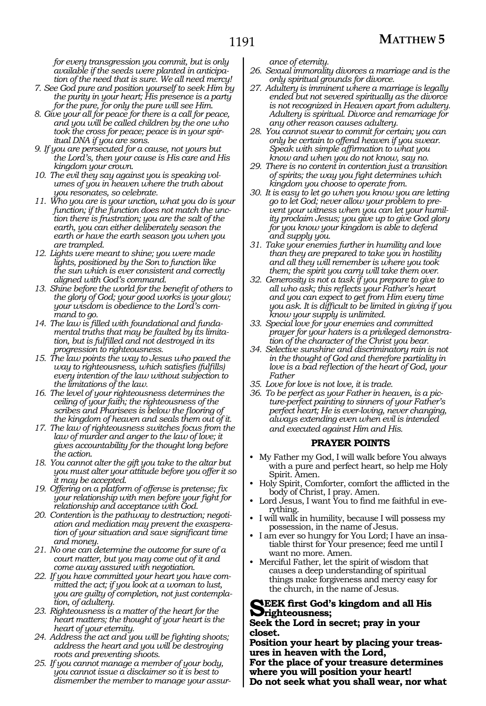*for every transgression you commit, but is only available if the seeds were planted in anticipation of the need that is sure. We all need mercy!*

- *7. See God pure and position yourself to seek Him by the purity in your heart; His presence is a party for the pure, for only the pure will see Him.*
- *8. Give your all for peace for there is a call for peace, and you will be called children by the one who took the cross for peace; peace is in your spiritual DNA if you are sons.*
- *9. If you are persecuted for a cause, not yours but the Lord's, then your cause is His care and His kingdom your crown.*
- *10. The evil they say against you is speaking volumes of you in heaven where the truth about you resonates, so celebrate.*
- *11. Who you are is your unction, what you do is your function; if the function does not match the unction there is frustration; you are the salt of the earth, you can either deliberately season the earth or have the earth season you when you are trampled.*
- *12. Lights were meant to shine; you were made lights, positioned by the Son to function like the sun which is ever consistent and correctly aligned with God's command.*
- *13. Shine before the world for the benefit of others to the glory of God; your good works is your glow; your wisdom is obedience to the Lord's command to go.*
- *14. The law is filled with foundational and fundamental truths that may be faulted by its limitation, but is fulfilled and not destroyed in its progression to righteousness.*
- *15. The law points the way to Jesus who paved the way to righteousness, which satisfies (fulfills) every intention of the law without subjection to the limitations of the law.*
- *16. The level of your righteousness determines the ceiling of your faith; the righteousness of the scribes and Pharisees is below the flooring of the kingdom of heaven and seals them out of it.*
- *17. The law of righteousness switches focus from the law of murder and anger to the law of love; it gives accountability for the thought long before the action.*
- *18. You cannot alter the gift you take to the altar but you must alter your attitude before you offer it so it may be accepted.*
- *19. Offering on a platform of offense is pretense; fix your relationship with men before your fight for relationship and acceptance with God.*
- *20. Contention is the pathway to destruction; negotiation and mediation may prevent the exasperation of your situation and save significant time and money.*
- *21. No one can determine the outcome for sure of a court matter, but you may come out of it and come away assured with negotiation.*
- *22. If you have committed your heart you have committed the act; if you look at a woman to lust, you are guilty of completion, not just contemplation, of adultery.*
- *23. Righteousness is a matter of the heart for the heart matters; the thought of your heart is the heart of your eternity.*
- *24. Address the act and you will be fighting shoots; address the heart and you will be destroying roots and preventing shoots.*
- *25. If you cannot manage a member of your body, you cannot issue a disclaimer so it is best to dismember the member to manage your assur-*

*ance of eternity.*

- *26. Sexual immorality divorces a marriage and is the only spiritual grounds for divorce.*
- *27. Adultery is imminent where a marriage is legally ended but not severed spiritually as the divorce is not recognized in Heaven apart from adultery. Adultery is spiritual. Divorce and remarriage for any other reason causes adultery.*
- *28. You cannot swear to commit for certain; you can only be certain to offend heaven if you swear. Speak with simple affirmation to what you know and when you do not know, say no.*
- *29. There is no content in contention just a transition of spirits; the way you fight determines which kingdom you choose to operate from.*
- *30. It is easy to let go when you know you are letting go to let God; never allow your problem to prevent your witness when you can let your humility proclaim Jesus; you give up to give God glory for you know your kingdom is able to defend and supply you.*
- *31. Take your enemies further in humility and love than they are prepared to take you in hostility and all they will remember is where you took them; the spirit you carry will take them over.*
- *32. Generosity is not a task if you prepare to give to all who ask; this reflects your Father's heart and you can expect to get from Him every time you ask. It is difficult to be limited in giving if you know your supply is unlimited.*
- *33. Special love for your enemies and committed prayer for your haters is a privileged demonstration of the character of the Christ you bear.*
- *34. Selective sunshine and discriminatory rain is not in the thought of God and therefore partiality in love is a bad reflection of the heart of God, your Father*
- *35. Love for love is not love, it is trade.*
- *36. To be perfect as your Father in heaven, is a picture-perfect painting to sinners of your Father's perfect heart; He is ever-loving, never changing, always extending even when evil is intended and executed against Him and His.*

#### **PRAYER POINTS**

- My Father my God, I will walk before You always with a pure and perfect heart, so help me Holy Spirit. Amen.
- Holy Spirit, Comforter, comfort the afflicted in the body of Christ, I pray. Amen.
- Lord Jesus, I want You to find me faithful in everything.
- I will walk in humility, because I will possess my possession, in the name of Jesus.
- I am ever so hungry for You Lord; I have an insatiable thirst for Your presence; feed me until I want no more. Amen.
- Merciful Father, let the spirit of wisdom that causes a deep understanding of spiritual things make forgiveness and mercy easy for the church, in the name of Jesus.

## **Seek first God's kingdom and all His righteousness;**

**Seek the Lord in secret; pray in your closet.**

**Position your heart by placing your treas- ures in heaven with the Lord,**

**For the place of your treasure determines where you will position your heart!** 

**Do not seek what you shall wear, nor what**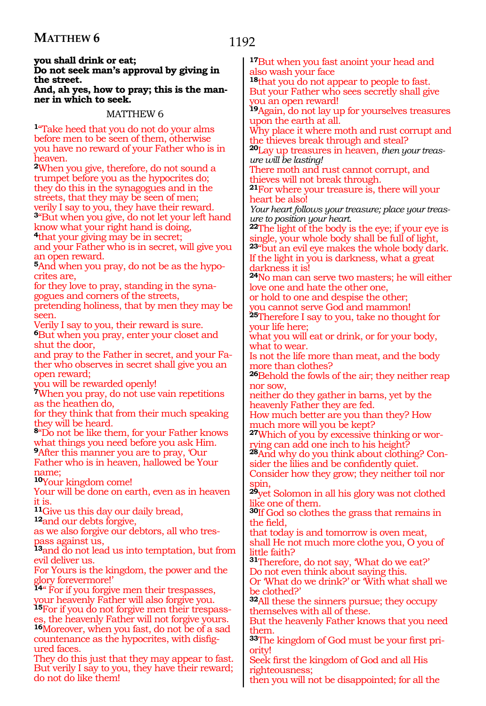## **you shall drink or eat; Do not seek man's approval by giving in the street.**

**And, ah yes, how to pray; this is the man ner in which to seek.**

# MATTHEW 6

**<sup>1</sup>**"Take heed that you do not do your alms before men to be seen of them, otherwise you have no reward of your Father who is in heaven.

**<sup>2</sup>**When you give, therefore, do not sound a trumpet before you as the hypocrites do; they do this in the synagogues and in the streets, that they may be seen of men; verily I say to you, they have their reward.

**<sup>3</sup>**"But when you give, do not let your left hand know what your right hand is doing,

**<sup>4</sup>**that your giving may be in secret;

and your Father who is in secret, will give you an open reward.

**5**And when you pray, do not be as the hypocrites are,

for they love to pray, standing in the synagogues and corners of the streets,

pretending holiness, that by men they may be seen.

Verily I say to you, their reward is sure. **<sup>6</sup>**But when you pray, enter your closet and shut the door,

and pray to the Father in secret, and your Father who observes in secret shall give you an open reward;

you will be rewarded openly!

**<sup>7</sup>**When you pray, do not use vain repetitions as the heathen do,

for they think that from their much speaking they will be heard.

**<sup>8</sup>**"Do not be like them, for your Father knows what things you need before you ask Him.

**<sup>9</sup>**After this manner you are to pray, 'Our Father who is in heaven, hallowed be Your name;

**<sup>10</sup>**Your kingdom come!

Your will be done on earth, even as in heaven it is.

**<sup>11</sup>**Give us this day our daily bread, **<sup>12</sup>**and our debts forgive,

as we also forgive our debtors, all who trespass against us,

**<sup>13</sup>**and do not lead us into temptation, but from evil deliver us.

For Yours is the kingdom, the power and the glory forevermore!'

**<sup>14</sup>**'' For if you forgive men their trespasses, your heavenly Father will also forgive you.

**15**For if you do not forgive men their trespasss, the heavenly Father will not forgive yours. 16Moreover, when you fast, do not be of a sad

countenance as the hypocrites, with disfigured faces.

They do this just that they may appear to fast. But verily I say to you, they have their reward; do not do like them!

**<sup>17</sup>**But when you fast anoint your head and also wash your face

**<sup>18</sup>**that you do not appear to people to fast. But your Father who sees secretly shall give you an open reward!

**<sup>19</sup>**Again, do not lay up for yourselves treasures upon the earth at all.

Why place it where moth and rust corrupt and the thieves break through and steal?

**<sup>20</sup>**Lay up treasures in heaven, *then your treasure will be lasting!*

There moth and rust cannot corrupt, and thieves will not break through.

**<sup>21</sup>**For where your treasure is, there will your heart be also!

*Your heart follows your treasure; place your treasure to position your heart.*

**<sup>22</sup>**The light of the body is the eye; if your eye is single, your whole body shall be full of light, **<sup>23</sup>**"but an evil eye makes the whole body dark. If the light in you is darkness, what a great darkness it is!

**<sup>24</sup>**No man can serve two masters; he will either love one and hate the other one,

or hold to one and despise the other; you cannot serve God and mammon!

**<sup>25</sup>**Therefore I say to you, take no thought for your life here;

what you will eat or drink, or for your body, what to wear.

Is not the life more than meat, and the body more than clothes?

**<sup>26</sup>**Behold the fowls of the air; they neither reap nor sow,

neither do they gather in barns, yet by the heavenly Father they are fed.

How much better are you than they? How much more will you be kept?

**<sup>27</sup>**Which of you by excessive thinking or wor- rying can add one inch to his height?

**28**And why do you think about clothing? Consider the lilies and be confidently quiet.

Consider how they grow; they neither toil nor spin,

**<sup>29</sup>**yet Solomon in all his glory was not clothed like one of them.

**<sup>30</sup>**If God so clothes the grass that remains in the field,

that today is and tomorrow is oven meat,

shall He not much more clothe you, O you of little faith?

**<sup>31</sup>**Therefore, do not say, 'What do we eat?' Do not even think about saying this.

Or 'What do we drink?' or 'With what shall we be clothed?'

**<sup>32</sup>**All these the sinners pursue; they occupy themselves with all of these.

But the heavenly Father knows that you need them.

**33**The kingdom of God must be your first priority!

Seek first the kingdom of God and all His righteousness;

then you will not be disappointed; for all the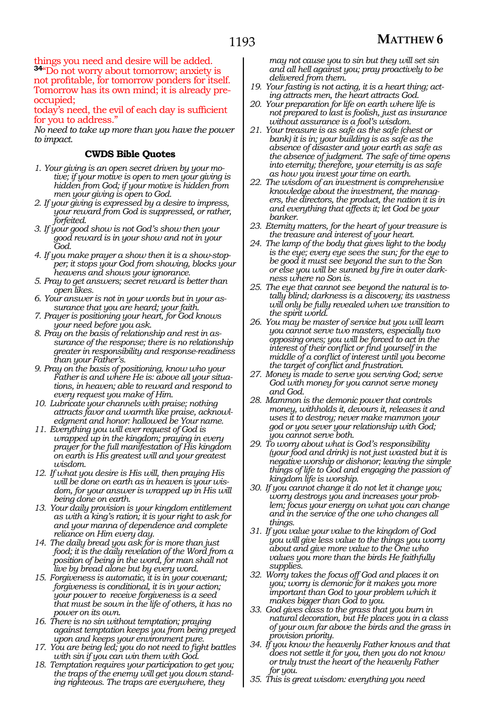things you need and desire will be added. **<sup>34</sup>**"Do not worry about tomorrow; anxiety is not profitable, for tomorrow ponders for itself. Tomorrow has its own mind; it is already preoccupied;

today's need, the evil of each day is sufficient for you to address."

*No need to take up more than you have the power to impact.*

## **CWDS Bible Quotes**

- *1. Your giving is an open secret driven by your motive; if your motive is open to men your giving is hidden from God; if your motive is hidden from men your giving is open to God.*
- *2. If your giving is expressed by a desire to impress, your reward from God is suppressed, or rather, forfeited.*
- *3. If your good show is not God's show then your good reward is in your show and not in your God.*
- *4. If you make prayer a show then it is a show-stopper; it stops your God from showing, blocks your heavens and shows your ignorance.*
- *5. Pray to get answers; secret reward is better than open likes.*
- *6. Your answer is not in your words but in your assurance that you are heard; your faith.*
- *7. Prayer is positioning your heart, for God knows your need before you ask.*
- *8. Pray on the basis of relationship and rest in assurance of the response; there is no relationship greater in responsibility and response-readiness than your Father's.*
- *9. Pray on the basis of positioning, know who your Father is and where He is: above all your situations, in heaven; able to reward and respond to every request you make of Him.*
- *10. Lubricate your channels with praise; nothing attracts favor and warmth like praise, acknowledgment and honor: hallowed be Your name.*
- *11. Everything you will ever request of God is wrapped up in the kingdom; praying in every prayer for the full manifestation of His kingdom on earth is His greatest will and your greatest wisdom.*
- *12. If what you desire is His will, then praying His will be done on earth as in heaven is your wisdom, for your answer is wrapped up in His will being done on earth.*
- *13. Your daily provision is your kingdom entitlement as with a king's ration; it is your right to ask for and your manna of dependence and complete reliance on Him every day.*
- *14. The daily bread you ask for is more than just food; it is the daily revelation of the Word from a position of being in the word, for man shall not live by bread alone but by every word.*
- *15. Forgiveness is automatic, it is in your covenant; forgiveness is conditional, it is in your action; your power to receive forgiveness is a seed that must be sown in the life of others, it has no power on its own.*
- *16. There is no sin without temptation; praying against temptation keeps you from being preyed upon and keeps your environment pure.*
- *17. You are being led; you do not need to fight battles with sin if you can win them with God.*
- *18. Temptation requires your participation to get you; the traps of the enemy will get you down standing righteous. The traps are everywhere, they*

*may not cause you to sin but they will set sin and all hell against you; pray proactively to be delivered from them.*

- *19. Your fasting is not acting, it is a heart thing; acting attracts men, the heart attracts God.*
- *20. Your preparation for life on earth where life is not prepared to last is foolish, just as insurance without assurance is a fool's wisdom.*
- *21. Your treasure is as safe as the safe (chest or bank) it is in; your building is as safe as the absence of disaster and your earth as safe as the absence of judgment. The safe of time opens into eternity; therefore, your eternity is as safe as how you invest your time on earth.*
- *22. The wisdom of an investment is comprehensive knowledge about the investment, the managers, the directors, the product, the nation it is in and everything that affects it; let God be your banker.*
- *23. Eternity matters, for the heart of your treasure is the treasure and interest of your heart.*
- *24. The lamp of the body that gives light to the body is the eye; every eye sees the sun; for the eye to be good it must see beyond the sun to the Son or else you will be sunned by fire in outer darkness where no Son is.*
- *25. The eye that cannot see beyond the natural is totally blind; darkness is a discovery; its vastness will only be fully revealed when we transition to the spirit world.*
- *26. You may be master of service but you will learn you cannot serve two masters, especially two opposing ones; you will be forced to act in the interest of their conflict or find yourself in the middle of a conflict of interest until you become the target of conflict and frustration.*
- *27. Money is made to serve you serving God; serve God with money for you cannot serve money and God.*
- *28. Mammon is the demonic power that controls money, withholds it, devours it, releases it and uses it to destroy; never make mammon your god or you sever your relationship with God; you cannot serve both.*
- *29. To worry about what is God's responsibility (your food and drink) is not just wasted but it is negative worship or dishonor; leaving the simple things of life to God and engaging the passion of kingdom life is worship.*
- *30. If you cannot change it do not let it change you; worry destroys you and increases your problem; focus your energy on what you can change and in the service of the one who changes all things.*
- *31. If you value your value to the kingdom of God you will give less value to the things you worry about and give more value to the One who values you more than the birds He faithfully supplies.*
- *32. Worry takes the focus off God and places it on you; worry is demonic for it makes you more important than God to your problem which it makes bigger than God to you.*
- *33. God gives class to the grass that you burn in natural decoration, but He places you in a class of your own far above the birds and the grass in provision priority.*
- *34. If you know the heavenly Father knows and that does not settle it for you, then you do not know or truly trust the heart of the heavenly Father for you.*
- *35. This is great wisdom: everything you need*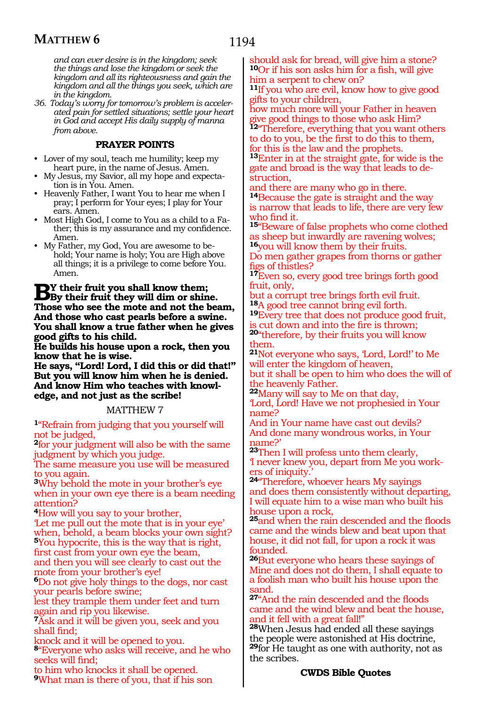*and can ever desire is in the kingdom; seek the things and lose the kingdom or seek the kingdom and all its righteousness and gain the kingdom and all the things you seek, which are in the kingdom.*

*36. Today's worry for tomorrow's problem is accelerated pain for settled situations; settle your heart in God and accept His daily supply of manna from above.*

#### **PRAYER POINTS**

- Lover of my soul, teach me humility; keep my heart pure, in the name of Jesus. Amen.
- My Jesus, my Savior, all my hope and expectation is in You. Amen.
- Heavenly Father, I want You to hear me when I pray; I perform for Your eyes; I play for Your ears. Amen.
- Most High God, I come to You as a child to a Father; this is my assurance and my confidence. Amen.
- My Father, my God, You are awesome to behold; Your name is holy; You are High above all things; it is a privilege to come before You. Amen.

**By their fruit you shall know them; By their fruit they will dim or shine. Those who see the mote and not the beam, And those who cast pearls before a swine. You shall know a true father when he gives good gifts to his child.**

**He builds his house upon a rock, then you know that he is wise.**

**He says, "Lord! Lord, I did this or did that!" But you will know him when he is denied. And know Him who teaches with knowl- edge, and not just as the scribe!**

#### MATTHEW 7

**<sup>1</sup>**"Refrain from judging that you yourself will not be judged,

**<sup>2</sup>**for your judgment will also be with the same judgment by which you judge.

The same measure you use will be measured to you again.

**<sup>3</sup>**Why behold the mote in your brother's eye when in your own eye there is a beam needing attention?

**<sup>4</sup>**How will you say to your brother,

'Let me pull out the mote that is in your eye' when, behold, a beam blocks your own sight? **<sup>5</sup>**You hypocrite, this is the way that is right, first cast from your own eye the beam, and then you will see clearly to cast out the mote from your brother's eye!

**<sup>6</sup>**Do not give holy things to the dogs, nor cast your pearls before swine;

lest they trample them under feet and turn again and rip you likewise.

**<sup>7</sup>**Ask and it will be given you, seek and you shall find;

knock and it will be opened to you.

**<sup>8</sup>**"Everyone who asks will receive, and he who seeks will find;

to him who knocks it shall be opened. **<sup>9</sup>**What man is there of you, that if his son

should ask for bread, will give him a stone? **<sup>10</sup>**Or if his son asks him for a fish, will give him a serpent to chew on?

**<sup>11</sup>**If you who are evil, know how to give good gifts to your children,

how much more will your Father in heaven give good things to those who ask Him? 12<sup>"</sup>Therefore, everything that you want others

to do to you, be the first to do this to them, for this is the law and the prophets.

**<sup>13</sup>**Enter in at the straight gate, for wide is the gate and broad is the way that leads to destruction,

and there are many who go in there.

**<sup>14</sup>**Because the gate is straight and the way is narrow that leads to life, there are very few who find it.

**<sup>15</sup>**"Beware of false prophets who come clothed as sheep but inwardly are ravening wolves; **<sup>16</sup>**you will know them by their fruits.

Do men gather grapes from thorns or gather figs of thistles?

**<sup>17</sup>**Even so, every good tree brings forth good fruit, only,

but a corrupt tree brings forth evil fruit.<br><sup>18</sup>A good tree cannot bring evil forth.

**19**Every tree that does not produce good fruit, is cut down and into the fire is thrown;

**<sup>20</sup>**"therefore, by their fruits you will know them.

**<sup>21</sup>**Not everyone who says, 'Lord, Lord!' to Me will enter the kingdom of heaven, but it shall be open to him who does the will of the heavenly Father.

**<sup>22</sup>**Many will say to Me on that day,

'Lord, Lord! Have we not prophesied in Your name?

And in Your name have cast out devils? And done many wondrous works, in Your name?'

**<sup>23</sup>**Then I will profess unto them clearly, 'I never knew you, depart from Me you workers of iniquity.'

**<sup>24</sup>**"Therefore, whoever hears My sayings and does them consistently without departing, I will equate him to a wise man who built his house upon a rock,

**<sup>25</sup>**and when the rain descended and the floods came and the winds blew and beat upon that house, it did not fall, for upon a rock it was founded.

**<sup>26</sup>**But everyone who hears these sayings of Mine and does not do them, I shall equate to a foolish man who built his house upon the sand.

**<sup>27</sup>**"And the rain descended and the floods came and the wind blew and beat the house, and it fell with a great fall!"

**<sup>28</sup>**When Jesus had ended all these sayings the people were astonished at His doctrine, **<sup>29</sup>**for He taught as one with authority, not as the scribes.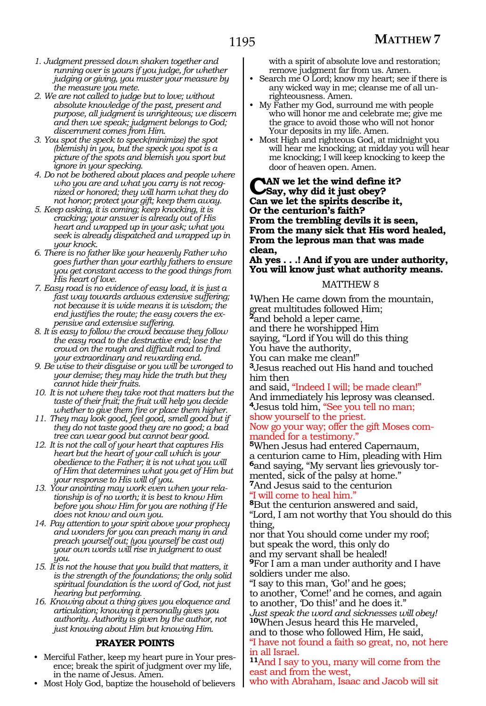- *1. Judgment pressed down shaken together and running over is yours if you judge, for whether judging or giving, you muster your measure by the measure you mete.*
- *2. We are not called to judge but to love; without absolute knowledge of the past, present and purpose, all judgment is unrighteous; we discern and then we speak; judgment belongs to God; discernment comes from Him.*
- *3. You spot the speck to speck(minimize) the spot (blemish) in you, but the speck you spot is a picture of the spots and blemish you sport but ignore in your specking.*
- *4. Do not be bothered about places and people where who you are and what you carry is not recognized or honored; they will harm what they do not honor; protect your gift; keep them away.*
- *5. Keep asking, it is coming; keep knocking, it is cracking; your answer is already out of His heart and wrapped up in your ask; what you seek is already dispatched and wrapped up in your knock.*
- *6. There is no father like your heavenly Father who goes further than your earthly fathers to ensure you get constant access to the good things from His heart of love.*
- *7. Easy road is no evidence of easy load, it is just a fast way towards arduous extensive suffering; not because it is wide means it is wisdom; the end justifies the route; the easy covers the expensive and extensive suffering.*
- *8. It is easy to follow the crowd because they follow the easy road to the destructive end; lose the crowd on the rough and difficult road to find your extraordinary and rewarding end.*
- *9. Be wise to their disguise or you will be wronged to your demise; they may hide the truth but they cannot hide their fruits.*
- *10. It is not where they take root that matters but the taste of their fruit; the fruit will help you decide whether to give them fire or place them higher.*
- *11. They may look good, feel good, smell good but if they do not taste good they are no good; a bad tree can wear good but cannot bear good.*
- *12. It is not the call of your heart that captures His heart but the heart of your call which is your obedience to the Father; it is not what you will of Him that determines what you get of Him but your response to His will of you.*
- *13. Your anointing may work even when your relationship is of no worth; it is best to know Him before you show Him for you are nothing if He does not know and own you.*
- *14. Pay attention to your spirit above your prophecy and wonders for you can preach many in and preach yourself out; (you yourself be cast out) your own words will rise in judgment to oust you.*
- *15. It is not the house that you build that matters, it is the strength of the foundations; the only solid spiritual foundation is the word of God, not just hearing but performing.*
- *16. Knowing about a thing gives you eloquence and articulation; knowing it personally gives you authority. Authority is given by the author, not just knowing about Him but knowing Him.*

## **PRAYER POINTS**

- Merciful Father, keep my heart pure in Your presence; break the spirit of judgment over my life, in the name of Jesus. Amen.
- Most Holy God, baptize the household of believers

with a spirit of absolute love and restoration; remove judgment far from us. Amen.

- Search me O Lord; know my heart; see if there is any wicked way in me; cleanse me of all unrighteousness. Amen.
- My Father my God, surround me with people who will honor me and celebrate me; give me the grace to avoid those who will not honor Your deposits in my life. Amen.
- Most High and righteous God, at midnight you will hear me knocking; at midday you will hear me knocking; I will keep knocking to keep the door of heaven open. Amen.

**Can we let the wind define it? Say, why did it just obey? Can we let the spirits describe it, Or the centurion's faith? From the trembling devils it is seen, From the many sick that His word healed, From the leprous man that was made clean,** 

**Ah yes . . .! And if you are under authority, You will know just what authority means.**

#### MATTHEW 8

**<sup>1</sup>**When He came down from the mountain, great multitudes followed Him; **<sup>2</sup>**and behold a leper came, and there he worshipped Him saying, "Lord if You will do this thing You have the authority, You can make me clean!" **<sup>3</sup>**Jesus reached out His hand and touched him then and said, "Indeed I will; be made clean!" And immediately his leprosy was cleansed. **<sup>4</sup>**Jesus told him, "See you tell no man; show yourself to the priest.

Now go your way; offer the gift Moses com- manded for a testimony."

**<sup>5</sup>**When Jesus had entered Capernaum, a centurion came to Him, pleading with Him **6**and saying, "My servant lies grievously tormented, sick of the palsy at home."

**<sup>7</sup>**And Jesus said to the centurion "I will come to heal him."

**<sup>8</sup>**But the centurion answered and said, "Lord, I am not worthy that You should do this thing,

nor that You should come under my roof; but speak the word, this only do and my servant shall be healed!

**<sup>9</sup>**For I am a man under authority and I have soldiers under me also.

"I say to this man, 'Go!' and he goes;

to another, 'Come!' and he comes, and again to another, 'Do this!' and he does it."

*Just speak the word and sicknesses will obey!*  **<sup>10</sup>**When Jesus heard this He marveled, and to those who followed Him, He said,

"I have not found a faith so great, no, not here in all Israel.

**<sup>11</sup>**And I say to you, many will come from the east and from the west,

who with Abraham, Isaac and Jacob will sit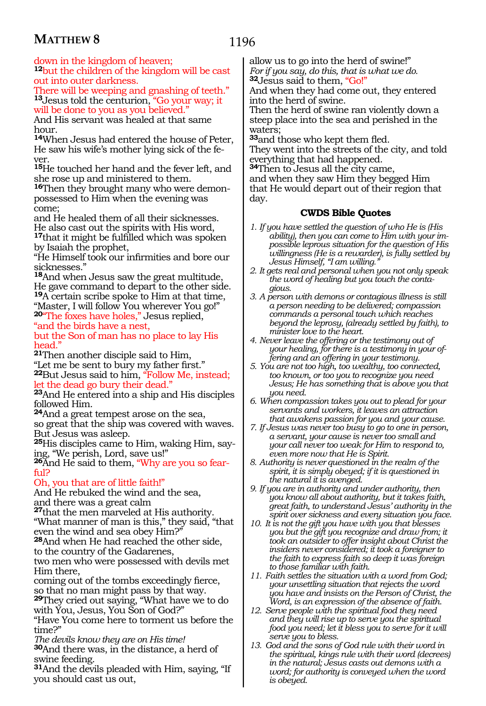down in the kingdom of heaven;

**<sup>12</sup>**but the children of the kingdom will be cast out into outer darkness.

There will be weeping and gnashing of teeth." **<sup>13</sup>**Jesus told the centurion, "Go your way; it will be done to you as you believed."

And His servant was healed at that same hour.

**<sup>14</sup>**When Jesus had entered the house of Peter, He saw his wife's mother lying sick of the fever.

**<sup>15</sup>**He touched her hand and the fever left, and she rose up and ministered to them.

**16**Then they brought many who were demonpossessed to Him when the evening was come;

and He healed them of all their sicknesses. He also cast out the spirits with His word, **<sup>17</sup>**that it might be fulfilled which was spoken by Isaiah the prophet,

"He Himself took our infirmities and bore our sicknesses."

**<sup>18</sup>**And when Jesus saw the great multitude, He gave command to depart to the other side. **<sup>19</sup>**A certain scribe spoke to Him at that time, "Master, I will follow You wherever You go!" **<sup>20</sup>**"The foxes have holes," Jesus replied,

"and the birds have a nest,

but the Son of man has no place to lay His head."

**<sup>21</sup>**Then another disciple said to Him, "Let me be sent to bury my father first." **<sup>22</sup>**But Jesus said to him, "Follow Me, instead;

let the dead go bury their dead."

**<sup>23</sup>**And He entered into a ship and His disciples followed Him.

**<sup>24</sup>**And a great tempest arose on the sea, so great that the ship was covered with waves. But Jesus was asleep.

**<sup>25</sup>**His disciples came to Him, waking Him, say- ing, "We perish, Lord, save us!"

**26**And He said to them, "Why are you so fearful?

# Oh, you that are of little faith!"

And He rebuked the wind and the sea, and there was a great calm

**<sup>27</sup>**that the men marveled at His authority.

"What manner of man is this," they said, "that even the wind and sea obey Him?"

**<sup>28</sup>**And when He had reached the other side, to the country of the Gadarenes,

two men who were possessed with devils met Him there,

coming out of the tombs exceedingly fierce, so that no man might pass by that way.

**<sup>29</sup>**They cried out saying, "What have we to do with You, Jesus, You Son of God?"

"Have You come here to torment us before the time?"

*The devils know they are on His time!*  **<sup>30</sup>**And there was, in the distance, a herd of swine feeding.

**<sup>31</sup>**And the devils pleaded with Him, saying, "If you should cast us out,

allow us to go into the herd of swine!" *For if you say, do this, that is what we do.*  **<sup>32</sup>**Jesus said to them, "Go!"

And when they had come out, they entered into the herd of swine.

Then the herd of swine ran violently down a steep place into the sea and perished in the waters;

**<sup>33</sup>**and those who kept them fled.

They went into the streets of the city, and told everything that had happened.

**<sup>34</sup>**Then to Jesus all the city came, and when they saw Him they begged Him that He would depart out of their region that day.

- *1. If you have settled the question of who He is (His ability), then you can come to Him with your impossible leprous situation for the question of His willingness (He is a rewarder), is fully settled by Jesus Himself, "I am willing."*
- *2. It gets real and personal when you not only speak the word of healing but you touch the contagious.*
- *3. A person with demons or contagious illness is still a person needing to be delivered; compassion commands a personal touch which reaches beyond the leprosy, (already settled by faith), to minister love to the heart.*
- *4. Never leave the offering or the testimony out of your healing, for there is a testimony in your offering and an offering in your testimony.*
- *5. You are not too high, too wealthy, too connected, too known, or too you to recognize you need Jesus; He has something that is above you that you need.*
- *6. When compassion takes you out to plead for your servants and workers, it leaves an attraction that awakens passion for you and your cause.*
- *7. If Jesus was never too busy to go to one in person, a servant, your cause is never too small and your call never too weak for Him to respond to, even more now that He is Spirit.*
- *8. Authority is never questioned in the realm of the spirit, it is simply obeyed; if it is questioned in the natural it is avenged.*
- *9. If you are in authority and under authority, then you know all about authority, but it takes faith, great faith, to understand Jesus' authority in the spirit over sickness and every situation you face.*
- *10. It is not the gift you have with you that blesses you but the gift you recognize and draw from; it took an outsider to offer insight about Christ the insiders never considered; it took a foreigner to the faith to express faith so deep it was foreign to those familiar with faith.*
- *11. Faith settles the situation with a word from God; your unsettling situation that rejects the word you have and insists on the Person of Christ, the Word, is an expression of the absence of faith.*
- *12. Serve people with the spiritual food they need and they will rise up to serve you the spiritual food you need; let it bless you to serve for it will serve you to bless.*
- *13. God and the sons of God rule with their word in the spiritual, kings rule with their word (decrees) in the natural; Jesus casts out demons with a word; for authority is conveyed when the word is obeyed.*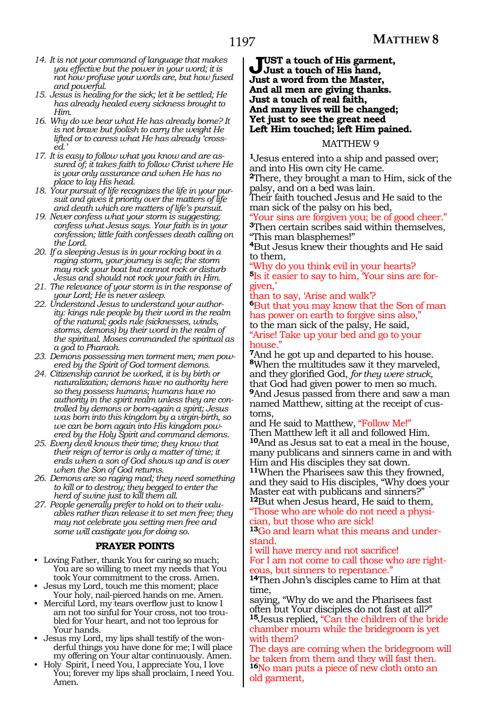- *14. It is not your command of language that makes you effective but the power in your word; it is not how profuse your words are, but how fused and powerful.*
- *15. Jesus is healing for the sick; let it be settled; He has already healed every sickness brought to Him.*
- *16. Why do we bear what He has already borne? It is not brave but foolish to carry the weight He lifted or to caress what He has already 'crossed.'*
- *17. It is easy to follow what you know and are assured of; it takes faith to follow Christ where He is your only assurance and when He has no place to lay His head.*
- *18. Your pursuit of life recognizes the life in your pursuit and gives it priority over the matters of life and death which are matters of life's pursuit.*
- *19. Never confess what your storm is suggesting; confess what Jesus says. Your faith is in your confession; little faith confesses death calling on the Lord.*
- *20. If a sleeping Jesus is in your rocking boat in a raging storm, your journey is safe; the storm may rock your boat but cannot rock or disturb Jesus and should not rock your faith in Him.*
- *21. The relevance of your storm is in the response of your Lord; He is never asleep.*
- *22. Understand Jesus to understand your authority: kings rule people by their word in the realm of the natural; gods rule (sicknesses, winds, storms, demons) by their word in the realm of the spiritual. Moses commanded the spiritual as a god to Pharaoh.*
- *23. Demons possessing men torment men; men powered by the Spirit of God torment demons.*
- *24. Citizenship cannot be worked, it is by birth or naturalization; demons have no authority here so they possess humans; humans have no authority in the spirit realm unless they are controlled by demons or born-again a spirit; Jesus was born into this kingdom by a virgin-birth, so we can be born again into His kingdom powered by the Holy Spirit and command demons.*
- *25. Every devil knows their time; they know that their reign of terror is only a matter of time; it ends when a son of God shows up and is over when the Son of God returns.*
- *26. Demons are so raging mad; they need something to kill or to destroy; they begged to enter the herd of swine just to kill them all.*
- *27. People generally prefer to hold on to their valuables rather than release it to set men free; they may not celebrate you setting men free and some will castigate you for doing so.*

# **PRAYER POINTS**

- Loving Father, thank You for caring so much; You are so willing to meet my needs that You took Your commitment to the cross. Amen.
- Jesus my Lord, touch me this moment; place Your holy, nail-pierced hands on me. Amen.
- Merciful Lord, my tears overflow just to know I am not too sinful for Your cross, not too troubled for Your heart, and not too leprous for Your hands.
- Jesus my Lord, my lips shall testify of the wonderful things you have done for me; I will place my offering on Your altar continuously. Amen.
- Holy Spirit, I need You, I appreciate You, I love You; forever my lips shall proclaim, I need You. Amen.

**Just a touch of His garment, Just a touch of His hand, Just a word from the Master, And all men are giving thanks. Just a touch of real faith, And many lives will be changed; Yet just to see the great need Left Him touched; left Him pained.**

# MATTHEW 9

**<sup>1</sup>**Jesus entered into a ship and passed over; and into His own city He came.

**<sup>2</sup>**There, they brought a man to Him, sick of the palsy, and on a bed was lain.

Their faith touched Jesus and He said to the man sick of the palsy on his bed,

Your sins are forgiven you; be of good cheer." **<sup>3</sup>**Then certain scribes said within themselves, "This man blasphemes!"

**<sup>4</sup>**But Jesus knew their thoughts and He said to them,

Why do you think evil in your hearts? **5**Is it easier to say to him, 'Your sins are forgiven,'

than to say, 'Arise and walk'? **<sup>6</sup>**But that you may know that the Son of man has power on earth to forgive sins also," to the man sick of the palsy, He said, "Arise! Take up your bed and go to your house."

**<sup>7</sup>**And he got up and departed to his house. **<sup>8</sup>**When the multitudes saw it they marveled, and they glorified God, *for they were struck,* that God had given power to men so much. **<sup>9</sup>**And Jesus passed from there and saw a man named Matthew, sitting at the receipt of cus- toms,

and He said to Matthew, "Follow Me!" Then Matthew left it all and followed Him. **<sup>10</sup>**And as Jesus sat to eat a meal in the house, many publicans and sinners came in and with Him and His disciples they sat down. **<sup>11</sup>**When the Pharisees saw this they frowned,

and they said to His disciples, "Why does your Master eat with publicans and sinners?" **<sup>12</sup>**But when Jesus heard, He said to them,

"Those who are whole do not need a physiian, but those who are sick!

**13**Go and learn what this means and understand.

#### I will have mercy and not sacrifice! For I am not come to call those who are righteous, but sinners to repentance."

**<sup>14</sup>**Then John's disciples came to Him at that time,

saying, "Why do we and the Pharisees fast often but Your disciples do not fast at all?" **<sup>15</sup>**Jesus replied, "Can the children of the bride chamber mourn while the bridegroom is yet with them?

The days are coming when the bridegroom will be taken from them and they will fast then. **<sup>16</sup>**No man puts a piece of new cloth onto an old garment,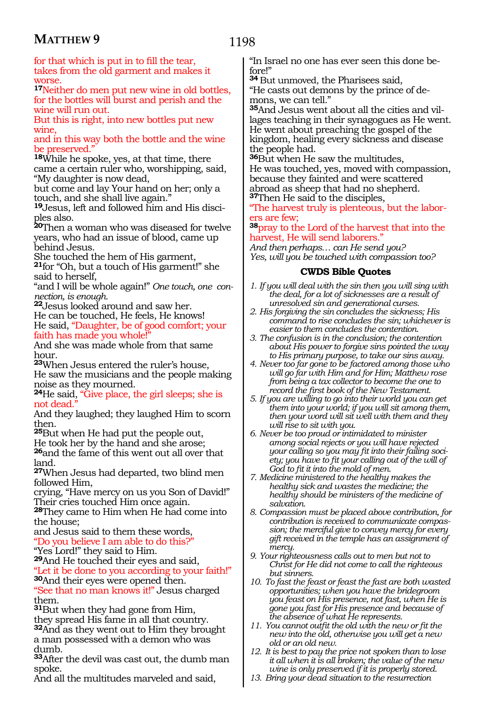1198

for that which is put in to fill the tear, takes from the old garment and makes it worse.

**<sup>17</sup>**Neither do men put new wine in old bottles, for the bottles will burst and perish and the wine will run out.

But this is right, into new bottles put new wine,

and in this way both the bottle and the wine be preserved."

**<sup>18</sup>**While he spoke, yes, at that time, there came a certain ruler who, worshipping, said, "My daughter is now dead,

but come and lay Your hand on her; only a touch, and she shall live again."

**19**Jesus, left and followed him and His disciples also.

**<sup>20</sup>**Then a woman who was diseased for twelve years, who had an issue of blood, came up behind Jesus.

She touched the hem of His garment, **<sup>21</sup>**for "Oh, but a touch of His garment!" she said to herself,

"and I will be whole again!" *One touch, one connection, is enough.*

**<sup>22</sup>**Jesus looked around and saw her.

He can be touched, He feels, He knows! He said, "Daughter, be of good comfort; your faith has made you whole!

And she was made whole from that same hour.

**<sup>23</sup>**When Jesus entered the ruler's house, He saw the musicians and the people making noise as they mourned.

**<sup>24</sup>**He said, "Give place, the girl sleeps; she is not dead."

And they laughed; they laughed Him to scorn then.

**<sup>25</sup>**But when He had put the people out,

He took her by the hand and she arose; **<sup>26</sup>**and the fame of this went out all over that

land.

**<sup>27</sup>**When Jesus had departed, two blind men followed Him,

crying, "Have mercy on us you Son of David!" Their cries touched Him once again.

**<sup>28</sup>**They came to Him when He had come into the house;

and Jesus said to them these words, "Do you believe I am able to do this?"

"Yes Lord!" they said to Him.

**<sup>29</sup>**And He touched their eyes and said, "Let it be done to you according to your faith!" **<sup>30</sup>**And their eyes were opened then.

"See that no man knows it!" Jesus charged them.

**<sup>31</sup>**But when they had gone from Him, they spread His fame in all that country. **<sup>32</sup>**And as they went out to Him they brought a man possessed with a demon who was

dumb. **<sup>33</sup>**After the devil was cast out, the dumb man

spoke.

And all the multitudes marveled and said,

"In Israel no one has ever seen this done before!"

**<sup>34</sup>**But unmoved, the Pharisees said, "He casts out demons by the prince of demons, we can tell."

**35**And Jesus went about all the cities and villages teaching in their synagogues as He went. He went about preaching the gospel of the kingdom, healing every sickness and disease the people had.

**<sup>36</sup>**But when He saw the multitudes, He was touched, yes, moved with compassion, because they fainted and were scattered abroad as sheep that had no shepherd. **<sup>37</sup>**Then He said to the disciples,

"The harvest truly is plenteous, but the laborers are few;

**<sup>38</sup>**pray to the Lord of the harvest that into the harvest, He will send laborers."

*And then perhaps… can He send you? Yes, will you be touched with compassion too?*

- *1. If you will deal with the sin then you will sing with the deal, for a lot of sicknesses are a result of unresolved sin and generational curses.*
- *2. His forgiving the sin concludes the sickness; His command to rise concludes the sin; whichever is easier to them concludes the contention.*
- *3. The confusion is in the conclusion; the contention about His power to forgive sins pointed the way to His primary purpose, to take our sins away.*
- *4. Never too far gone to be factored among those who will go far with Him and for Him; Matthew rose from being a tax collector to become the one to record the first book of the New Testament.*
- *5. If you are willing to go into their world you can get them into your world; if you will sit among them, then your word will sit well with them and they will rise to sit with you.*
- *6. Never be too proud or intimidated to minister among social rejects or you will have rejected your calling so you may fit into their failing society; you have to fit your calling out of the will of God to fit it into the mold of men.*
- *7. Medicine ministered to the healthy makes the healthy sick and wastes the medicine; the healthy should be ministers of the medicine of salvation.*
- *8. Compassion must be placed above contribution, for contribution is received to communicate compassion; the merciful give to convey mercy for every gift received in the temple has an assignment of mercy.*
- *9. Your righteousness calls out to men but not to Christ for He did not come to call the righteous but sinners.*
- *10. To fast the feast or feast the fast are both wasted opportunities; when you have the bridegroom you feast on His presence, not fast, when He is gone you fast for His presence and because of the absence of what He represents.*
- *11. You cannot outfit the old with the new or fit the new into the old, otherwise you will get a new old or an old new.*
- *12. It is best to pay the price not spoken than to lose it all when it is all broken; the value of the new wine is only preserved if it is properly stored.*
- *13. Bring your dead situation to the resurrection*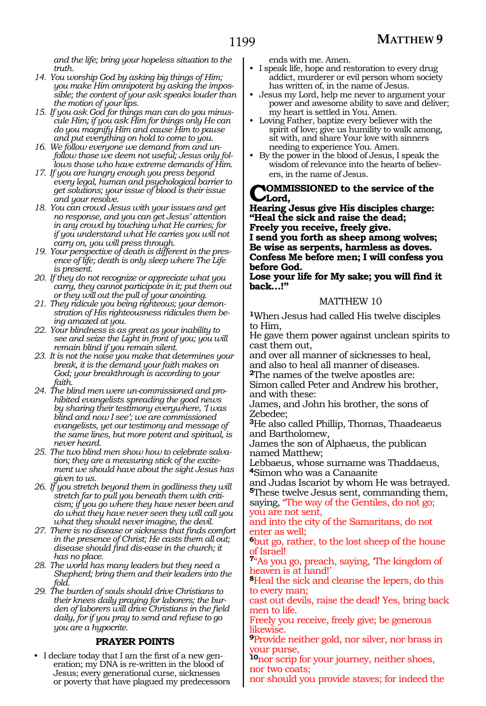*and the life; bring your hopeless situation to the truth.*

- *14. You worship God by asking big things of Him; you make Him omnipotent by asking the impossible; the content of your ask speaks louder than the motion of your lips.*
- *15. If you ask God for things man can do you minuscule Him; if you ask Him for things only He can do you magnify Him and cause Him to pause and put everything on hold to come to you.*
- *16. We follow everyone we demand from and unfollow those we deem not useful; Jesus only follows those who have extreme demands of Him.*
- *17. If you are hungry enough you press beyond every legal, human and psychological barrier to get solutions; your issue of blood is their issue and your resolve.*
- *18. You can crowd Jesus with your issues and get no response, and you can get Jesus' attention in any crowd by touching what He carries; for if you understand what He carries you will not carry on, you will press through.*
- *19. Your perspective of death is different in the presence of life; death is only sleep where The Life is present.*
- *20. If they do not recognize or appreciate what you carry, they cannot participate in it; put them out or they will out the pull of your anointing.*
- *21. They ridicule you being righteous; your demonstration of His righteousness ridicules them being amazed at you.*
- *22. Your blindness is as great as your inability to see and seize the Light in front of you; you will remain blind if you remain silent.*
- *23. It is not the noise you make that determines your break, it is the demand your faith makes on God; your breakthrough is according to your faith.*
- *24. The blind men were un-commissioned and prohibited evangelists spreading the good news by sharing their testimony everywhere, 'I was blind and now I see'; we are commissioned evangelists, yet our testimony and message of the same lines, but more potent and spiritual, is never heard.*
- *25. The two blind men show how to celebrate salvation; they are a measuring stick of the excitement we should have about the sight Jesus has given to us.*
- *26. If you stretch beyond them in godliness they will stretch far to pull you beneath them with criticism; if you go where they have never been and do what they have never seen they will call you what they should never imagine, the devil.*
- *27. There is no disease or sickness that finds comfort in the presence of Christ; He casts them all out; disease should find dis-ease in the church; it has no place.*
- *28. The world has many leaders but they need a Shepherd; bring them and their leaders into the fold.*
- *29. The burden of souls should drive Christians to their knees daily praying for laborers; the burden of laborers will drive Christians in the field daily, for if you pray to send and refuse to go you are a hypocrite.*

## **PRAYER POINTS**

• I declare today that I am the first of a new generation; my DNA is re-written in the blood of Jesus; every generational curse, sicknesses or poverty that have plagued my predecessors ends with me. Amen.

- I speak life, hope and restoration to every drug addict, murderer or evil person whom society has written of, in the name of Jesus.
- Jesus my Lord, help me never to argument your power and awesome ability to save and deliver; my heart is settled in You. Amen.
- Loving Father, baptize every believer with the spirit of love; give us humility to walk among, sit with, and share Your love with sinners needing to experience You. Amen.
- By the power in the blood of Jesus, I speak the wisdom of relevance into the hearts of believers, in the name of Jesus.

#### **COMMISSIONED** to the service of the **Lord,**

**Hearing Jesus give His disciples charge: "Heal the sick and raise the dead; Freely you receive, freely give. I send you forth as sheep among wolves; Be wise as serpents, harmless as doves. Confess Me before men; I will confess you before God.**

**Lose your life for My sake; you will find it back…!"**

## MATTHEW 10

**<sup>1</sup>**When Jesus had called His twelve disciples to Him,

He gave them power against unclean spirits to cast them out,

and over all manner of sicknesses to heal, and also to heal all manner of diseases.

**<sup>2</sup>**The names of the twelve apostles are: Simon called Peter and Andrew his brother,

and with these: James, and John his brother, the sons of Zebedee;

**<sup>3</sup>**He also called Phillip, Thomas, Thaadeaeus and Bartholomew,

James the son of Alphaeus, the publican named Matthew;

Lebbaeus, whose surname was Thaddaeus, **<sup>4</sup>**Simon who was a Canaanite

and Judas Iscariot by whom He was betrayed. **<sup>5</sup>**These twelve Jesus sent, commanding them,

saying, "The way of the Gentiles, do not go; you are not sent,

and into the city of the Samaritans, do not enter as well;

**<sup>6</sup>**but go, rather, to the lost sheep of the house of Israel!

**<sup>7</sup>**"As you go, preach, saying, 'The kingdom of heaven is at hand!'

**<sup>8</sup>**Heal the sick and cleanse the lepers, do this to every man;

cast out devils, raise the dead! Yes, bring back men to life.

Freely you receive, freely give; be generous likewise.

**<sup>9</sup>**Provide neither gold, nor silver, nor brass in our purse,

**<sup>10</sup>**nor scrip for your journey, neither shoes, nor two coats;

nor should you provide staves; for indeed the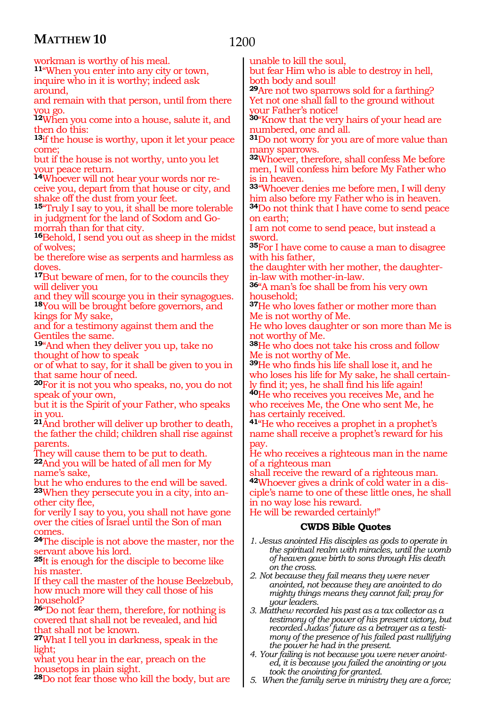1200

workman is worthy of his meal.

**<sup>11</sup>**"When you enter into any city or town, inquire who in it is worthy; indeed ask around,

and remain with that person, until from there you go.

**<sup>12</sup>**When you come into a house, salute it, and then do this:

**<sup>13</sup>**if the house is worthy, upon it let your peace come;

but if the house is not worthy, unto you let your peace return.

**<sup>14</sup>**Whoever will not hear your words nor re- ceive you, depart from that house or city, and shake off the dust from your feet.

**<sup>15</sup>**"Truly I say to you, it shall be more tolerable in judgment for the land of Sodom and Gomorrah than for that city.

**<sup>16</sup>**Behold, I send you out as sheep in the midst of wolves;

be therefore wise as serpents and harmless as doves.

**<sup>17</sup>**But beware of men, for to the councils they will deliver you

and they will scourge you in their synagogues. **<sup>18</sup>**You will be brought before governors, and kings for My sake,

and for a testimony against them and the Gentiles the same.

**<sup>19</sup>**"And when they deliver you up, take no thought of how to speak

or of what to say, for it shall be given to you in that same hour of need.

**<sup>20</sup>**For it is not you who speaks, no, you do not speak of your own,

but it is the Spirit of your Father, who speaks in you.

**<sup>21</sup>**And brother will deliver up brother to death, the father the child; children shall rise against parents.

They will cause them to be put to death. **<sup>22</sup>**And you will be hated of all men for My

name's sake,

but he who endures to the end will be saved. **<sup>23</sup>**When they persecute you in a city, into an- other city flee,

for verily I say to you, you shall not have gone over the cities of Israel until the Son of man comes.

**<sup>24</sup>**The disciple is not above the master, nor the servant above his lord.

**<sup>25</sup>**It is enough for the disciple to become like his master.

If they call the master of the house Beelzebub, how much more will they call those of his household?

**<sup>26</sup>**"Do not fear them, therefore, for nothing is covered that shall not be revealed, and hid hat shall not be known.

**<sup>27</sup>**What I tell you in darkness, speak in the light;

what you hear in the ear, preach on the housetops in plain sight.

**<sup>28</sup>**Do not fear those who kill the body, but are

unable to kill the soul,

but fear Him who is able to destroy in hell, both body and soul!

**<sup>29</sup>**Are not two sparrows sold for a farthing? Yet not one shall fall to the ground without your Father's notice!

**<sup>30</sup>**"Know that the very hairs of your head are numbered, one and all.

**<sup>31</sup>**Do not worry for you are of more value than many sparrows.

**<sup>32</sup>**Whoever, therefore, shall confess Me before men, I will confess him before My Father who is in heaven.

**<sup>33</sup>**''Whoever denies me before men, I will deny him also before my Father who is in heaven.

**<sup>34</sup>**Do not think that I have come to send peace on earth;

I am not come to send peace, but instead a sword.

**<sup>35</sup>**For I have come to cause a man to disagree with his father,

the daughter with her mother, the daughterin-law with mother-in-law.

**<sup>36</sup>**"A man's foe shall be from his very own household;

**<sup>37</sup>**He who loves father or mother more than Me is not worthy of Me.

He who loves daughter or son more than Me is not worthy of Me.

**<sup>38</sup>**He who does not take his cross and follow Me is not worthy of Me.

**<sup>39</sup>**He who finds his life shall lose it, and he who loses his life for My sake, he shall certainly find it; yes, he shall find his life again!

**<sup>40</sup>**He who receives you receives Me, and he who receives Me, the One who sent Me, he has certainly received.

**<sup>41</sup>**"He who receives a prophet in a prophet's name shall receive a prophet's reward for his pay.

He who receives a righteous man in the name of a righteous man

shall receive the reward of a righteous man. **<sup>42</sup>**Whoever gives a drink of cold water in a dis- ciple's name to one of these little ones, he shall in no way lose his reward. He will be rewarded certainly!"

- *1. Jesus anointed His disciples as gods to operate in the spiritual realm with miracles, until the womb of heaven gave birth to sons through His death on the cross.*
- *2. Not because they fail means they were never anointed, not because they are anointed to do mighty things means they cannot fail; pray for your leaders.*
- *3. Matthew recorded his past as a tax collector as a testimony of the power of his present victory, but recorded Judas' future as a betrayer as a testimony of the presence of his failed past nullifying the power he had in the present.*
- *4. Your failing is not because you were never anointed, it is because you failed the anointing or you took the anointing for granted.*
- *5. When the family serve in ministry they are a force;*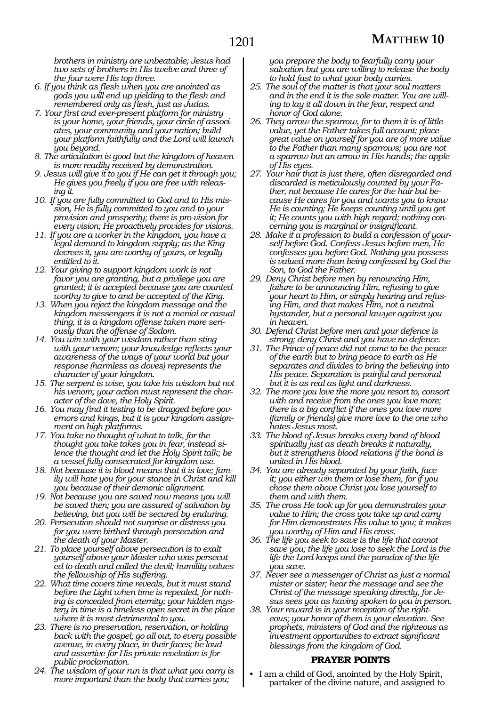*brothers in ministry are unbeatable; Jesus had two sets of brothers in His twelve and three of the four were His top three.*

- *6. If you think as flesh when you are anointed as gods you will end up yielding to the flesh and remembered only as flesh, just as Judas.*
- *7. Your first and ever-present platform for ministry is your home, your friends, your circle of associates, your community and your nation; build your platform faithfully and the Lord will launch you beyond.*
- *8. The articulation is good but the kingdom of heaven is more readily received by demonstration.*
- *9. Jesus will give it to you if He can get it through you; He gives you freely if you are free with releasing it.*
- *10. If you are fully committed to God and to His mission, He is fully committed to you and to your provision and prosperity; there is pro-vision for every vision; He proactively provides for visions.*
- *11. If you are a worker in the kingdom, you have a legal demand to kingdom supply; as the King decrees it, you are worthy of yours, or legally entitled to it.*
- *12. Your giving to support kingdom work is not favor you are granting, but a privilege you are granted; it is accepted because you are counted worthy to give to and be accepted of the King.*
- *13. When you reject the kingdom message and the kingdom messengers it is not a menial or casual thing, it is a kingdom offense taken more seriously than the offense of Sodom.*
- *14. You win with your wisdom rather than sting with your venom; your knowledge reflects your awareness of the ways of your world but your response (harmless as doves) represents the character of your kingdom.*
- *15. The serpent is wise, you take his wisdom but not his venom; your action must represent the character of the dove, the Holy Spirit.*
- *16. You may find it testing to be dragged before governors and kings, but it is your kingdom assignment on high platforms.*
- *17. You take no thought of what to talk, for the thought you take takes you in fear, instead silence the thought and let the Holy Spirit talk; be a vessel fully consecrated for kingdom use.*
- *18. Not because it is blood means that it is love; family will hate you for your stance in Christ and kill you because of their demonic alignment.*
- *19. Not because you are saved now means you will be saved then; you are assured of salvation by believing, but you will be secured by enduring.*
- *20. Persecution should not surprise or distress you for you were birthed through persecution and the death of your Master.*
- *21. To place yourself above persecution is to exalt yourself above your Master who was persecuted to death and called the devil; humility values the fellowship of His suffering.*
- *22. What time covers time reveals, but it must stand before the Light when time is repealed, for nothing is concealed from eternity; your hidden mystery in time is a timeless open secret in the place where it is most detrimental to you.*
- *23. There is no preservation, reservation, or holding back with the gospel; go all out, to every possible avenue, in every place, in their faces; be loud and assertive for His private revelation is for public proclamation.*
- *24. The wisdom of your run is that what you carry is more important than the body that carries you;*

*you prepare the body to fearfully carry your salvation but you are willing to release the body to hold fast to what your body carries.*

- *25. The soul of the matter is that your soul matters and in the end it is the sole matter. You are willing to lay it all down in the fear, respect and honor of God alone.*
- *26. They arrow the sparrow, for to them it is of little value, yet the Father takes full account; place great value on yourself for you are of more value to the Father than many sparrows; you are not a sparrow but an arrow in His hands; the apple of His eyes.*
- *27. Your hair that is just there, often disregarded and discarded is meticulously counted by your Father, not because He cares for the hair but because He cares for you and wants you to know He is counting; He keeps counting until you get it; He counts you with high regard; nothing concerning you is marginal or insignificant.*
- *28. Make it a profession to build a confession of yourself before God. Confess Jesus before men, He confesses you before God. Nothing you possess is valued more than being confessed by God the Son, to God the Father.*
- *29. Deny Christ before men by renouncing Him, failure to be announcing Him, refusing to give your heart to Him, or simply hearing and refusing Him, and that makes Him, not a neutral bystander, but a personal lawyer against you in heaven.*
- *30. Defend Christ before men and your defence is strong; deny Christ and you have no defence.*
- *31. The Prince of peace did not come to be the peace of the earth but to bring peace to earth as He separates and divides to bring the believing into His peace. Separation is painful and personal but it is as real as light and darkness.*
- *32. The more you love the more you resort to, consort with and receive from the ones you love more; there is a big conflict if the ones you love more (family or friends) give more love to the one who hates Jesus most.*
- *33. The blood of Jesus breaks every bond of blood spiritually just as death breaks it naturally, but it strengthens blood relations if the bond is united in His blood.*
- *34. You are already separated by your faith, face it; you either win them or lose them, for if you chose them above Christ you lose yourself to them and with them.*
- *35. The cross He took up for you demonstrates your value to Him; the cross you take up and carry for Him demonstrates His value to you; it makes you worthy of Him and His cross.*
- *36. The life you seek to save is the life that cannot save you; the life you lose to seek the Lord is the life the Lord keeps and the paradox of the life you save.*
- *37. Never see a messenger of Christ as just a normal mister or sister; hear the message and see the Christ of the message speaking directly, for Jesus sees you as having spoken to you in person.*
- *38. Your reward is in your reception of the righteous; your honor of them is your elevation. See prophets, ministers of God and the righteous as investment opportunities to extract significant blessings from the kingdom of God.*

## **PRAYER POINTS**

I am a child of God, anointed by the Holy Spirit, partaker of the divine nature, and assigned to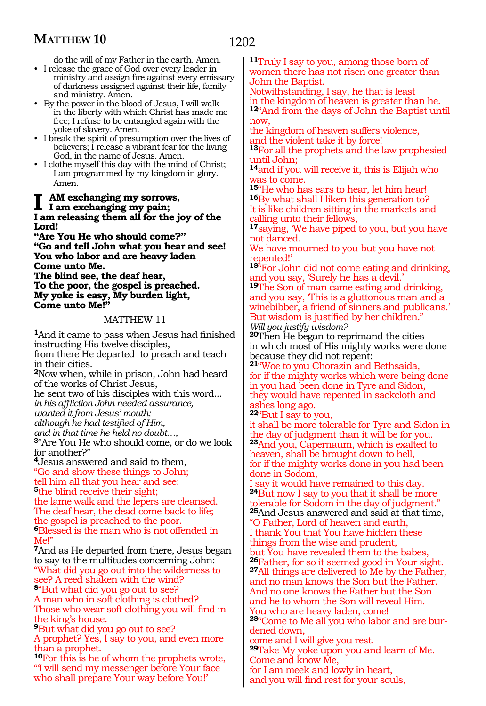do the will of my Father in the earth. Amen.

- I release the grace of God over every leader in ministry and assign fire against every emissary of darkness assigned against their life, family and ministry. Amen.
- By the power in the blood of Jesus, I will walk in the liberty with which Christ has made me free; I refuse to be entangled again with the yoke of slavery. Amen.
- I break the spirit of presumption over the lives of believers; I release a vibrant fear for the living God, in the name of Jesus. Amen.
- I clothe myself this day with the mind of Christ; I am programmed by my kingdom in glory. Amen.

**I am exchanging my sorrows, I am exchanging my pain; I am releasing them all for the joy of the Lord!**

**"Are You He who should come?" "Go and tell John what you hear and see! You who labor and are heavy laden Come unto Me.**

**The blind see, the deaf hear, To the poor, the gospel is preached. My yoke is easy, My burden light, Come unto Me!"**

#### MATTHEW 11

**<sup>1</sup>**And it came to pass when Jesus had finished instructing His twelve disciples, from there He departed to preach and teach

in their cities.

**<sup>2</sup>**Now when, while in prison, John had heard of the works of Christ Jesus,

he sent two of his disciples with this word... *in his affliction John needed assurance,*

*wanted it from Jesus' mouth;*

*although he had testified of Him,*

*and in that time he held no doubt…,*

**<sup>3</sup>**"Are You He who should come, or do we look for another?"

**<sup>4</sup>**Jesus answered and said to them, "Go and show these things to John;

tell him all that you hear and see:

**<sup>5</sup>**the blind receive their sight;

the lame walk and the lepers are cleansed. The deaf hear, the dead come back to life; the gospel is preached to the poor. **<sup>6</sup>**Blessed is the man who is not offended in Me!"

**<sup>7</sup>**And as He departed from there, Jesus began to say to the multitudes concerning John: "What did you go out into the wilderness to see? A reed shaken with the wind? **<sup>8</sup>**"But what did you go out to see?

A man who in soft clothing is clothed? Those who wear soft clothing you will find in the king's house.

**<sup>9</sup>**But what did you go out to see? A prophet? Yes, I say to you, and even more than a prophet.

**<sup>10</sup>**For this is he of whom the prophets wrote, "'I will send my messenger before Your face who shall prepare Your way before You!'

**<sup>11</sup>**Truly I say to you, among those born of women there has not risen one greater than John the Baptist.

Notwithstanding, I say, he that is least in the kingdom of heaven is greater than he. **<sup>12</sup>**"And from the days of John the Baptist until now,

the kingdom of heaven suffers violence, and the violent take it by force!

**<sup>13</sup>**For all the prophets and the law prophesied until John;

**<sup>14</sup>**and if you will receive it, this is Elijah who was to come.

**<sup>15</sup>**"He who has ears to hear, let him hear! **<sup>16</sup>**By what shall I liken this generation to? It is like children sitting in the markets and calling unto their fellows,

**<sup>17</sup>**saying, 'We have piped to you, but you have not danced.

We have mourned to you but you have not repented!'

**<sup>18</sup>**"For John did not come eating and drinking, and you say, 'Surely he has a devil.'

**<sup>19</sup>**The Son of man came eating and drinking, and you say, 'This is a gluttonous man and a winebibber, a friend of sinners and publicans.' But wisdom is justified by her children." *Will you justify wisdom?*

**<sup>20</sup>**Then He began to reprimand the cities in which most of His mighty works were done because they did not repent:

**<sup>21</sup>**"Woe to you Chorazin and Bethsaida, for if the mighty works which were being done in you had been done in Tyre and Sidon, they would have repented in sackcloth and ashes long ago.

**<sup>22</sup>**"But I say to you,

it shall be more tolerable for Tyre and Sidon in the day of judgment than it will be for you. **<sup>23</sup>**And you, Capernaum, which is exalted to heaven, shall be brought down to hell, for if the mighty works done in you had been done in Sodom,

I say it would have remained to this day. **<sup>24</sup>**But now I say to you that it shall be more tolerable for Sodom in the day of judgment." **<sup>25</sup>**And Jesus answered and said at that time, "O Father, Lord of heaven and earth, I thank You that You have hidden these things from the wise and prudent, but You have revealed them to the babes, **<sup>26</sup>**Father, for so it seemed good in Your sight. **<sup>27</sup>**All things are delivered to Me by the Father, and no man knows the Son but the Father. And no one knows the Father but the Son and he to whom the Son will reveal Him. You who are heavy laden, come! **<sup>28</sup>**"Come to Me all you who labor and are bur- dened down,

come and I will give you rest. **<sup>29</sup>**Take My yoke upon you and learn of Me. Come and know Me, for I am meek and lowly in heart, and you will find rest for your souls,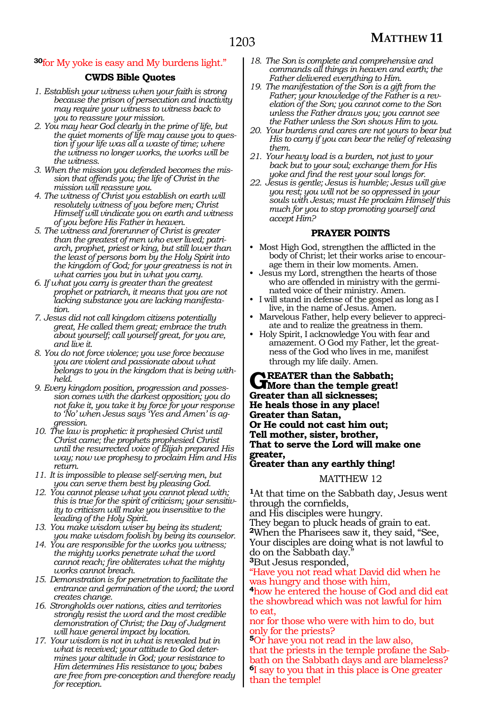## **<sup>30</sup>**for My yoke is easy and My burdens light."

## **CWDS Bible Quotes**

- *1. Establish your witness when your faith is strong because the prison of persecution and inactivity may require your witness to witness back to you to reassure your mission.*
- *2. You may hear God clearly in the prime of life, but the quiet moments of life may cause you to question if your life was all a waste of time; where the witness no longer works, the works will be the witness.*
- *3. When the mission you defended becomes the mission that offends you; the life of Christ in the mission will reassure you.*
- *4. The witness of Christ you establish on earth will resolutely witness of you before men; Christ Himself will vindicate you on earth and witness of you before His Father in heaven.*
- *5. The witness and forerunner of Christ is greater than the greatest of men who ever lived; patriarch, prophet, priest or king, but still lower than the least of persons born by the Holy Spirit into the kingdom of God; for your greatness is not in what carries you but in what you carry.*
- *6. If what you carry is greater than the greatest prophet or patriarch, it means that you are not lacking substance you are lacking manifestation.*
- *7. Jesus did not call kingdom citizens potentially great, He called them great; embrace the truth about yourself; call yourself great, for you are, and live it.*
- *8. You do not force violence; you use force because you are violent and passionate about what belongs to you in the kingdom that is being withheld.*
- *9. Every kingdom position, progression and possession comes with the darkest opposition; you do not fake it, you take it by force for your response to 'No' when Jesus says 'Yes and Amen' is aggression.*
- *10. The law is prophetic: it prophesied Christ until Christ came; the prophets prophesied Christ until the resurrected voice of Elijah prepared His way; now we prophesy to proclaim Him and His return.*
- *11. It is impossible to please self-serving men, but you can serve them best by pleasing God.*
- *12. You cannot please what you cannot plead with; this is true for the spirit of criticism; your sensitivity to criticism will make you insensitive to the leading of the Holy Spirit.*
- *13. You make wisdom wiser by being its student; you make wisdom foolish by being its counselor.*
- *14. You are responsible for the works you witness; the mighty works penetrate what the word cannot reach; fire obliterates what the mighty works cannot breach.*
- *15. Demonstration is for penetration to facilitate the entrance and germination of the word; the word creates change.*
- *16. Strongholds over nations, cities and territories strongly resist the word and the most credible demonstration of Christ; the Day of Judgment will have general impact by location.*
- *17. Your wisdom is not in what is revealed but in what is received; your attitude to God determines your altitude in God; your resistance to Him determines His resistance to you; babes are free from pre-conception and therefore ready for reception.*
- *18. The Son is complete and comprehensive and commands all things in heaven and earth; the Father delivered everything to Him.*
- *19. The manifestation of the Son is a gift from the Father; your knowledge of the Father is a revelation of the Son; you cannot come to the Son unless the Father draws you; you cannot see the Father unless the Son shows Him to you.*
- *20. Your burdens and cares are not yours to bear but His to carry if you can bear the relief of releasing them.*
- *21. Your heavy load is a burden, not just to your back but to your soul; exchange them for His yoke and find the rest your soul longs for.*
- *22. Jesus is gentle; Jesus is humble; Jesus will give you rest; you will not be so oppressed in your souls with Jesus; must He proclaim Himself this much for you to stop promoting yourself and accept Him?*

# **PRAYER POINTS**

- Most High God, strengthen the afflicted in the body of Christ; let their works arise to encourage them in their low moments. Amen.
- Jesus my Lord, strengthen the hearts of those who are offended in ministry with the germinated voice of their ministry. Amen.
- I will stand in defense of the gospel as long as I live, in the name of Jesus. Amen.
- Marvelous Father, help every believer to appreciate and to realize the greatness in them.
- Holy Spirit, I acknowledge You with fear and amazement. O God my Father, let the greatness of the God who lives in me, manifest through my life daily. Amen.

**Greater than the Sabbath; More than the temple great! Greater than all sicknesses; He heals those in any place! Greater than Satan, Or He could not cast him out; Tell mother, sister, brother, That to serve the Lord will make one greater, Greater than any earthly thing!**

#### MATTHEW 12

**<sup>1</sup>**At that time on the Sabbath day, Jesus went through the cornfields,

and His disciples were hungry. They began to pluck heads of grain to eat. **<sup>2</sup>**When the Pharisees saw it, they said, "See, Your disciples are doing what is not lawful to do on the Sabbath day. **<sup>3</sup>**But Jesus responded,

"Have you not read what David did when he was hungry and those with him,

**<sup>4</sup>**how he entered the house of God and did eat the showbread which was not lawful for him to eat,

nor for those who were with him to do, but only for the priests?

**<sup>5</sup>**Or have you not read in the law also, that the priests in the temple profane the Sabbath on the Sabbath days and are blameless? **<sup>6</sup>**I say to you that in this place is One greater than the temple!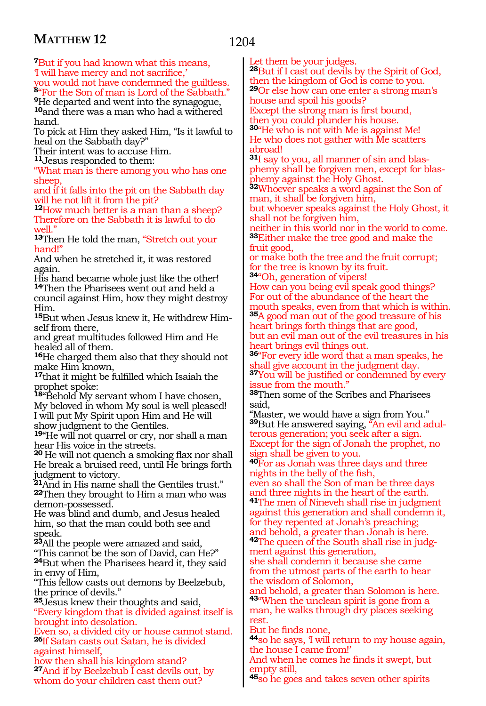# 1204

**<sup>7</sup>**But if you had known what this means, 'I will have mercy and not sacrifice,' you would not have condemned the guiltless. **<sup>8</sup>**"For the Son of man is Lord of the Sabbath."

**<sup>9</sup>**He departed and went into the synagogue, **<sup>10</sup>**and there was a man who had a withered hand.

To pick at Him they asked Him, "Is it lawful to heal on the Sabbath day?"

Their intent was to accuse Him.

**<sup>11</sup>**Jesus responded to them:

"What man is there among you who has one sheep,

and if it falls into the pit on the Sabbath day will he not lift it from the pit?

**<sup>12</sup>**How much better is a man than a sheep? Therefore on the Sabbath it is lawful to do well."

**<sup>13</sup>**Then He told the man, "Stretch out your hand!"

And when he stretched it, it was restored again.

His hand became whole just like the other! **<sup>14</sup>**Then the Pharisees went out and held a council against Him, how they might destroy Him.

**15**But when Jesus knew it, He withdrew Himself from there,

and great multitudes followed Him and He healed all of them.

**<sup>16</sup>**He charged them also that they should not make Him known,

**<sup>17</sup>**that it might be fulfilled which Isaiah the prophet spoke:

**<sup>18</sup>**"Behold My servant whom I have chosen, My beloved in whom My soul is well pleased! I will put My Spirit upon Him and He will show judgment to the Gentiles.

**<sup>19</sup>**"He will not quarrel or cry, nor shall a man hear His voice in the streets.

**<sup>20</sup>**He will not quench a smoking flax nor shall He break a bruised reed, until He brings forth judgment to victory.

**<sup>21</sup>**And in His name shall the Gentiles trust." **<sup>22</sup>**Then they brought to Him a man who was demon-possessed.

He was blind and dumb, and Jesus healed him, so that the man could both see and speak.

**<sup>23</sup>**All the people were amazed and said, "This cannot be the son of David, can He?" **<sup>24</sup>**But when the Pharisees heard it, they said in envy of Him,

"This fellow casts out demons by Beelzebub, the prince of devils."

**<sup>25</sup>**Jesus knew their thoughts and said, "Every kingdom that is divided against itself is brought into desolation.

Even so, a divided city or house cannot stand. **<sup>26</sup>**If Satan casts out Satan, he is divided against himself,

how then shall his kingdom stand? **<sup>27</sup>**And if by Beelzebub I cast devils out, by whom do your children cast them out?

Let them be your judges.

**<sup>28</sup>**But if I cast out devils by the Spirit of God, then the kingdom of God is come to you. **<sup>29</sup>**Or else how can one enter a strong man's house and spoil his goods?

Except the strong man is first bound, then you could plunder his house.

**<sup>30</sup>**"He who is not with Me is against Me! He who does not gather with Me scatters abroad!

**31**I say to you, all manner of sin and blasphemy shall be forgiven men, except for blasphemy against the Holy Ghost.

**<sup>32</sup>**Whoever speaks a word against the Son of man, it shall be forgiven him,

but whoever speaks against the Holy Ghost, it shall not be forgiven him,

neither in this world nor in the world to come. **<sup>33</sup>**Either make the tree good and make the fruit good,

or make both the tree and the fruit corrupt; for the tree is known by its fruit.

**<sup>34</sup>**"Oh, generation of vipers! How can you being evil speak good things? For out of the abundance of the heart the mouth speaks, even from that which is within.

**<sup>35</sup>**A good man out of the good treasure of his heart brings forth things that are good, but an evil man out of the evil treasures in his heart brings evil things out.

**<sup>36</sup>**"For every idle word that a man speaks, he shall give account in the judgment day.

**<sup>37</sup>**You will be justified or condemned by every ssue from the mouth."

**<sup>38</sup>**Then some of the Scribes and Pharisees said,

"Master, we would have a sign from You." **<sup>39</sup>**But He answered saying, "An evil and adul- terous generation; you seek after a sign. Except for the sign of Jonah the prophet, no sign shall be given to you.

**<sup>40</sup>**For as Jonah was three days and three nights in the belly of the fish,

even so shall the Son of man be three days and three nights in the heart of the earth. **<sup>41</sup>**The men of Nineveh shall rise in judgment

against this generation and shall condemn it, for they repented at Jonah's preaching; and behold, a greater than Jonah is here.

**<sup>42</sup>**The queen of the South shall rise in judg- ment against this generation,

she shall condemn it because she came from the utmost parts of the earth to hear the wisdom of Solomon,

and behold, a greater than Solomon is here. **<sup>43</sup>**"When the unclean spirit is gone from a man, he walks through dry places seeking rest.

But he finds none,

**<sup>44</sup>**so he says, 'I will return to my house again, the house I came from!'

And when he comes he finds it swept, but empty still,

**<sup>45</sup>**so he goes and takes seven other spirits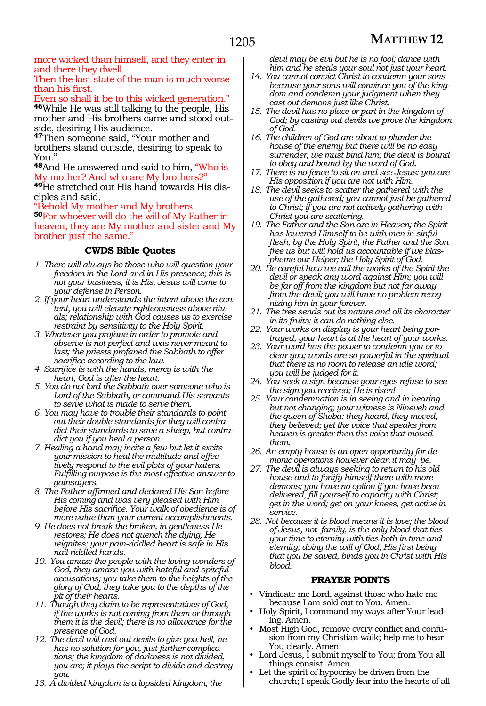more wicked than himself, and they enter in and there they dwell.

Then the last state of the man is much worse than his first.

Even so shall it be to this wicked generation." **<sup>46</sup>**While He was still talking to the people, His mother and His brothers came and stood outside, desiring His audience.

**<sup>47</sup>**Then someone said, "Your mother and brothers stand outside, desiring to speak to You."

**<sup>48</sup>**And He answered and said to him, "Who is My mother? And who are My brothers?"

**49**He stretched out His hand towards His disciples and said,

Behold My mother and My brothers. **<sup>50</sup>**For whoever will do the will of My Father in heaven, they are My mother and sister and My brother just the same."

# **CWDS Bible Quotes**

- *1. There will always be those who will question your freedom in the Lord and in His presence; this is not your business, it is His, Jesus will come to your defense in Person.*
- *2. If your heart understands the intent above the content, you will elevate righteousness above rituals; relationship with God causes us to exercise restraint by sensitivity to the Holy Spirit.*
- *3. Whatever you profane in order to promote and observe is not perfect and was never meant to last; the priests profaned the Sabbath to offer sacrifice according to the law.*
- *4. Sacrifice is with the hands, mercy is with the heart; God is after the heart.*
- *5. You do not lord the Sabbath over someone who is Lord of the Sabbath, or command His servants to serve what is made to serve them.*
- *6. You may have to trouble their standards to point out their double standards for they will contradict their standards to save a sheep, but contradict you if you heal a person.*
- *7. Healing a hand may incite a few but let it excite your mission to heal the multitude and effectively respond to the evil plots of your haters. Fulfilling purpose is the most effective answer to gainsayers.*
- *8. The Father affirmed and declared His Son before His coming and was very pleased with Him before His sacrifice. Your walk of obedience is of more value than your current accomplishments.*
- *9. He does not break the broken, in gentleness He restores; He does not quench the dying, He reignites; your pain-riddled heart is safe in His nail-riddled hands.*
- *10. You amaze the people with the loving wonders of God, they amaze you with hateful and spiteful accusations; you take them to the heights of the glory of God; they take you to the depths of the pit of their hearts.*
- *11. Though they claim to be representatives of God, if the works is not coming from them or through them it is the devil; there is no allowance for the presence of God.*
- *12. The devil will cast out devils to give you hell, he has no solution for you, just further complications; the kingdom of darkness is not divided, you are; it plays the script to divide and destroy you.*
- *13. A divided kingdom is a lopsided kingdom; the*

*devil may be evil but he is no fool; dance with him and he steals your soul not just your heart.*

- *14. You cannot convict Christ to condemn your sons because your sons will convince you of the kingdom and condemn your judgment when they cast out demons just like Christ.*
- *15. The devil has no place or part in the kingdom of God; by casting out devils we prove the kingdom of God.*
- *16. The children of God are about to plunder the house of the enemy but there will be no easy surrender, we must bind him; the devil is bound to obey and bound by the word of God.*
- *17. There is no fence to sit on and see Jesus; you are His opposition if you are not with Him.*
- *18. The devil seeks to scatter the gathered with the use of the gathered; you cannot just be gathered to Christ; if you are not actively gathering with Christ you are scattering.*
- *19. The Father and the Son are in Heaven; the Spirit has lowered Himself to be with men in sinful flesh; by the Holy Spirit, the Father and the Son free us but will hold us accountable if we blaspheme our Helper; the Holy Spirit of God.*
- *20. Be careful how we call the works of the Spirit the devil or speak any word against Him; you will be far off from the kingdom but not far away from the devil; you will have no problem recognizing him in your forever.*
- *21. The tree sends out its nature and all its character in its fruits; it can do nothing else.*
- *22. Your works on display is your heart being portrayed; your heart is at the heart of your works.*
- *23. Your word has the power to condemn you or to clear you; words are so powerful in the spiritual that there is no room to release an idle word; you will be judged for it.*
- *24. You seek a sign because your eyes refuse to see the sign you received; He is risen!*
- *25. Your condemnation is in seeing and in hearing but not changing; your witness is Nineveh and the queen of Sheba: they heard, they moved, they believed; yet the voice that speaks from heaven is greater then the voice that moved them.*
- *26. An empty house is an open opportunity for demonic operations however clean it may be.*
- *27. The devil is always seeking to return to his old house and to fortify himself there with more demons; you have no option if you have been delivered, fill yourself to capacity with Christ; get in the word; get on your knees, get active in service.*
- *28. Not because it is blood means it is love; the blood of Jesus, not family, is the only blood that ties your time to eternity with ties both in time and eternity; doing the will of God, His first being that you be saved, binds you in Christ with His blood.*

## **PRAYER POINTS**

- Vindicate me Lord, against those who hate me because I am sold out to You. Amen.
- Holy Spirit, I command my ways after Your leading. Amen.
- Most High God, remove every conflict and confusion from my Christian walk; help me to hear You clearly. Amen.
- Lord Jesus, I submit myself to You; from You all things consist. Amen.
- Let the spirit of hypocrisy be driven from the church; I speak Godly fear into the hearts of all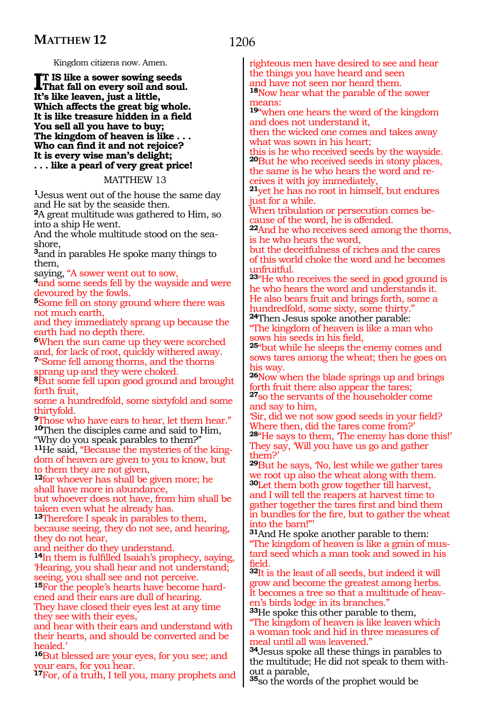Kingdom citizens now. Amen.

**I**T IS like a sower sowing seeds<br>That fall on every soil and soul<br>I<sup>th</sup>e like leaven inst a little **That fall on every soil and soul. It's like leaven, just a little, Which affects the great big whole. It is like treasure hidden in a field You sell all you have to buy; The kingdom of heaven is like . . . Who can find it and not rejoice? It is every wise man's delight; . . . like a pearl of very great price!**

MATTHEW 13

**<sup>1</sup>**Jesus went out of the house the same day and He sat by the seaside then.

**<sup>2</sup>**A great multitude was gathered to Him, so into a ship He went.

And the whole multitude stood on the seashore,

**<sup>3</sup>**and in parables He spoke many things to them,

saying, "A sower went out to sow, **4**and some seeds fell by the wayside and were devoured by the fowls.

**<sup>5</sup>**Some fell on stony ground where there was not much earth,

and they immediately sprang up because the earth had no depth there.

**<sup>6</sup>**When the sun came up they were scorched and, for lack of root, quickly withered away. **<sup>7</sup>**"Some fell among thorns, and the thorns

sprang up and they were choked. **<sup>8</sup>**But some fell upon good ground and brought forth fruit,

some a hundredfold, some sixtyfold and some thirtyfold.

**<sup>9</sup>**Those who have ears to hear, let them hear." **<sup>10</sup>**Then the disciples came and said to Him, "Why do you speak parables to them?"

**11**He said, "Because the mysteries of the kingdom of heaven are given to you to know, but to them they are not given,

**<sup>12</sup>**for whoever has shall be given more; he shall have more in abundance,

but whoever does not have, from him shall be taken even what he already has.

**<sup>13</sup>**Therefore I speak in parables to them, because seeing, they do not see, and hearing, they do not hear,

and neither do they understand.

**<sup>14</sup>**In them is fulfilled Isaiah's prophecy, saying, 'Hearing, you shall hear and not understand; seeing, you shall see and not perceive.

**15**For the people's hearts have become hardened and their ears are dull of hearing. They have closed their eyes lest at any time

they see with their eyes,

and hear with their ears and understand with their hearts, and should be converted and be healed.'

**<sup>16</sup>**But blessed are your eyes, for you see; and your ears, for you hear.

**<sup>17</sup>**For, of a truth, I tell you, many prophets and

1206

righteous men have desired to see and hear the things you have heard and seen and have not seen nor heard them.

**<sup>18</sup>**Now hear what the parable of the sower neans:

**<sup>19</sup>**"when one hears the word of the kingdom and does not understand it,

then the wicked one comes and takes away what was sown in his heart;

this is he who received seeds by the wayside. **<sup>20</sup>**But he who received seeds in stony places, the same is he who hears the word and receives it with joy immediately,

**<sup>21</sup>**yet he has no root in himself, but endures just for a while.

When tribulation or persecution comes because of the word, he is offended.

**<sup>22</sup>**And he who receives seed among the thorns, is he who hears the word,

but the deceitfulness of riches and the cares of this world choke the word and he becomes unfruitful.

**<sup>23</sup>**"He who receives the seed in good ground is he who hears the word and understands it. He also bears fruit and brings forth, some a hundredfold, some sixty, some thirty.

**<sup>24</sup>**Then Jesus spoke another parable: "The kingdom of heaven is like a man who ows his seeds in his field,

**<sup>25</sup>**"but while he sleeps the enemy comes and sows tares among the wheat; then he goes on his way.

**<sup>26</sup>**Now when the blade springs up and brings forth fruit there also appear the tares;

**<sup>27</sup>**so the servants of the householder come and say to him,

'Sir, did we not sow good seeds in your field? Where then, did the tares come from?'

**28**"He says to them, The enemy has done this!' They say, 'Will you have us go and gather them?'

**<sup>29</sup>**But he says, 'No, lest while we gather tares we root up also the wheat along with them. **<sup>30</sup>**Let them both grow together till harvest, and I will tell the reapers at harvest time to gather together the tares first and bind them in bundles for the fire, but to gather the wheat into the barn!"'

**<sup>31</sup>**And He spoke another parable to them: "The kingdom of heaven is like a grain of mustard seed which a man took and sowed in his field.

**<sup>32</sup>**It is the least of all seeds, but indeed it will grow and become the greatest among herbs. It becomes a tree so that a multitude of heaven's birds lodge in its branches."

**<sup>33</sup>**He spoke this other parable to them, "The kingdom of heaven is like leaven which a woman took and hid in three measures of meal until all was leavened."

**<sup>34</sup>**Jesus spoke all these things in parables to the multitude; He did not speak to them with- out a parable,

**<sup>35</sup>**so the words of the prophet would be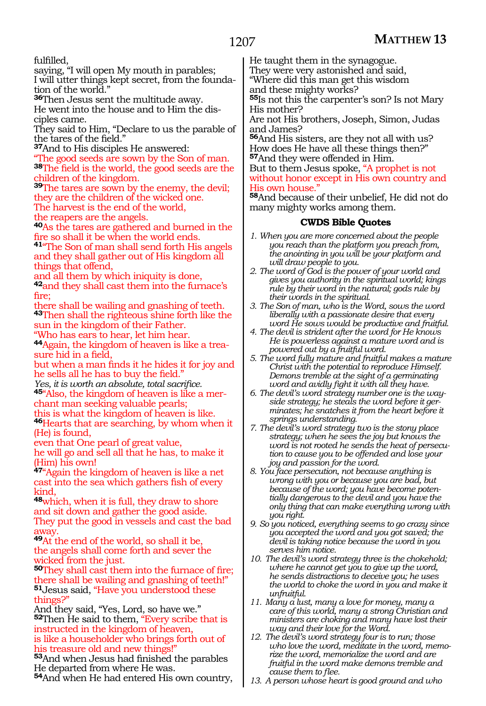fulfilled,

saying, "I will open My mouth in parables;

I will utter things kept secret, from the foundation of the world."

**<sup>36</sup>**Then Jesus sent the multitude away.

He went into the house and to Him the disciples came.

They said to Him, "Declare to us the parable of the tares of the field."

**<sup>37</sup>**And to His disciples He answered:

"The good seeds are sown by the Son of man. **<sup>38</sup>**The field is the world, the good seeds are the children of the kingdom.

**<sup>39</sup>**The tares are sown by the enemy, the devil; they are the children of the wicked one.

The harvest is the end of the world,

the reapers are the angels.

**<sup>40</sup>**As the tares are gathered and burned in the fire so shall it be when the world ends.

**<sup>41</sup>**"The Son of man shall send forth His angels and they shall gather out of His kingdom all things that offend,

and all them by which iniquity is done, **<sup>42</sup>**and they shall cast them into the furnace's fire;

there shall be wailing and gnashing of teeth. **<sup>43</sup>**Then shall the righteous shine forth like the sun in the kingdom of their Father.

"Who has ears to hear, let him hear.

**44**Again, the kingdom of heaven is like a treasure hid in a field,

but when a man finds it he hides it for joy and he sells all he has to buy the field."<br>Yes, it is worth an absolute, total sacrifice.

**<sup>45"</sup>**Also, the kingdom of heaven is like a mer-<br>chant man seeking valuable pearls;

this is what the kingdom of heaven is like. **<sup>46</sup>**Hearts that are searching, by whom when it (He) is found,

even that One pearl of great value,

he will go and sell all that he has, to make it (Him) his own!

**<sup>47</sup>**"Again the kingdom of heaven is like a net cast into the sea which gathers fish of every kind,

**<sup>48</sup>**which, when it is full, they draw to shore and sit down and gather the good aside. They put the good in vessels and cast the bad away.

**<sup>49</sup>**At the end of the world, so shall it be, the angels shall come forth and sever the wicked from the just.

**<sup>50</sup>**They shall cast them into the furnace of fire; there shall be wailing and gnashing of teeth!" **<sup>51</sup>**Jesus said, "Have you understood these things?"

And they said, "Yes, Lord, so have we." **<sup>52</sup>**Then He said to them, "Every scribe that is instructed in the kingdom of heaven,

is like a householder who brings forth out of his treasure old and new things!

**<sup>53</sup>**And when Jesus had finished the parables He departed from where He was.

**<sup>54</sup>**And when He had entered His own country,

He taught them in the synagogue.

They were very astonished and said, "Where did this man get this wisdom

and these mighty works?

**<sup>55</sup>**Is not this the carpenter's son? Is not Mary His mother?

Are not His brothers, Joseph, Simon, Judas and James?

**<sup>56</sup>**And His sisters, are they not all with us? How does He have all these things then?" **<sup>57</sup>**And they were offended in Him.

But to them Jesus spoke, "A prophet is not without honor except in His own country and His own house.'

**<sup>58</sup>**And because of their unbelief, He did not do many mighty works among them.

- *1. When you are more concerned about the people you reach than the platform you preach from, the anointing in you will be your platform and will draw people to you.*
- *2. The word of God is the power of your world and gives you authority in the spiritual world; kings rule by their word in the natural; gods rule by their words in the spiritual.*
- *3. The Son of man, who is the Word, sows the word liberally with a passionate desire that every word He sows would be productive and fruitful.*
- *4. The devil is strident after the word for He knows He is powerless against a mature word and is powered out by a fruitful word.*
- *5. The word fully mature and fruitful makes a mature Christ with the potential to reproduce Himself. Demons tremble at the sight of a germinating word and avidly fight it with all they have.*
- *6. The devil's word strategy number one is the wayside strategy; he steals the word before it germinates; he snatches it from the heart before it springs understanding.*
- *7. The devil's word strategy two is the stony place strategy; when he sees the joy but knows the word is not rooted he sends the heat of persecution to cause you to be offended and lose your joy and passion for the word.*
- *8. You face persecution, not because anything is wrong with you or because you are bad, but because of the word; you have become potentially dangerous to the devil and you have the only thing that can make everything wrong with you right.*
- *9. So you noticed, everything seems to go crazy since you accepted the word and you got saved; the devil is taking notice because the word in you serves him notice.*
- *10. The devil's word strategy three is the chokehold; where he cannot get you to give up the word, he sends distractions to deceive you; he uses the world to choke the word in you and make it unfruitful.*
- *11. Many a lust, many a love for money, many a care of this world, many a strong Christian and ministers are choking and many have lost their way and their love for the Word.*
- *12. The devil's word strategy four is to run; those who love the word, meditate in the word, memorize the word, memorialize the word and are fruitful in the word make demons tremble and cause them to flee.*
- *13. A person whose heart is good ground and who*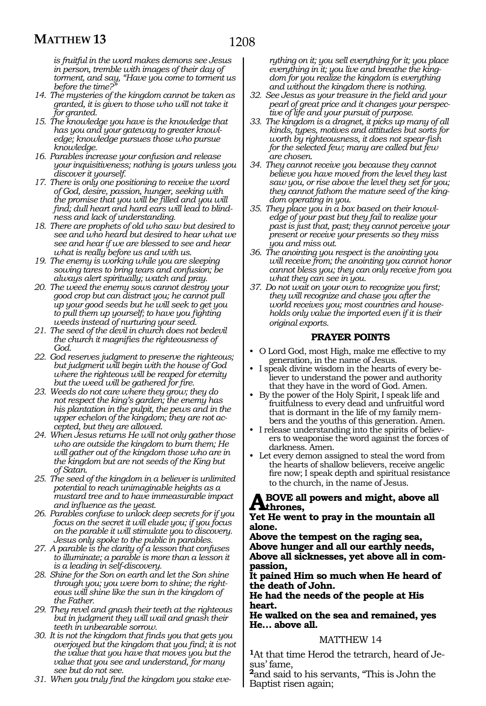*is fruitful in the word makes demons see Jesus in person, tremble with images of their day of torment, and say, "Have you come to torment us before the time?"*

- *14. The mysteries of the kingdom cannot be taken as granted, it is given to those who will not take it for granted.*
- *15. The knowledge you have is the knowledge that has you and your gateway to greater knowledge; knowledge pursues those who pursue knowledge.*
- *16. Parables increase your confusion and release your inquisitiveness; nothing is yours unless you discover it yourself.*
- *17. There is only one positioning to receive the word of God, desire, passion, hunger, seeking with the promise that you will be filled and you will find; dull heart and hard ears will lead to blindness and lack of understanding.*
- *18. There are prophets of old who saw but desired to see and who heard but desired to hear what we see and hear if we are blessed to see and hear what is really before us and with us.*
- *19. The enemy is working while you are sleeping sowing tares to bring tears and confusion; be always alert spiritually; watch and pray.*
- *20. The weed the enemy sows cannot destroy your good crop but can distract you; he cannot pull up your good seeds but he will seek to get you to pull them up yourself; to have you fighting weeds instead of nurturing your seed.*
- *21. The seed of the devil in church does not bedevil the church it magnifies the righteousness of God.*
- *22. God reserves judgment to preserve the righteous; but judgment will begin with the house of God where the righteous will be reaped for eternity but the weed will be gathered for fire.*
- *23. Weeds do not care where they grow; they do not respect the king's garden; the enemy has his plantation in the pulpit, the pews and in the upper echelon of the kingdom; they are not accepted, but they are allowed.*
- *24. When Jesus returns He will not only gather those who are outside the kingdom to burn them; He will gather out of the kingdom those who are in the kingdom but are not seeds of the King but of Satan.*
- *25. The seed of the kingdom in a believer is unlimited potential to reach unimaginable heights as a mustard tree and to have immeasurable impact and influence as the yeast.*
- *26. Parables confuse to unlock deep secrets for if you focus on the secret it will elude you; if you focus on the parable it will stimulate you to discovery. Jesus only spoke to the public in parables.*
- *27. A parable is the clarity of a lesson that confuses to illuminate; a parable is more than a lesson it is a leading in self-discovery.*
- *28. Shine for the Son on earth and let the Son shine through you; you were born to shine; the righteous will shine like the sun in the kingdom of the Father.*
- *29. They revel and gnash their teeth at the righteous but in judgment they will wail and gnash their teeth in unbearable sorrow.*
- *30. It is not the kingdom that finds you that gets you overjoyed but the kingdom that you find; it is not the value that you have that moves you but the value that you see and understand, for many see but do not see.*
- *31. When you truly find the kingdom you stake eve-*

*rything on it; you sell everything for it; you place everything in it; you live and breathe the kingdom for you realize the kingdom is everything and without the kingdom there is nothing.*

- *32. See Jesus as your treasure in the field and your pearl of great price and it changes your perspective of life and your pursuit of purpose.*
- *33. The kingdom is a dragnet, it picks up many of all kinds, types, motives and attitudes but sorts for worth by righteousness, it does not spear-fish for the selected few; many are called but few are chosen.*
- *34. They cannot receive you because they cannot believe you have moved from the level they last saw you, or rise above the level they set for you; they cannot fathom the mature seed of the kingdom operating in you.*
- *35. They place you in a box based on their knowledge of your past but they fail to realize your past is just that, past; they cannot perceive your present or receive your presents so they miss you and miss out.*
- *36. The anointing you respect is the anointing you will receive from; the anointing you cannot honor cannot bless you; they can only receive from you what they can see in you.*
- *37. Do not wait on your own to recognize you first; they will recognize and chase you after the world receives you; most countries and households only value the imported even if it is their original exports.*

## **PRAYER POINTS**

- O Lord God, most High, make me effective to my generation, in the name of Jesus.
- I speak divine wisdom in the hearts of every believer to understand the power and authority that they have in the word of God. Amen.
- By the power of the Holy Spirit, I speak life and fruitfulness to every dead and unfruitful word that is dormant in the life of my family members and the youths of this generation. Amen.
- I release understanding into the spirits of believers to weaponise the word against the forces of darkness. Amen.
- Let every demon assigned to steal the word from the hearts of shallow believers, receive angelic fire now; I speak depth and spiritual resistance to the church, in the name of Jesus.

#### **Above all powers and might, above all thrones,**

#### **Yet He went to pray in the mountain all alone.**

**Above the tempest on the raging sea, Above hunger and all our earthly needs, Above all sicknesses, yet above all in com- passion,**

**It pained Him so much when He heard of the death of John.**

**He had the needs of the people at His heart.**

**He walked on the sea and remained, yes He… above all.**

## MATTHEW 14

**<sup>1</sup>**At that time Herod the tetrarch, heard of Je- sus' fame,

**<sup>2</sup>**and said to his servants, "This is John the Baptist risen again;

# 1208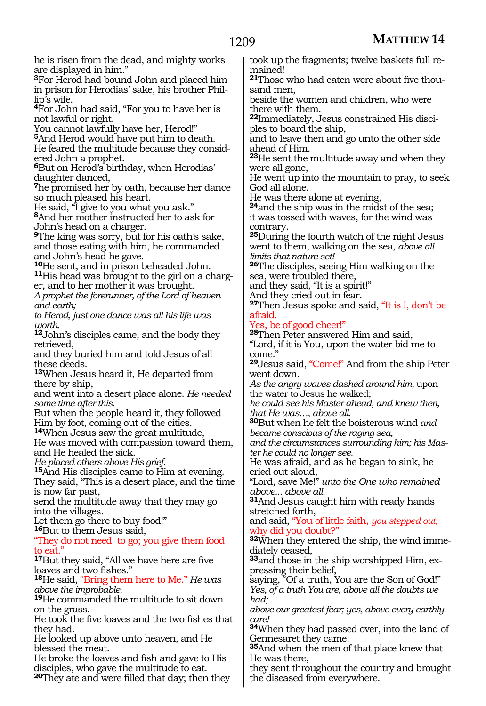he is risen from the dead, and mighty works are displayed in him."

**<sup>3</sup>**For Herod had bound John and placed him in prison for Herodias' sake, his brother Phil- lip's wife.

**<sup>4</sup>**For John had said, "For you to have her is not lawful or right.

You cannot lawfully have her, Herod!"

**<sup>5</sup>**And Herod would have put him to death. He feared the multitude because they consid- ered John a prophet.

**<sup>6</sup>**But on Herod's birthday, when Herodias' daughter danced,

**<sup>7</sup>**he promised her by oath, because her dance so much pleased his heart.

He said, "I give to you what you ask." **<sup>8</sup>**And her mother instructed her to ask for

John's head on a charger.

**<sup>9</sup>**The king was sorry, but for his oath's sake, and those eating with him, he commanded

and John's head he gave.<br><sup>10</sup>He sent, and in prison beheaded John. **11**His head was brought to the girl on a charger, and to her mother it was brought.

*A prophet the forerunner, of the Lord of heaven and earth;*

*to Herod, just one dance was all his life was worth.*

**<sup>12</sup>**John's disciples came, and the body they retrieved,

and they buried him and told Jesus of all these deeds.

**<sup>13</sup>**When Jesus heard it, He departed from there by ship,

and went into a desert place alone. *He needed some time after this.*

But when the people heard it, they followed Him by foot, coming out of the cities.

**<sup>14</sup>**When Jesus saw the great multitude,

He was moved with compassion toward them, and He healed the sick.

*He placed others above His grief.* 

**<sup>15</sup>**And His disciples came to Him at evening. They said, "This is a desert place, and the time is now far past,

send the multitude away that they may go into the villages.

Let them go there to buy food!" **<sup>16</sup>**But to them Jesus said,

"They do not need to go; you give them food to eat.'

**<sup>17</sup>**But they said, "All we have here are five loaves and two fishes."

**<sup>18</sup>**He said, "Bring them here to Me." *He was above the improbable.*

**<sup>19</sup>**He commanded the multitude to sit down on the grass.

He took the five loaves and the two fishes that they had.

He looked up above unto heaven, and He blessed the meat.

He broke the loaves and fish and gave to His disciples, who gave the multitude to eat.

**<sup>20</sup>**They ate and were filled that day; then they

took up the fragments; twelve baskets full remained!

**<sup>21</sup>**Those who had eaten were about five thou- sand men,

beside the women and children, who were there with them.

**<sup>22</sup>**Immediately, Jesus constrained His disci- ples to board the ship,

and to leave then and go unto the other side ahead of Him.

**<sup>23</sup>**He sent the multitude away and when they were all gone,

He went up into the mountain to pray, to seek God all alone.

He was there alone at evening,

**<sup>24</sup>**and the ship was in the midst of the sea; it was tossed with waves, for the wind was contrary.

**<sup>25</sup>**During the fourth watch of the night Jesus went to them, walking on the sea, *above all limits that nature set!*

**<sup>26</sup>**The disciples, seeing Him walking on the sea, were troubled there,

and they said, "It is a spirit!"

And they cried out in fear.

**<sup>27</sup>**Then Jesus spoke and said, "It is I, don't be afraid.

Yes, be of good cheer!"

**<sup>28</sup>**Then Peter answered Him and said,

"Lord, if it is You, upon the water bid me to come."

**<sup>29</sup>**Jesus said, "Come!" And from the ship Peter went down.

*As the angry waves dashed around him,* upon the water to Jesus he walked;

*he could see his Master ahead, and knew then, that He was…, above all.*

**<sup>30</sup>**But when he felt the boisterous wind *and became conscious of the raging sea,*

*and the circumstances surrounding him; his Master he could no longer see.*

He was afraid, and as he began to sink, he cried out aloud,

"Lord, save Me!" *unto the One who remained above... above all.*

**<sup>31</sup>**And Jesus caught him with ready hands stretched forth,

and said, "You of little faith, *you stepped out,* why did you doubt?"

**32**When they entered the ship, the wind immediately ceased,

**33**and those in the ship worshipped Him, expressing their belief,

saying, "Of a truth, You are the Son of God!" *Yes, of a truth You are, above all the doubts we had;*

*above our greatest fear; yes, above every earthly care!*

**<sup>34</sup>**When they had passed over, into the land of Gennesaret they came.

**<sup>35</sup>**And when the men of that place knew that He was there,

they sent throughout the country and brought the diseased from everywhere.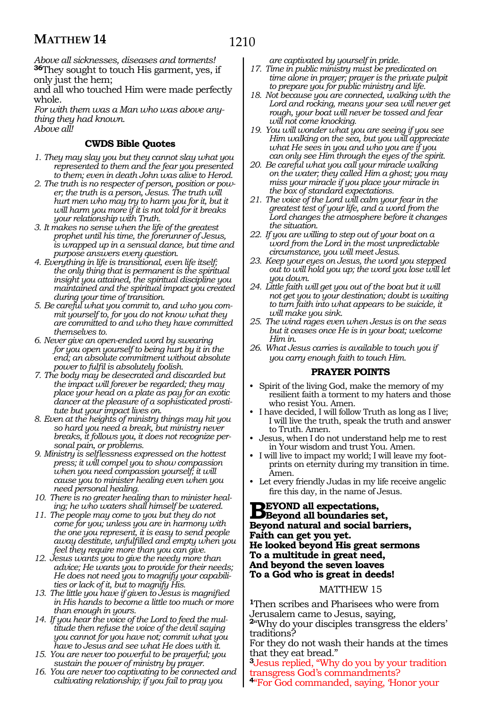*Above all sicknesses, diseases and torments!* **<sup>36</sup>**They sought to touch His garment, yes, if only just the hem;

and all who touched Him were made perfectly whole.

*For with them was a Man who was above anything they had known.*

*Above all!*

## **CWDS Bible Quotes**

- *1. They may slay you but they cannot slay what you represented to them and the fear you presented to them; even in death John was alive to Herod.*
- *2. The truth is no respecter of person, position or power; the truth is a person, Jesus. The truth will hurt men who may try to harm you for it, but it will harm you more if it is not told for it breaks your relationship with Truth.*
- *3. It makes no sense when the life of the greatest prophet until his time, the forerunner of Jesus, is wrapped up in a sensual dance, but time and purpose answers every question.*
- *4. Everything in life is transitional, even life itself; the only thing that is permanent is the spiritual insight you attained, the spiritual discipline you maintained and the spiritual impact you created during your time of transition.*
- *5. Be careful what you commit to, and who you commit yourself to, for you do not know what they are committed to and who they have committed themselves to.*
- *6. Never give an open-ended word by swearing for you open yourself to being hurt by it in the end; an absolute commitment without absolute power to fulfil is absolutely foolish.*
- *7. The body may be desecrated and discarded but the impact will forever be regarded; they may place your head on a plate as pay for an exotic dancer at the pleasure of a sophisticated prostitute but your impact lives on.*
- *8. Even at the heights of ministry things may hit you so hard you need a break, but ministry never breaks, it follows you, it does not recognize personal pain, or problems.*
- *9. Ministry is selflessness expressed on the hottest press; it will compel you to show compassion when you need compassion yourself; it will cause you to minister healing even when you need personal healing.*
- *10. There is no greater healing than to minister healing; he who waters shall himself be watered.*
- *11. The people may come to you but they do not come for you; unless you are in harmony with the one you represent, it is easy to send people away destitute, unfulfilled and empty when you feel they require more than you can give.*
- *12. Jesus wants you to give the needy more than advice; He wants you to provide for their needs; He does not need you to magnify your capabilities or lack of it, but to magnify His.*
- *13. The little you have if given to Jesus is magnified in His hands to become a little too much or more than enough in yours.*
- *14. If you hear the voice of the Lord to feed the multitude then refuse the voice of the devil saying you cannot for you have not; commit what you have to Jesus and see what He does with it.*
- *15. You are never too powerful to be prayerful; you sustain the power of ministry by prayer.*
- *16. You are never too captivating to be connected and cultivating relationship; if you fail to pray you*

*are captivated by yourself in pride.*

- *17. Time in public ministry must be predicated on time alone in prayer; prayer is the private pulpit to prepare you for public ministry and life.*
- *18. Not because you are connected, walking with the Lord and rocking, means your sea will never get rough, your boat will never be tossed and fear will not come knocking.*
- *19. You will wonder what you are seeing if you see Him walking on the sea, but you will appreciate what He sees in you and who you are if you can only see Him through the eyes of the spirit.*
- *20. Be careful what you call your miracle walking on the water; they called Him a ghost; you may miss your miracle if you place your miracle in the box of standard expectations.*
- *21. The voice of the Lord will calm your fear in the greatest test of your life, and a word from the Lord changes the atmosphere before it changes the situation.*
- *22. If you are willing to step out of your boat on a word from the Lord in the most unpredictable circumstance, you will meet Jesus.*
- *23. Keep your eyes on Jesus, the word you stepped out to will hold you up; the word you lose will let you down.*
- *24. Little faith will get you out of the boat but it will not get you to your destination; doubt is waiting to turn faith into what appears to be suicide, it will make you sink.*
- *25. The wind rages even when Jesus is on the seas but it ceases once He is in your boat; welcome Him in.*
- *26. What Jesus carries is available to touch you if you carry enough faith to touch Him.*

## **PRAYER POINTS**

- Spirit of the living God, make the memory of my resilient faith a torment to my haters and those who resist You. Amen.
- I have decided, I will follow Truth as long as I live; I will live the truth, speak the truth and answer to Truth. Amen.
- Jesus, when I do not understand help me to rest in Your wisdom and trust You. Amen.
- I will live to impact my world; I will leave my footprints on eternity during my transition in time. Amen.
- Let every friendly Judas in my life receive angelic fire this day, in the name of Jesus.

# **Beyond all expectations, Beyond all boundaries set, Beyond natural and social barriers, Faith can get you yet. He looked beyond His great sermons To a multitude in great need, And beyond the seven loaves To a God who is great in deeds!**

## MATTHEW 15

**<sup>1</sup>**Then scribes and Pharisees who were from Jerusalem came to Jesus, saying,

**<sup>2</sup>**"Why do your disciples transgress the elders' traditions?

For they do not wash their hands at the times that they eat bread."

**<sup>3</sup>**Jesus replied, "Why do you by your tradition transgress God's commandments?

**<sup>4</sup>**"For God commanded, saying, 'Honor your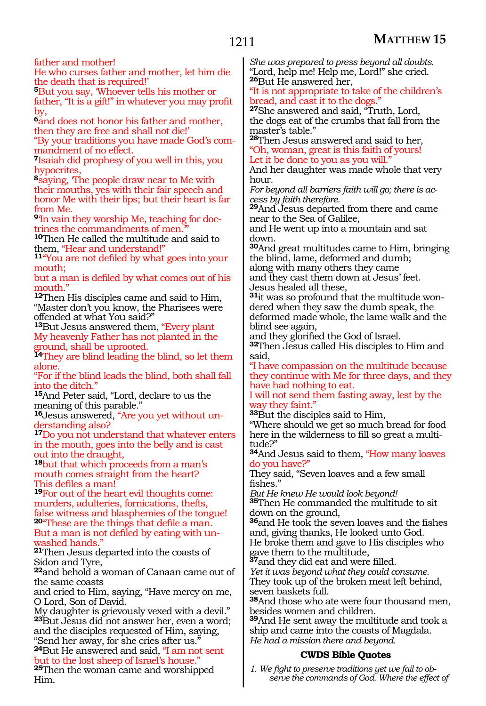# 1211

father and mother!

He who curses father and mother, let him die the death that is required!'

**<sup>5</sup>**But you say, 'Whoever tells his mother or father, "It is a gift!" in whatever you may profit by,

**<sup>6</sup>**and does not honor his father and mother, then they are free and shall not die!'

"By your traditions you have made God's commandment of no effect.

**<sup>7</sup>**Isaiah did prophesy of you well in this, you hypocrites,

**<sup>8</sup>**saying, 'The people draw near to Me with their mouths, yes with their fair speech and honor Me with their lips; but their heart is far from Me.

**9**'In vain they worship Me, teaching for doctrines the commandments of men.

**<sup>10</sup>**Then He called the multitude and said to

1<sup>1</sup>"You are not defiled by what goes into your mouth;

but a man is defiled by what comes out of his mouth.'

**<sup>12</sup>**Then His disciples came and said to Him, "Master don't you know, the Pharisees were offended at what You said?"

**<sup>13</sup>**But Jesus answered them, "Every plant My heavenly Father has not planted in the ground, shall be uprooted.

**<sup>14</sup>**They are blind leading the blind, so let them alone.

"For if the blind leads the blind, both shall fall into the ditch."

**<sup>15</sup>**And Peter said, "Lord, declare to us the meaning of this parable."

**16**Jesus answered, "Are you yet without understanding also?

**<sup>17</sup>**Do you not understand that whatever enters in the mouth, goes into the belly and is cast out into the draught,

**<sup>18</sup>**but that which proceeds from a man's mouth comes straight from the heart? This defiles a man!

**<sup>19</sup>**For out of the heart evil thoughts come: murders, adulteries, fornications, thefts, false witness and blasphemies of the tongue! **<sup>20</sup>**"These are the things that defile a man. But a man is not defiled by eating with un- washed hands."

**<sup>21</sup>**Then Jesus departed into the coasts of Sidon and Tyre,

**<sup>22</sup>**and behold a woman of Canaan came out of the same coasts

and cried to Him, saying, "Have mercy on me, O Lord, Son of David.

My daughter is grievously vexed with a devil." **<sup>23</sup>**But Jesus did not answer her, even a word; and the disciples requested of Him, saying, "Send her away, for she cries after us."

**<sup>24</sup>**But He answered and said, "I am not sent but to the lost sheep of Israel's house." **<sup>25</sup>**Then the woman came and worshipped Him.

*She was prepared to press beyond all doubts.* "Lord, help me! Help me, Lord!" she cried. **<sup>26</sup>**But He answered her,

"It is not appropriate to take of the children's bread, and cast it to the dogs.

**<sup>27</sup>**She answered and said, "Truth, Lord, the dogs eat of the crumbs that fall from the master's table."

**<sup>28</sup>**Then Jesus answered and said to her, "Oh, woman, great is this faith of yours!

Let it be done to you as you will."

And her daughter was made whole that very hour.

*For beyond all barriers faith will go; there is access by faith therefore.*

**<sup>29</sup>**And Jesus departed from there and came near to the Sea of Galilee,

and He went up into a mountain and sat down.

**<sup>30</sup>**And great multitudes came to Him, bringing the blind, lame, deformed and dumb; along with many others they came

and they cast them down at Jesus' feet. Jesus healed all these,

**31**it was so profound that the multitude wondered when they saw the dumb speak, the deformed made whole, the lame walk and the blind see again,

and they glorified the God of Israel.

**<sup>32</sup>**Then Jesus called His disciples to Him and said,

"I have compassion on the multitude because they continue with Me for three days, and they have had nothing to eat.

I will not send them fasting away, lest by the way they faint."

**<sup>33</sup>**But the disciples said to Him,

"Where should we get so much bread for food here in the wilderness to fill so great a multitude?"

**<sup>34</sup>**And Jesus said to them, "How many loaves do you have?"

They said, "Seven loaves and a few small fishes."

*But He knew He would look beyond!*

**<sup>35</sup>**Then He commanded the multitude to sit down on the ground,

**<sup>36</sup>**and He took the seven loaves and the fishes and, giving thanks, He looked unto God.

He broke them and gave to His disciples who gave them to the multitude,

**<sup>37</sup>**and they did eat and were filled.

*Yet it was beyond what they could consume.* They took up of the broken meat left behind, seven baskets full.

**<sup>38</sup>**And those who ate were four thousand men, besides women and children.

**<sup>39</sup>**And He sent away the multitude and took a ship and came into the coasts of Magdala. *He had a mission there and beyond.*

# **CWDS Bible Quotes**

*1. We fight to preserve traditions yet we fail to observe the commands of God. Where the effect of*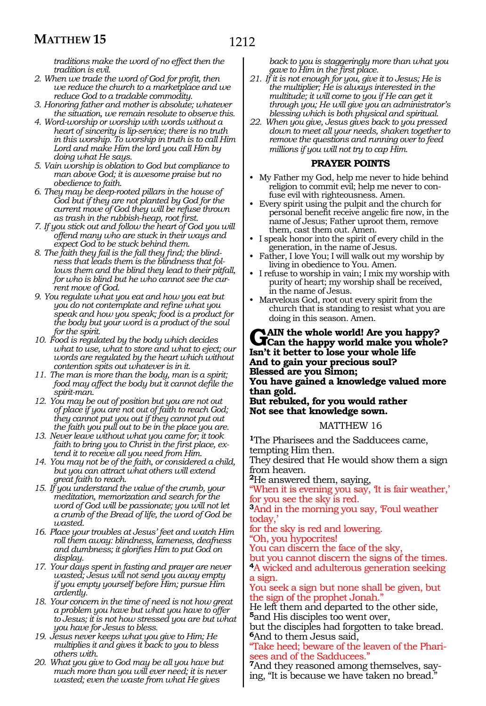*traditions make the word of no effect then the tradition is evil.*

- *2. When we trade the word of God for profit, then we reduce the church to a marketplace and we reduce God to a tradable commodity.*
- *3. Honoring father and mother is absolute; whatever the situation, we remain resolute to observe this.*
- *4. Word-worship or worship with words without a heart of sincerity is lip-service; there is no truth in this worship. To worship in truth is to call Him Lord and make Him the lord you call Him by doing what He says.*
- *5. Vain worship is oblation to God but compliance to man above God; it is awesome praise but no obedience to faith.*
- *6. They may be deep-rooted pillars in the house of God but if they are not planted by God for the current move of God they will be refuse thrown as trash in the rubbish-heap, root first.*
- *7. If you stick out and follow the heart of God you will offend many who are stuck in their ways and expect God to be stuck behind them.*
- *8. The faith they fail is the fall they find; the blindness that leads them is the blindness that follows them and the blind they lead to their pitfall, for who is blind but he who cannot see the current move of God.*
- *9. You regulate what you eat and how you eat but you do not contemplate and refine what you speak and how you speak; food is a product for the body but your word is a product of the soul for the spirit.*
- *10. Food is regulated by the body which decides what to use, what to store and what to eject; our words are regulated by the heart which without contention spits out whatever is in it.*
- *11. The man is more than the body, man is a spirit; food may affect the body but it cannot defile the spirit-man.*
- *12. You may be out of position but you are not out of place if you are not out of faith to reach God; they cannot put you out if they cannot put out the faith you pull out to be in the place you are.*
- *13. Never leave without what you came for; it took faith to bring you to Christ in the first place, extend it to receive all you need from Him.*
- *14. You may not be of the faith, or considered a child, but you can attract what others will extend great faith to reach.*
- *15. If you understand the value of the crumb, your meditation, memorization and search for the word of God will be passionate; you will not let a crumb of the Bread of life, the word of God be wasted.*
- *16. Place your troubles at Jesus' feet and watch Him roll them away: blindness, lameness, deafness and dumbness; it glorifies Him to put God on display.*
- *17. Your days spent in fasting and prayer are never wasted; Jesus will not send you away empty if you empty yourself before Him; pursue Him ardently.*
- *18. Your concern in the time of need is not how great a problem you have but what you have to offer to Jesus; it is not how stressed you are but what you have for Jesus to bless.*
- *19. Jesus never keeps what you give to Him; He multiplies it and gives it back to you to bless others with.*
- *20. What you give to God may be all you have but much more than you will ever need; it is never wasted; even the waste from what He gives*

*back to you is staggeringly more than what you gave to Him in the first place.*

- *21. If it is not enough for you, give it to Jesus; He is the multiplier; He is always interested in the multitude; it will come to you if He can get it through you; He will give you an administrator's blessing which is both physical and spiritual.*
- *22. When you give, Jesus gives back to you pressed down to meet all your needs, shaken together to remove the questions and running over to feed millions if you will not try to cap Him.*

## **PRAYER POINTS**

- My Father my God, help me never to hide behind religion to commit evil; help me never to confuse evil with righteousness. Amen.
- Every spirit using the pulpit and the church for personal benefit receive angelic fire now, in the name of Jesus; Father uproot them, remove them, cast them out. Amen.
- I speak honor into the spirit of every child in the generation, in the name of Jesus.
- Father, I love You; I will walk out my worship by living in obedience to You. Amen.
- I refuse to worship in vain; I mix my worship with purity of heart; my worship shall be received, in the name of Jesus.
- Marvelous God, root out every spirit from the church that is standing to resist what you are doing in this season. Amen.

## **GAIN** the whole world! Are you happy?<br> **GCan** the happy world make you whole? **Isn't it better to lose your whole life And to gain your precious soul? Blessed are you Simon; You have gained a knowledge valued more than gold.**

#### **But rebuked, for you would rather Not see that knowledge sown.**

## MATTHEW 16

**<sup>1</sup>**The Pharisees and the Sadducees came, tempting Him then.

They desired that He would show them a sign from heaven.

**<sup>2</sup>**He answered them, saying,

When it is evening you say, It is fair weather,' for you see the sky is red.

**<sup>3</sup>**And in the morning you say, 'Foul weather today,'

for the sky is red and lowering.

"Oh, you hypocrites!

You can discern the face of the sky,

but you cannot discern the signs of the times. **<sup>4</sup>**A wicked and adulterous generation seeking a sign.

You seek a sign but none shall be given, but the sign of the prophet Jonah."

He left them and departed to the other side, **<sup>5</sup>**and His disciples too went over,

but the disciples had forgotten to take bread. **<sup>6</sup>**And to them Jesus said,

"Take heed; beware of the leaven of the Pharisees and of the Sadducees."

**7**And they reasoned among themselves, saying, "It is because we have taken no bread."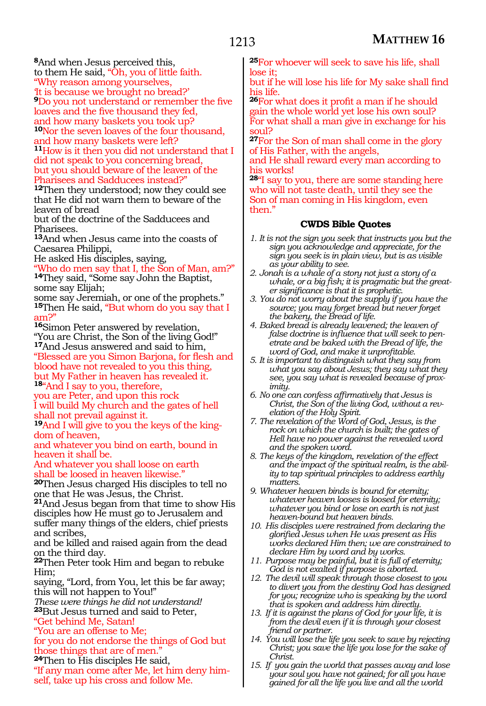**<sup>8</sup>**And when Jesus perceived this,

to them He said, "Oh, you of little faith.

"Why reason among yourselves,

'It is because we brought no bread?' **<sup>9</sup>**Do you not understand or remember the five loaves and the five thousand they fed,

and how many baskets you took up? **<sup>10</sup>**Nor the seven loaves of the four thousand, and how many baskets were left?

**<sup>11</sup>**How is it then you did not understand that I did not speak to you concerning bread, but you should beware of the leaven of the Pharisees and Sadducees instead?"

**<sup>12</sup>**Then they understood; now they could see that He did not warn them to beware of the leaven of bread

but of the doctrine of the Sadducees and Pharisees.

**<sup>13</sup>**And when Jesus came into the coasts of Caesarea Philippi,

He asked His disciples, saying,

"Who do men say that I, the Son of Man, am?" **<sup>14</sup>**They said, "Some say John the Baptist,

some say Elijah; some say Jeremiah, or one of the prophets."

15Then He said, "But whom do you say that I am?"

**<sup>16</sup>**Simon Peter answered by revelation, "You are Christ, the Son of the living God!" **<sup>17</sup>**And Jesus answered and said to him, "Blessed are you Simon Barjona, for flesh and blood have not revealed to you this thing, but My Father in heaven has revealed it.

**<sup>18</sup>**"And I say to you, therefore,

you are Peter, and upon this rock I will build My church and the gates of hell shall not prevail against it.

**19**And I will give to you the keys of the kingdom of heaven,

and whatever you bind on earth, bound in heaven it shall be.

And whatever you shall loose on earth shall be loosed in heaven likewise."

**<sup>20</sup>**Then Jesus charged His disciples to tell no one that He was Jesus, the Christ.

**<sup>21</sup>**And Jesus began from that time to show His disciples how He must go to Jerusalem and suffer many things of the elders, chief priests and scribes,

and be killed and raised again from the dead on the third day.

**<sup>22</sup>**Then Peter took Him and began to rebuke Him;

saying, "Lord, from You, let this be far away; this will not happen to You!"

*These were things he did not understand!*

**<sup>23</sup>**But Jesus turned and said to Peter,

"Get behind Me, Satan!

"You are an offense to Me; for you do not endorse the things of God but those things that are of men."

**24**Then to His disciples He said,

"If any man come after Me, let him deny himself, take up his cross and follow Me.

**<sup>25</sup>**For whoever will seek to save his life, shall lose it;

but if he will lose his life for My sake shall find his life.

**<sup>26</sup>**For what does it profit a man if he should gain the whole world yet lose his own soul? For what shall a man give in exchange for his soul?

**<sup>27</sup>**For the Son of man shall come in the glory of His Father, with the angels,

and He shall reward every man according to his works!

**<sup>28</sup>**"I say to you, there are some standing here who will not taste death, until they see the Son of man coming in His kingdom, even then."

- *1. It is not the sign you seek that instructs you but the sign you acknowledge and appreciate, for the sign you seek is in plain view, but is as visible as your ability to see.*
- *2. Jonah is a whale of a story not just a story of a whale, or a big fish; it is pragmatic but the greater significance is that it is prophetic.*
- *3. You do not worry about the supply if you have the source; you may forget bread but never forget the bakery, the Bread of life.*
- *4. Baked bread is already leavened; the leaven of false doctrine is influence that will seek to penetrate and be baked with the Bread of life, the word of God, and make it unprofitable.*
- *5. It is important to distinguish what they say from what you say about Jesus; they say what they see, you say what is revealed because of proximity.*
- *6. No one can confess affirmatively that Jesus is Christ, the Son of the living God, without a revelation of the Holy Spirit.*
- *7. The revelation of the Word of God, Jesus, is the rock on which the church is built; the gates of Hell have no power against the revealed word and the spoken word.*
- *8. The keys of the kingdom, revelation of the effect and the impact of the spiritual realm, is the ability to tap spiritual principles to address earthly matters.*
- *9. Whatever heaven binds is bound for eternity; whatever heaven looses is loosed for eternity; whatever you bind or lose on earth is not just heaven-bound but heaven binds.*
- *10. His disciples were restrained from declaring the glorified Jesus when He was present as His works declared Him then; we are constrained to declare Him by word and by works.*
- *11. Purpose may be painful, but it is full of eternity; God is not exalted if purpose is aborted.*
- *12. The devil will speak through those closest to you to divert you from the destiny God has designed for you; recognize who is speaking by the word that is spoken and address him directly.*
- *13. If it is against the plans of God for your life, it is from the devil even if it is through your closest friend or partner.*
- *14. You will lose the life you seek to save by rejecting Christ; you save the life you lose for the sake of Christ.*
- *15. If you gain the world that passes away and lose your soul you have not gained; for all you have gained for all the life you live and all the world*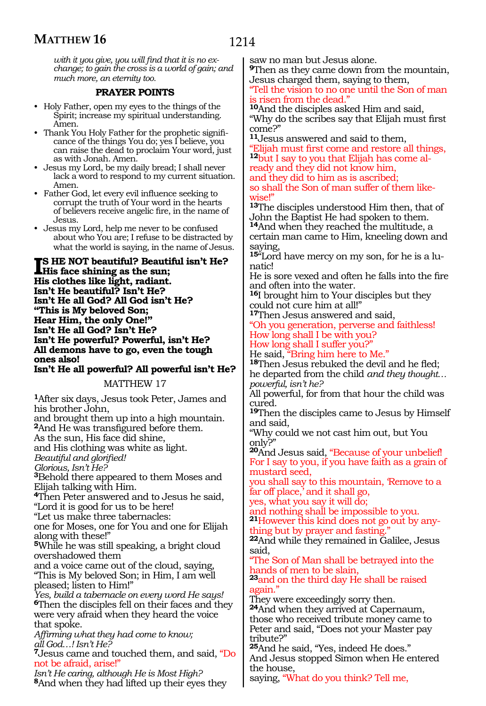*with it you give, you will find that it is no exchange; to gain the cross is a world of gain; and much more, an eternity too.*

# **PRAYER POINTS**

- Holy Father, open my eyes to the things of the Spirit; increase my spiritual understanding. Amen.
- Thank You Holy Father for the prophetic significance of the things You do; yes I believe, you can raise the dead to proclaim Your word, just as with Jonah. Amen.
- Jesus my Lord, be my daily bread; I shall never lack a word to respond to my current situation. Amen.
- Father God, let every evil influence seeking to corrupt the truth of Your word in the hearts of believers receive angelic fire, in the name of Jesus.
- Jesus my Lord, help me never to be confused about who You are; I refuse to be distracted by what the world is saying, in the name of Jesus.

**IS HE NOT beautiful? Beautiful isn't He?**<br> **His face shining as the sun;**<br> **His elathes like light, godinat His face shining as the sun; His clothes like light, radiant. Isn't He beautiful? Isn't He? Isn't He all God? All God isn't He? "This is My beloved Son; Hear Him, the only One!" Isn't He all God? Isn't He? Isn't He powerful? Powerful, isn't He? All demons have to go, even the tough ones also!**

**Isn't He all powerful? All powerful isn't He?**

# MATTHEW 17

**<sup>1</sup>**After six days, Jesus took Peter, James and his brother John,

and brought them up into a high mountain. **<sup>2</sup>**And He was transfigured before them.

As the sun, His face did shine,

and His clothing was white as light.

*Beautiful and glorified!*

*Glorious, Isn't He?*

**<sup>3</sup>**Behold there appeared to them Moses and Elijah talking with Him.

**<sup>4</sup>**Then Peter answered and to Jesus he said, "Lord it is good for us to be here!

"Let us make three tabernacles:

one for Moses, one for You and one for Elijah along with these!"

**<sup>5</sup>**While he was still speaking, a bright cloud overshadowed them

and a voice came out of the cloud, saying, "This is My beloved Son; in Him, I am well pleased; listen to Him!"

*Yes, build a tabernacle on every word He says!* **<sup>6</sup>**Then the disciples fell on their faces and they were very afraid when they heard the voice that spoke.

*Affirming what they had come to know; all God…! Isn't He?*

**<sup>7</sup>**Jesus came and touched them, and said, "Do not be afraid, arise!"

*Isn't He caring, although He is Most High?* **<sup>8</sup>**And when they had lifted up their eyes they saw no man but Jesus alone.

**<sup>9</sup>**Then as they came down from the mountain, Jesus charged them, saying to them,

"Tell the vision to no one until the Son of man is risen from the dead."

**<sup>10</sup>**And the disciples asked Him and said, "Why do the scribes say that Elijah must first come?"

**<sup>11</sup>**Jesus answered and said to them,

"Elijah must first come and restore all things, **12**but I say to you that Elijah has come already and they did not know him,

and they did to him as is ascribed;

so shall the Son of man suffer of them likewise!"

**<sup>13</sup>**The disciples understood Him then, that of John the Baptist He had spoken to them.

**<sup>14</sup>**And when they reached the multitude, a certain man came to Him, kneeling down and saying,

**15**"Lord have mercy on my son, for he is a lunatic!

He is sore vexed and often he falls into the fire and often into the water.

**<sup>16</sup>**I brought him to Your disciples but they could not cure him at all!"

**<sup>17</sup>**Then Jesus answered and said,

"Oh you generation, perverse and faithless! How long shall I be with you?

How long shall I suffer you?"<br>He said, "Bring him here to Me."

18Then Jesus rebuked the devil and he fled;

he departed from the child *and they thought… powerful, isn't he?*

All powerful, for from that hour the child was cured.

**<sup>19</sup>**Then the disciples came to Jesus by Himself and said,

"Why could we not cast him out, but You only?"

**<sup>20</sup>**And Jesus said, "Because of your unbelief! For I say to you, if you have faith as a grain of mustard seed,

you shall say to this mountain, 'Remove to a far off place,' and it shall go,

yes, what you say it will do;

and nothing shall be impossible to you.

**21**However this kind does not go out by anyhing but by prayer and fasting.

**<sup>22</sup>**And while they remained in Galilee, Jesus said,

"The Son of Man shall be betrayed into the hands of men to be slain,

**<sup>23</sup>**and on the third day He shall be raised again."

They were exceedingly sorry then.

**<sup>24</sup>**And when they arrived at Capernaum, those who received tribute money came to Peter and said, "Does not your Master pay tribute?"

**<sup>25</sup>**And he said, "Yes, indeed He does." And Jesus stopped Simon when He entered the house,

saying, "What do you think? Tell me,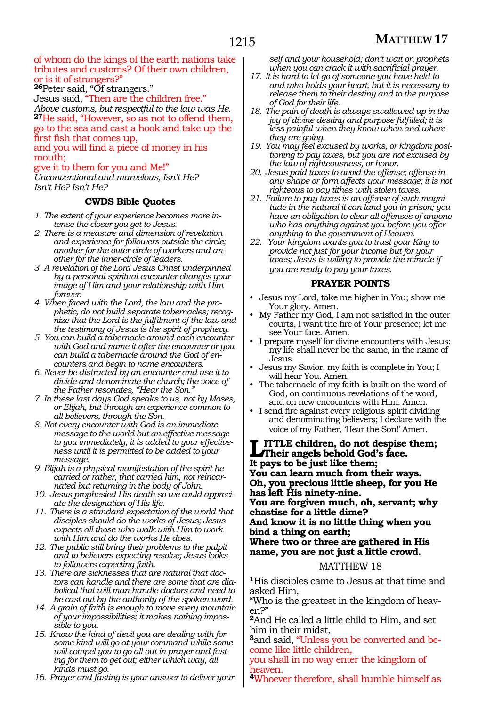#### of whom do the kings of the earth nations take tributes and customs? Of their own children, or is it of strangers?"

**<sup>26</sup>**Peter said, "Of strangers."

Jesus said, "Then are the children free." *Above customs, but respectful to the law was He.*  **<sup>27</sup>**He said, "However, so as not to offend them, go to the sea and cast a hook and take up the first fish that comes up,

and you will find a piece of money in his mouth;

give it to them for you and Me!"

*Unconventional and marvelous, Isn't He? Isn't He? Isn't He?*

## **CWDS Bible Quotes**

- *1. The extent of your experience becomes more intense the closer you get to Jesus.*
- *2. There is a measure and dimension of revelation and experience for followers outside the circle; another for the outer-circle of workers and another for the inner-circle of leaders.*
- *3. A revelation of the Lord Jesus Christ underpinned by a personal spiritual encounter changes your image of Him and your relationship with Him forever.*
- *4. When faced with the Lord, the law and the prophetic, do not build separate tabernacles; recognize that the Lord is the fulfilment of the law and the testimony of Jesus is the spirit of prophecy.*
- *5. You can build a tabernacle around each encounter with God and name it after the encounter or you can build a tabernacle around the God of encounters and begin to name encounters.*
- *6. Never be distracted by an encounter and use it to divide and denominate the church; the voice of the Father resonates, "Hear the Son."*
- *7. In these last days God speaks to us, not by Moses, or Elijah, but through an experience common to all believers, through the Son.*
- *8. Not every encounter with God is an immediate message to the world but an effective message to you immediately; it is added to your effectiveness until it is permitted to be added to your message.*
- *9. Elijah is a physical manifestation of the spirit he carried or rather, that carried him, not reincarnated but returning in the body of John.*
- *10. Jesus prophesied His death so we could appreciate the designation of His life.*
- *11. There is a standard expectation of the world that disciples should do the works of Jesus; Jesus expects all those who walk with Him to work with Him and do the works He does.*
- *12. The public still bring their problems to the pulpit and to believers expecting resolve; Jesus looks to followers expecting faith.*
- *13. There are sicknesses that are natural that doctors can handle and there are some that are diabolical that will man-handle doctors and need to be cast out by the authority of the spoken word.*
- *14. A grain of faith is enough to move every mountain of your impossibilities; it makes nothing impossible to you.*
- *15. Know the kind of devil you are dealing with for some kind will go at your command while some will compel you to go all out in prayer and fasting for them to get out; either which way, all kinds must go.*
- *16. Prayer and fasting is your answer to deliver your-*

*self and your household; don't wait on prophets when you can crack it with sacrificial prayer.*

- *17. It is hard to let go of someone you have held to and who holds your heart, but it is necessary to release them to their destiny and to the purpose of God for their life.*
- *18. The pain of death is always swallowed up in the joy of divine destiny and purpose fulfilled; it is less painful when they know when and where they are going.*
- *19. You may feel excused by works, or kingdom positioning to pay taxes, but you are not excused by the law of righteousness, or honor.*
- *20. Jesus paid taxes to avoid the offense; offense in any shape or form affects your message; it is not righteous to pay tithes with stolen taxes.*
- *21. Failure to pay taxes is an offense of such magnitude in the natural it can land you in prison; you have an obligation to clear all offenses of anyone who has anything against you before you offer anything to the government of Heaven.*
- *22. Your kingdom wants you to trust your King to provide not just for your income but for your taxes; Jesus is willing to provide the miracle if you are ready to pay your taxes.*

## **PRAYER POINTS**

- Jesus my Lord, take me higher in You; show me Your glory. Amen.
- My Father my God, I am not satisfied in the outer courts, I want the fire of Your presence; let me see Your face. Amen.
- I prepare myself for divine encounters with Jesus; my life shall never be the same, in the name of Jesus.
- Jesus my Savior, my faith is complete in You; I will hear You. Amen.
- The tabernacle of my faith is built on the word of God, on continuous revelations of the word, and on new encounters with Him. Amen.
- I send fire against every religious spirit dividing and denominating believers; I declare with the voice of my Father, 'Hear the Son!' Amen.

**LITTLE children, do not despise them;**<br>Their angels behold God's face.<br>It nows to be just like them: **It pays to be just like them; You can learn much from their ways. Oh, you precious little sheep, for you He has left His ninety-nine. You are forgiven much, oh, servant; why chastise for a little dime? And know it is no little thing when you bind a thing on earth; Where two or three are gathered in His name, you are not just a little crowd.**

## MATTHEW 18

**<sup>1</sup>**His disciples came to Jesus at that time and asked Him,

"Who is the greatest in the kingdom of heaven?"

**<sup>2</sup>**And He called a little child to Him, and set him in their midst,

**3**and said, "Unless you be converted and become like little children,

you shall in no way enter the kingdom of heaven.

**<sup>4</sup>**Whoever therefore, shall humble himself as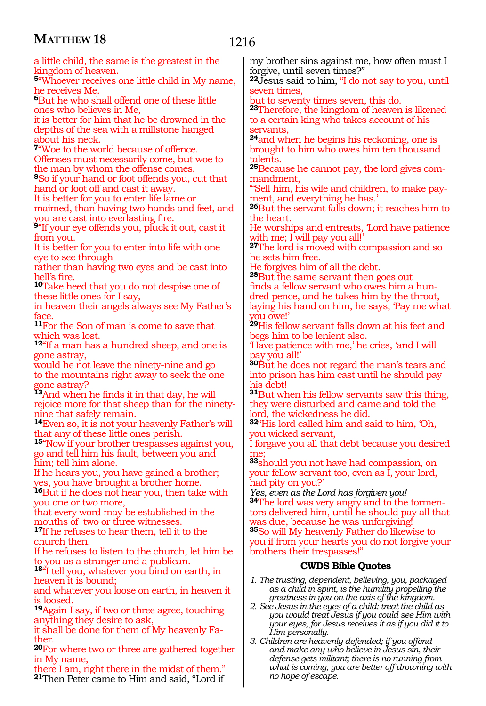# 1216

| a little child, the same is the greatest in the                                                           | my brother sins against me, how often must I                           |
|-----------------------------------------------------------------------------------------------------------|------------------------------------------------------------------------|
| kingdom of heaven.                                                                                        | forgive, until seven times?"                                           |
| <sup>5</sup> Whoever receives one little child in My name,                                                | <sup>22</sup> Jesus said to him, "I do not say to you, until           |
| he receives Me.                                                                                           | seven times,                                                           |
| <b>But he who shall offend one of these little</b>                                                        | but to seventy times seven, this do.                                   |
|                                                                                                           |                                                                        |
| ones who believes in Me,                                                                                  | <sup>23</sup> Therefore, the kingdom of heaven is likened              |
| it is better for him that he be drowned in the                                                            | to a certain king who takes account of his                             |
| depths of the sea with a millstone hanged                                                                 | servants,                                                              |
| about his neck.                                                                                           | <sup>24</sup> and when he begins his reckoning, one is                 |
| <sup>7</sup> 'Woe to the world because of offence.                                                        | brought to him who owes him ten thousand                               |
| Offenses must necessarily come, but woe to                                                                | talents.                                                               |
| the man by whom the offense comes.                                                                        | <sup>25</sup> Because he cannot pay, the lord gives com-               |
| <sup>8</sup> So if your hand or foot offends you, cut that                                                |                                                                        |
|                                                                                                           | mandment,                                                              |
| hand or foot off and cast it away.                                                                        | "Sell him, his wife and children, to make pay-                         |
| It is better for you to enter life lame or                                                                | ment, and everything he has.'                                          |
| maimed, than having two hands and feet, and                                                               | <sup>26</sup> But the servant falls down; it reaches him to            |
| you are cast into everlasting fire.                                                                       | the heart.                                                             |
| <sup>9</sup> "If your eye offends you, pluck it out, cast it                                              | He worships and entreats, Lord have patience                           |
| from you.                                                                                                 | with me; I will pay you all!'                                          |
| It is better for you to enter into life with one                                                          | <sup>27</sup> The lord is moved with compassion and so                 |
| eye to see through                                                                                        | he sets him free.                                                      |
|                                                                                                           |                                                                        |
| rather than having two eyes and be cast into                                                              | He forgives him of all the debt.                                       |
| hell's fire.                                                                                              | <sup>28</sup> But the same servant then goes out                       |
| <sup>10</sup> Take heed that you do not despise one of                                                    | finds a fellow servant who owes him a hun-                             |
| these little ones for I say,                                                                              | dred pence, and he takes him by the throat,                            |
| in heaven their angels always see My Father's                                                             | laying his hand on him, he says, Pay me what                           |
| face.                                                                                                     | vou owe!'                                                              |
| <sup>11</sup> For the Son of man is come to save that                                                     | <sup>29</sup> His fellow servant falls down at his feet and            |
| which was lost.                                                                                           | begs him to be lenient also.                                           |
| <sup>12</sup> "If a man has a hundred sheep, and one is                                                   | 'Have patience with me,' he cries, 'and I will                         |
| gone astray,                                                                                              | pay you all!'                                                          |
| would he not leave the ninety-nine and go                                                                 | <sup>30</sup> But he does not regard the man's tears and               |
| to the mountains right away to seek the one                                                               | into prison has him cast until he should pay                           |
|                                                                                                           |                                                                        |
| gone astray?                                                                                              | his debt!                                                              |
| 13And when he finds it in that day, he will                                                               | <sup>31</sup> But when his fellow servants saw this thing,             |
| rejoice more for that sheep than for the ninety-                                                          | they were disturbed and came and told the                              |
| nine that safely remain.                                                                                  | lord, the wickedness he did.                                           |
| <sup>14</sup> Even so, it is not your heavenly Father's will                                              | 32 <sup>4</sup> His lord called him and said to him, 'Oh,              |
| that any of these little ones perish.                                                                     | you wicked servant,                                                    |
| <sup>15"</sup> Now if your brother trespasses against you,                                                | I forgave you all that debt because you desired                        |
| go and tell him his fault, between you and                                                                | me;                                                                    |
| him; tell him alone.                                                                                      | <sup>33</sup> should you not have had compassion, on                   |
| If he hears you, you have gained a brother;                                                               | your fellow servant too, even as I, your lord,                         |
| yes, you have brought a brother home.                                                                     | had pity on you?'                                                      |
| <sup>16</sup> But if he does not hear you, then take with                                                 | Yes, even as the Lord has forgiven you!                                |
|                                                                                                           | <sup>34</sup> The lord was very angry and to the tormen-               |
| you one or two more,                                                                                      |                                                                        |
| that every word may be established in the                                                                 | tors delivered him, until he should pay all that                       |
| mouths of two or three witnesses.                                                                         | was due, because he was unforgiving!                                   |
| <sup>17</sup> If he refuses to hear them, tell it to the                                                  | 35So will My heavenly Father do likewise to                            |
| church then.                                                                                              | you if from your hearts you do not forgive your                        |
| If he refuses to listen to the church, let him be                                                         | brothers their trespasses!"                                            |
| to you as a stranger and a publican.                                                                      | <b>CWDS Bible Quotes</b>                                               |
| <sup>184</sup> I tell you, whatever you bind on earth, in                                                 |                                                                        |
| heaven it is bound;                                                                                       | 1. The trusting, dependent, believing, you, packaged                   |
| and whatever you loose on earth, in heaven it                                                             | as a child in spirit, is the humility propelling the                   |
| is loosed.                                                                                                | greatness in you on the axis of the kingdom.                           |
| <sup>19</sup> Again I say, if two or three agree, touching                                                | 2. See Jesus in the eyes of a child; treat the child as                |
| anything they desire to ask,                                                                              | you would treat Jesus if you could see Him with                        |
|                                                                                                           | your eyes, for Jesus receives it as if you did it to                   |
| it shall be done for them of My heavenly Fa-<br>ther.                                                     | Him personally.                                                        |
|                                                                                                           | 3. Children are heavenly defended; if you offend                       |
| <sup>20</sup> For where two or three are gathered together                                                | and make any who believe in Jesus sin, their                           |
|                                                                                                           |                                                                        |
| in My name,                                                                                               | defense gets militant; there is no running from                        |
| there I am, right there in the midst of them."<br><sup>21</sup> Then Peter came to Him and said, "Lord if | what is coming, you are better off drowning with<br>no hope of escape. |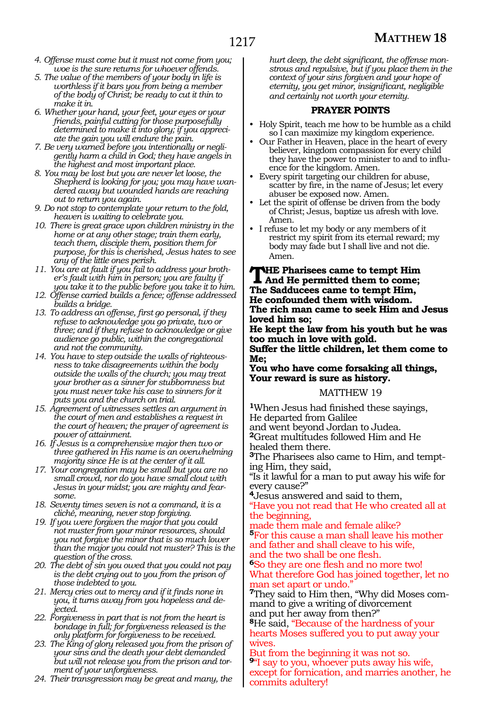- *4. Offense must come but it must not come from you; woe is the sure returns for whoever offends.*
- *5. The value of the members of your body in life is worthless if it bars you from being a member of the body of Christ; be ready to cut it thin to make it in.*
- *6. Whether your hand, your feet, your eyes or your friends, painful cutting for those purposefully determined to make it into glory; if you appreciate the gain you will endure the pain.*
- *7. Be very warned before you intentionally or negligently harm a child in God; they have angels in the highest and most important place.*
- *8. You may be lost but you are never let loose, the Shepherd is looking for you; you may have wandered away but wounded hands are reaching out to return you again.*
- *9. Do not stop to contemplate your return to the fold, heaven is waiting to celebrate you.*
- *10. There is great grace upon children ministry in the home or at any other stage; train them early, teach them, disciple them, position them for purpose, for this is cherished, Jesus hates to see any of the little ones perish.*
- *11. You are at fault if you fail to address your brother's fault with him in person; you are faulty if you take it to the public before you take it to him.*
- *12. Offense carried builds a fence; offense addressed builds a bridge.*
- *13. To address an offense, first go personal, if they refuse to acknowledge you go private, two or three; and if they refuse to acknowledge or give audience go public, within the congregational and not the community.*
- *14. You have to step outside the walls of righteousness to take disagreements within the body outside the walls of the church; you may treat your brother as a sinner for stubbornness but you must never take his case to sinners for it puts you and the church on trial.*
- *15. Agreement of witnesses settles an argument in the court of men and establishes a request in the court of heaven; the prayer of agreement is power of attainment.*
- *16. If Jesus is a comprehensive major then two or three gathered in His name is an overwhelming majority since He is at the center of it all.*
- *17. Your congregation may be small but you are no small crowd, nor do you have small clout with Jesus in your midst; you are mighty and fearsome.*
- *18. Seventy times seven is not a command, it is a cliché, meaning, never stop forgiving.*
- *19. If you were forgiven the major that you could not muster from your minor resources, should you not forgive the minor that is so much lower than the major you could not muster? This is the question of the cross.*
- *20. The debt of sin you owed that you could not pay is the debt crying out to you from the prison of those indebted to you.*
- *21. Mercy cries out to mercy and if it finds none in you, it turns away from you hopeless and dejected.*
- *22. Forgiveness in part that is not from the heart is bondage in full; for forgiveness released is the only platform for forgiveness to be received.*
- *23. The King of glory released you from the prison of your sins and the death your debt demanded but will not release you from the prison and torment of your unforgiveness.*
- *24. Their transgression may be great and many, the*

*hurt deep, the debt significant, the offense monstrous and repulsive, but if you place them in the context of your sins forgiven and your hope of eternity, you get minor, insignificant, negligible and certainly not worth your eternity.*

## **PRAYER POINTS**

- Holy Spirit, teach me how to be humble as a child so I can maximize my kingdom experience.
- Our Father in Heaven, place in the heart of every believer, kingdom compassion for every child they have the power to minister to and to influence for the kingdom. Amen.
- Every spirit targeting our children for abuse, scatter by fire, in the name of Jesus; let every abuser be exposed now. Amen.
- Let the spirit of offense be driven from the body of Christ; Jesus, baptize us afresh with love. Amen.
- I refuse to let my body or any members of it restrict my spirit from its eternal reward; my body may fade but I shall live and not die. Amen.

**The Pharisees came to tempt Him And He permitted them to come; The Sadducees came to tempt Him, He confounded them with wisdom. The rich man came to seek Him and Jesus loved him so;**

**He kept the law from his youth but he was too much in love with gold.** 

**Suffer the little children, let them come to Me;**

**You who have come forsaking all things, Your reward is sure as history.**

#### MATTHEW 19

**<sup>1</sup>**When Jesus had finished these sayings, He departed from Galilee and went beyond Jordan to Judea. **<sup>2</sup>**Great multitudes followed Him and He healed them there.

**3**The Pharisees also came to Him, and tempting Him, they said,

"Is it lawful for a man to put away his wife for every cause?"

**<sup>4</sup>**Jesus answered and said to them,

"Have you not read that He who created all at the beginning,

made them male and female alike? **<sup>5</sup>**For this cause a man shall leave his mother and father and shall cleave to his wife,

and the two shall be one flesh.

**<sup>6</sup>**So they are one flesh and no more two! What therefore God has joined together, let no man set apart or undo."

**7**They said to Him then, "Why did Moses command to give a writing of divorcement and put her away from then?"

**<sup>8</sup>**He said, "Because of the hardness of your hearts Moses suffered you to put away your wives.

But from the beginning it was not so. **<sup>9</sup>**"I say to you, whoever puts away his wife, except for fornication, and marries another, he commits adultery!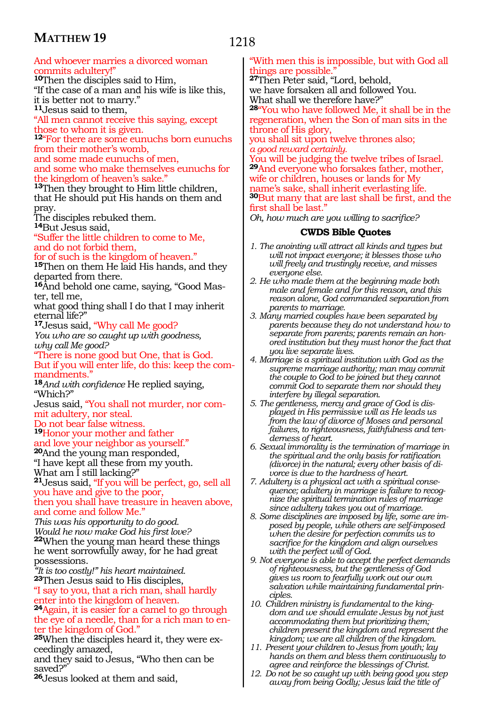# 1218

# And whoever marries a divorced woman commits adultery!

**<sup>10</sup>**Then the disciples said to Him, "If the case of a man and his wife is like this, it is better not to marry." **<sup>11</sup>**Jesus said to them,

"All men cannot receive this saying, except those to whom it is given.

**<sup>12</sup>**"For there are some eunuchs born eunuchs from their mother's womb,

and some made eunuchs of men, and some who make themselves eunuchs for

the kingdom of heaven's sake.

**<sup>13</sup>**Then they brought to Him little children, that He should put His hands on them and pray.

The disciples rebuked them.

**<sup>14</sup>**But Jesus said,

"Suffer the little children to come to Me, and do not forbid them,

for of such is the kingdom of heaven."

**<sup>15</sup>**Then on them He laid His hands, and they departed from there.

**16**And behold one came, saying, "Good Master, tell me,

what good thing shall I do that I may inherit eternal life?"

**<sup>17</sup>**Jesus said, "Why call Me good?

*You who are so caught up with goodness, why call Me good?*

"There is none good but One, that is God. But if you will enter life, do this: keep the commandments."

**<sup>18</sup>***And with confidence* He replied saying, "Which?"

Jesus said, "You shall not murder, nor commit adultery, nor steal.

Do not bear false witness.

**<sup>19</sup>**Honor your mother and father

and love your neighbor as yourself."

**<sup>20</sup>**And the young man responded, "I have kept all these from my youth.

What am I still lacking?"

**<sup>21</sup>**Jesus said, "If you will be perfect, go, sell all you have and give to the poor, then you shall have treasure in heaven above,

and come and follow Me."

*This was his opportunity to do good. Would he now make God his first love?* **<sup>22</sup>**When the young man heard these things he went sorrowfully away, for he had great possessions.

*"It is too costly!" his heart maintained.* **<sup>23</sup>**Then Jesus said to His disciples, "I say to you, that a rich man, shall hardly

enter into the kingdom of heaven. **<sup>24</sup>**Again, it is easier for a camel to go through the eye of a needle, than for a rich man to enter the kingdom of God."

**25**When the disciples heard it, they were exceedingly amazed,

and they said to Jesus, "Who then can be saved?"

**<sup>26</sup>**Jesus looked at them and said,

## "With men this is impossible, but with God all things are possible."

**<sup>27</sup>**Then Peter said, "Lord, behold,

we have forsaken all and followed You. What shall we therefore have?"

**<sup>28</sup>**"You who have followed Me, it shall be in the regeneration, when the Son of man sits in the throne of His glory,

you shall sit upon twelve thrones also; *a good reward certainly.*

You will be judging the twelve tribes of Israel. **<sup>29</sup>**And everyone who forsakes father, mother, wife or children, houses or lands for My name's sake, shall inherit everlasting life. **<sup>30</sup>**But many that are last shall be first, and the first shall be last."

*Oh, how much are you willing to sacrifice?*

- *1. The anointing will attract all kinds and types but will not impact everyone; it blesses those who will freely and trustingly receive, and misses everyone else.*
- *2. He who made them at the beginning made both male and female and for this reason, and this reason alone, God commanded separation from parents to marriage.*
- *3. Many married couples have been separated by parents because they do not understand how to separate from parents; parents remain an honored institution but they must honor the fact that you live separate lives.*
- *4. Marriage is a spiritual institution with God as the supreme marriage authority; man may commit the couple to God to be joined but they cannot commit God to separate them nor should they interfere by illegal separation.*
- *5. The gentleness, mercy and grace of God is displayed in His permissive will as He leads us from the law of divorce of Moses and personal failures, to righteousness, faithfulness and tenderness of heart.*
- *6. Sexual immorality is the termination of marriage in the spiritual and the only basis for ratification (divorce) in the natural; every other basis of divorce is due to the hardness of heart.*
- *7. Adultery is a physical act with a spiritual consequence; adultery in marriage is failure to recognize the spiritual termination rules of marriage since adultery takes you out of marriage.*
- *8. Some disciplines are imposed by life, some are imposed by people, while others are self-imposed when the desire for perfection commits us to sacrifice for the kingdom and align ourselves with the perfect will of God.*
- *9. Not everyone is able to accept the perfect demands of righteousness, but the gentleness of God gives us room to fearfully work out our own salvation while maintaining fundamental principles.*
- *10. Children ministry is fundamental to the kingdom and we should emulate Jesus by not just accommodating them but prioritizing them; children present the kingdom and represent the kingdom; we are all children of the kingdom.*
- *11. Present your children to Jesus from youth; lay hands on them and bless them continuously to agree and reinforce the blessings of Christ.*
- *12. Do not be so caught up with being good you step away from being Godly; Jesus laid the title of*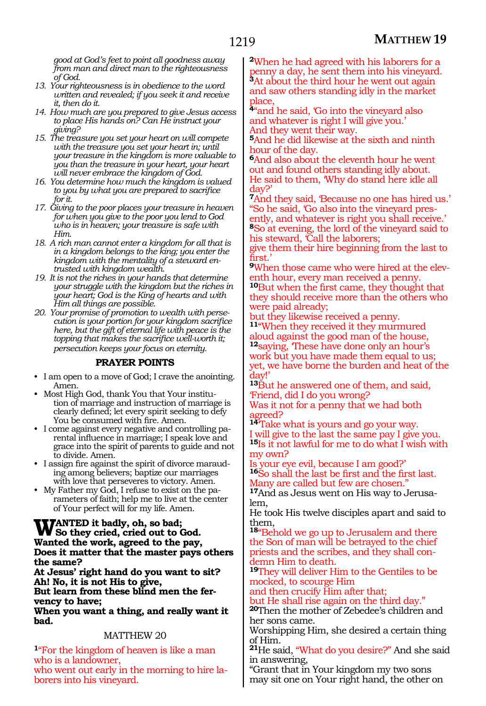*good at God's feet to point all goodness away from man and direct man to the righteousness of God.*

- *13. Your righteousness is in obedience to the word written and revealed; if you seek it and receive it, then do it.*
- *14. How much are you prepared to give Jesus access to place His hands on? Can He instruct your giving?*
- *15. The treasure you set your heart on will compete with the treasure you set your heart in; until your treasure in the kingdom is more valuable to you than the treasure in your heart, your heart will never embrace the kingdom of God.*
- *16. You determine how much the kingdom is valued to you by what you are prepared to sacrifice for it.*
- *17. Giving to the poor places your treasure in heaven for when you give to the poor you lend to God who is in heaven; your treasure is safe with Him.*
- *18. A rich man cannot enter a kingdom for all that is in a kingdom belongs to the king; you enter the kingdom with the mentality of a steward entrusted with kingdom wealth.*
- *19. It is not the riches in your hands that determine your struggle with the kingdom but the riches in your heart; God is the King of hearts and with Him all things are possible.*
- *20. Your promise of promotion to wealth with persecution is your portion for your kingdom sacrifice here, but the gift of eternal life with peace is the topping that makes the sacrifice well-worth it; persecution keeps your focus on eternity.*

## **PRAYER POINTS**

- I am open to a move of God; I crave the anointing. Amen.
- Most High God, thank You that Your institution of marriage and instruction of marriage is clearly defined; let every spirit seeking to defy You be consumed with fire. Amen.
- I come against every negative and controlling parental influence in marriage; I speak love and grace into the spirit of parents to guide and not to divide. Amen.
- I assign fire against the spirit of divorce marauding among believers; baptize our marriages with love that perseveres to victory. Amen.
- My Father my God, I refuse to exist on the parameters of faith; help me to live at the center of Your perfect will for my life. Amen.

#### **Wanted it badly, oh, so bad; So they cried, cried out to God. Wanted the work, agreed to the pay, Does it matter that the master pays others the same?**

**At Jesus' right hand do you want to sit? Ah! No, it is not His to give, But learn from these blind men the fer- vency to have;**

**When you want a thing, and really want it bad.**

## MATTHEW 20

**<sup>1</sup>**"For the kingdom of heaven is like a man who is a landowner, who went out early in the morning to hire laborers into his vineyard.

**<sup>2</sup>**When he had agreed with his laborers for a penny a day, he sent them into his vineyard. **<sup>3</sup>**At about the third hour he went out again and saw others standing idly in the market place,

**<sup>4</sup>**"and he said, 'Go into the vineyard also and whatever is right I will give you.' And they went their way.

**<sup>5</sup>**And he did likewise at the sixth and ninth hour of the day.

**<sup>6</sup>**And also about the eleventh hour he went out and found others standing idly about. He said to them, 'Why do stand here idle all day?'

**<sup>7</sup>**And they said, 'Because no one has hired us.' "So he said, 'Go also into the vineyard pres- ently, and whatever is right you shall receive.' **<sup>8</sup>**So at evening, the lord of the vineyard said to his steward, Call the laborers;

give them their hire beginning from the last to first.'

**9**When those came who were hired at the eleventh hour, every man received a penny.

**<sup>10</sup>**But when the first came, they thought that they should receive more than the others who were paid already;

but they likewise received a penny.

**<sup>11</sup>**"When they received it they murmured aloud against the good man of the house, **<sup>12</sup>**saying, 'These have done only an hour's work but you have made them equal to us; yet, we have borne the burden and heat of the day!'

**<sup>13</sup>**But he answered one of them, and said, 'Friend, did I do you wrong?

Was it not for a penny that we had both agreed?

**<sup>14</sup>**'Take what is yours and go your way. will give to the last the same pay I give you. **<sup>15</sup>**Is it not lawful for me to do what I wish with my own?

Is your eye evil, because I am good?' **<sup>16</sup>**So shall the last be first and the first last. Many are called but few are chosen."

**17**And as Jesus went on His way to Jerusalem,

He took His twelve disciples apart and said to them,

**<sup>18</sup>**"Behold we go up to Jerusalem and there the Son of man will be betrayed to the chief priests and the scribes, and they shall condemn Him to death.

**<sup>19</sup>**They will deliver Him to the Gentiles to be mocked, to scourge Him

and then crucify Him after that;

but He shall rise again on the third day."

**<sup>20</sup>**Then the mother of Zebedee's children and her sons came.

Worshipping Him, she desired a certain thing of Him.

**<sup>21</sup>**He said, "What do you desire?" And she said in answering,

"Grant that in Your kingdom my two sons may sit one on Your right hand, the other on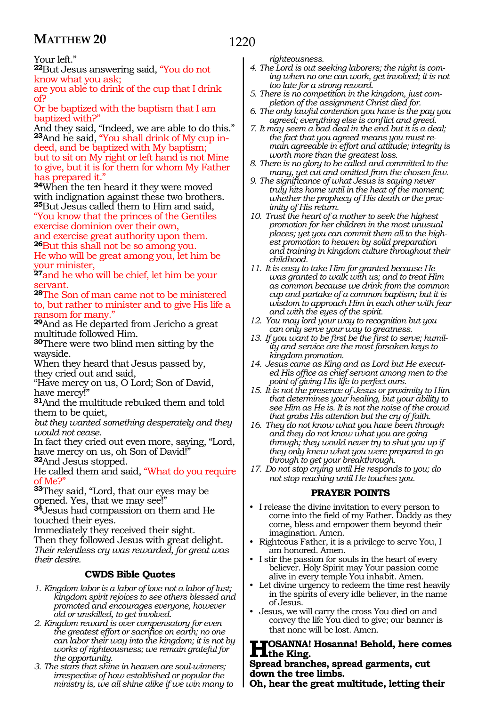# 1220

Your left."

**<sup>22</sup>**But Jesus answering said, "You do not know what you ask;

are you able to drink of the cup that I drink of?

Or be baptized with the baptism that I am baptized with?"

And they said, "Indeed, we are able to do this." **23**And he said, "You shall drink of My cup indeed, and be baptized with My baptism; but to sit on My right or left hand is not Mine to give, but it is for them for whom My Father has prepared it.

**<sup>24</sup>**When the ten heard it they were moved with indignation against these two brothers. **<sup>25</sup>**But Jesus called them to Him and said, "You know that the princes of the Gentiles exercise dominion over their own,

and exercise great authority upon them. **<sup>26</sup>**But this shall not be so among you. He who will be great among you, let him be

your minister, **<sup>27</sup>**and he who will be chief, let him be your

servant.

**<sup>28</sup>**The Son of man came not to be ministered to, but rather to minister and to give His life a ransom for many."

**<sup>29</sup>**And as He departed from Jericho a great multitude followed Him.

**<sup>30</sup>**There were two blind men sitting by the wayside.

When they heard that Jesus passed by, they cried out and said,

"Have mercy on us, O Lord; Son of David, have mercy!"

**<sup>31</sup>**And the multitude rebuked them and told them to be quiet,

*but they wanted something desperately and they would not cease.*

In fact they cried out even more, saying, "Lord, have mercy on us, oh Son of David!" **<sup>32</sup>**And Jesus stopped.

He called them and said, "What do you require of Me?"

**<sup>33</sup>**They said, "Lord, that our eyes may be opened. Yes, that we may see!"

**<sup>34</sup>**Jesus had compassion on them and He touched their eyes.

Immediately they received their sight.

Then they followed Jesus with great delight. *Their relentless cry was rewarded, for great was their desire.* 

# **CWDS Bible Quotes**

- *1. Kingdom labor is a labor of love not a labor of lust; kingdom spirit rejoices to see others blessed and promoted and encourages everyone, however old or unskilled, to get involved.*
- *2. Kingdom reward is over compensatory for even the greatest effort or sacrifice on earth; no one can labor their way into the kingdom; it is not by works of righteousness; we remain grateful for the opportunity.*
- *3. The stars that shine in heaven are soul-winners; irrespective of how established or popular the ministry is, we all shine alike if we win many to*

*righteousness.*

- *4. The Lord is out seeking laborers; the night is coming when no one can work, get involved; it is not too late for a strong reward.*
- *5. There is no competition in the kingdom, just completion of the assignment Christ died for.*
- *6. The only lawful contention you have is the pay you agreed; everything else is conflict and greed.*
- *7. It may seem a bad deal in the end but it is a deal; the fact that you agreed means you must re- main agreeable in effort and attitude; integrity is worth more than the greatest loss.*
- *8. There is no glory to be called and committed to the many, yet cut and omitted from the chosen few.*
- *9. The significance of what Jesus is saying never truly hits home until in the heat of the moment; whether the prophecy of His death or the proximity of His return.*
- *10. Trust the heart of a mother to seek the highest promotion for her children in the most unusual places; yet you can commit them all to the highest promotion to heaven by solid preparation and training in kingdom culture throughout their childhood.*
- *11. It is easy to take Him for granted because He was granted to walk with us; and to treat Him as common because we drink from the common cup and partake of a common baptism; but it is wisdom to approach Him in each other with fear and with the eyes of the spirit.*
- *12. You may lord your way to recognition but you can only serve your way to greatness.*
- *13. If you want to be first be the first to serve; humility and service are the most forsaken keys to kingdom promotion.*
- *14. Jesus came as King and as Lord but He executed His office as chief servant among men to the point of giving His life to perfect ours.*
- *15. It is not the presence of Jesus or proximity to Him that determines your healing, but your ability to see Him as He is. It is not the noise of the crowd that grabs His attention but the cry of faith.*
- *16. They do not know what you have been through and they do not know what you are going through; they would never try to shut you up if they only knew what you were prepared to go through to get your breakthrough.*
- *17. Do not stop crying until He responds to you; do not stop reaching until He touches you.*

# **PRAYER POINTS**

- I release the divine invitation to every person to come into the field of my Father. Daddy as they come, bless and empower them beyond their imagination. Amen.
- Righteous Father, it is a privilege to serve You, I am honored. Amen.
- I stir the passion for souls in the heart of every believer. Holy Spirit may Your passion come alive in every temple You inhabit. Amen.
- Let divine urgency to redeem the time rest heavily in the spirits of every idle believer, in the name of Jesus.
- Jesus, we will carry the cross You died on and convey the life You died to give; our banner is that none will be lost. Amen.

# **Hosanna! Hosanna! Behold, here comes the King.**

#### **Spread branches, spread garments, cut down the tree limbs.**

**Oh, hear the great multitude, letting their**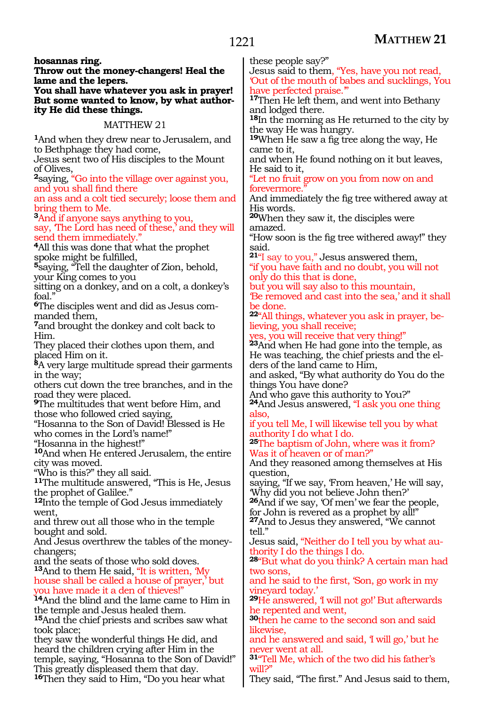**hosannas ring.**

**Throw out the money-changers! Heal the lame and the lepers.**

**You shall have whatever you ask in prayer! But some wanted to know, by what authority He did these things.**

## MATTHEW 21

**<sup>1</sup>**And when they drew near to Jerusalem, and to Bethphage they had come,

Jesus sent two of His disciples to the Mount of Olives,

**<sup>2</sup>**saying, "Go into the village over against you, and you shall find there

an ass and a colt tied securely; loose them and bring them to Me.

**<sup>3</sup>**And if anyone says anything to you, say, 'The Lord has need of these,' and they will send them immediately.<sup>"</sup>

**<sup>4</sup>**All this was done that what the prophet spoke might be fulfilled,

**<sup>5</sup>**saying, "Tell the daughter of Zion, behold, your King comes to you

sitting on a donkey, and on a colt, a donkey's foal.

**6**The disciples went and did as Jesus commanded them,

**<sup>7</sup>**and brought the donkey and colt back to Him.

They placed their clothes upon them, and placed Him on it.

**<sup>8</sup>**A very large multitude spread their garments in the way;

others cut down the tree branches, and in the road they were placed.

**<sup>9</sup>**The multitudes that went before Him, and those who followed cried saying,

"Hosanna to the Son of David! Blessed is He who comes in the Lord's name!"

"Hosanna in the highest!"

**<sup>10</sup>**And when He entered Jerusalem, the entire city was moved.

"Who is this?" they all said.

**<sup>11</sup>**The multitude answered, "This is He, Jesus the prophet of Galilee."

**<sup>12</sup>**Into the temple of God Jesus immediately went,

and threw out all those who in the temple bought and sold.

And Jesus overthrew the tables of the moneychangers;

and the seats of those who sold doves. **<sup>13</sup>**And to them He said, "It is written, 'My house shall be called a house of prayer,' but

you have made it a den of thieves!"

**<sup>14</sup>**And the blind and the lame came to Him in the temple and Jesus healed them.

**<sup>15</sup>**And the chief priests and scribes saw what took place;

they saw the wonderful things He did, and heard the children crying after Him in the temple, saying, "Hosanna to the Son of David!" This greatly displeased them that day.

**<sup>16</sup>**Then they said to Him, "Do you hear what

these people say?"

Jesus said to them, "Yes, have you not read, 'Out of the mouth of babes and sucklings, You have perfected praise."

**<sup>17</sup>**Then He left them, and went into Bethany and lodged there.

**<sup>18</sup>**In the morning as He returned to the city by the way He was hungry.

**<sup>19</sup>**When He saw a fig tree along the way, He came to it,

and when He found nothing on it but leaves, He said to it,

"Let no fruit grow on you from now on and forevermore.

And immediately the fig tree withered away at His words.

**<sup>20</sup>**When they saw it, the disciples were amazed.

"How soon is the fig tree withered away!" they said.

**<sup>21</sup>**"I say to you," Jesus answered them, "if you have faith and no doubt, you will not only do this that is done,

but you will say also to this mountain, 'Be removed and cast into the sea,' and it shall be done.

**22**"All things, whatever you ask in prayer, believing, you shall receive;

yes, you will receive that very thing!"

**<sup>23</sup>**And when He had gone into the temple, as He was teaching, the chief priests and the elders of the land came to Him,

and asked, "By what authority do You do the things You have done?

And who gave this authority to You?"

**<sup>24</sup>**And Jesus answered, "I ask you one thing also,

if you tell Me, I will likewise tell you by what authority I do what I do.

**<sup>25</sup>**The baptism of John, where was it from? Was it of heaven or of man?"

And they reasoned among themselves at His question,

saying, "If we say, 'From heaven,' He will say, 'Why did you not believe John then?'

**<sup>26</sup>**And if we say, 'Of men' we fear the people, for John is revered as a prophet by all!"

**<sup>27</sup>**And to Jesus they answered, "We cannot tell."

Jesus said, "Neither do I tell you by what authority I do the things I do.

**<sup>28</sup>**"But what do you think? A certain man had two sons,

and he said to the first, 'Son, go work in my vineyard today.'

**<sup>29</sup>**He answered, 'I will not go!' But afterwards he repented and went,

**<sup>30</sup>**then he came to the second son and said likewise,

and he answered and said, 'I will go,' but he never went at all.

**<sup>31</sup>**"Tell Me, which of the two did his father's will?"

They said, "The first." And Jesus said to them,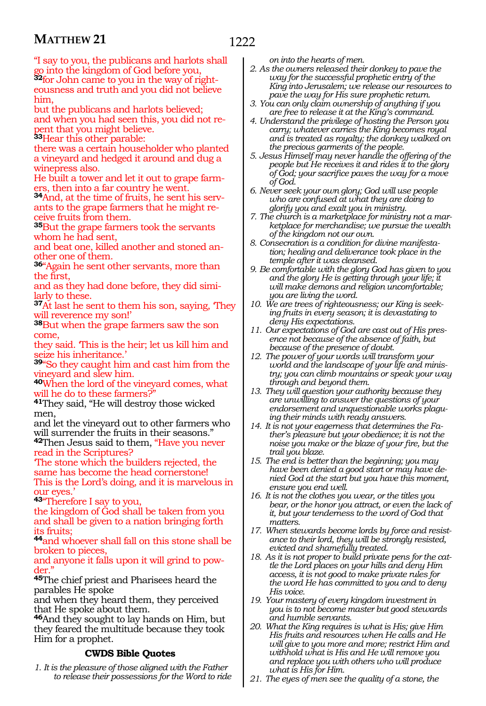"I say to you, the publicans and harlots shall go into the kingdom of God before you, **32**for John came to you in the way of righteousness and truth and you did not believe him,

but the publicans and harlots believed; and when you had seen this, you did not repent that you might believe.

**<sup>33</sup>**Hear this other parable: there was a certain householder who planted a vineyard and hedged it around and dug a

winepress also.

He built a tower and let it out to grape farmers, then into a far country he went.

**34**And, at the time of fruits, he sent his servants to the grape farmers that he might receive fruits from them.

**<sup>35</sup>**But the grape farmers took the servants whom he had sent,

and beat one, killed another and stoned another one of them.

**<sup>36</sup>**"Again he sent other servants, more than the first,

and as they had done before, they did similarly to these.

**<sup>37</sup>**At last he sent to them his son, saying, 'They will reverence my son!'

**<sup>38</sup>**But when the grape farmers saw the son come,

they said. 'This is the heir; let us kill him and seize his inheritance.'

**<sup>39</sup>**"So they caught him and cast him from the vineyard and slew him.

**<sup>40</sup>**When the lord of the vineyard comes, what will he do to these farmers?

**<sup>41</sup>**They said, "He will destroy those wicked men,

and let the vineyard out to other farmers who will surrender the fruits in their seasons."

**<sup>42</sup>**Then Jesus said to them, "Have you never read in the Scriptures?

'The stone which the builders rejected, the same has become the head cornerstone! This is the Lord's doing, and it is marvelous in our eyes.'

**<sup>43</sup>**"Therefore I say to you,

the kingdom of God shall be taken from you and shall be given to a nation bringing forth its fruits;

**<sup>44</sup>**and whoever shall fall on this stone shall be broken to pieces,

and anyone it falls upon it will grind to powder."

**<sup>45</sup>**The chief priest and Pharisees heard the parables He spoke

and when they heard them, they perceived that He spoke about them.

**<sup>46</sup>**And they sought to lay hands on Him, but they feared the multitude because they took Him for a prophet.

# **CWDS Bible Quotes**

*1. It is the pleasure of those aligned with the Father to release their possessions for the Word to ride*  *on into the hearts of men.*

*2. As the owners released their donkey to pave the way for the successful prophetic entry of the King into Jerusalem; we release our resources to pave the way for His sure prophetic return.*

- *3. You can only claim ownership of anything if you are free to release it at the King's command.*
- *4. Understand the privilege of hosting the Person you carry; whatever carries the King becomes royal and is treated as royalty; the donkey walked on the precious garments of the people.*
- *5. Jesus Himself may never handle the offering of the people but He receives it and rides it to the glory of God; your sacrifice paves the way for a move of God.*
- *6. Never seek your own glory; God will use people who are confused at what they are doing to glorify you and exalt you in ministry.*
- *7. The church is a marketplace for ministry not a marketplace for merchandise; we pursue the wealth of the kingdom not our own.*
- *8. Consecration is a condition for divine manifestation; healing and deliverance took place in the temple after it was cleansed.*
- *9. Be comfortable with the glory God has given to you and the glory He is getting through your life; it will make demons and religion uncomfortable; you are living the word.*
- *10. We are trees of righteousness; our King is seeking fruits in every season; it is devastating to deny His expectations.*
- *11. Our expectations of God are cast out of His presence not because of the absence of faith, but because of the presence of doubt.*
- *12. The power of your words will transform your world and the landscape of your life and ministry; you can climb mountains or speak your way through and beyond them.*
- *13. They will question your authority because they are unwilling to answer the questions of your endorsement and unquestionable works plaguing their minds with ready answers.*
- *14. It is not your eagerness that determines the Father's pleasure but your obedience; it is not the noise you make or the blaze of your fire, but the trail you blaze.*
- *15. The end is better than the beginning; you may have been denied a good start or may have denied God at the start but you have this moment, ensure you end well.*
- *16. It is not the clothes you wear, or the titles you bear, or the honor you attract, or even the lack of it, but your tenderness to the word of God that matters.*
- *17. When stewards become lords by force and resistance to their lord, they will be strongly resisted, evicted and shamefully treated.*
- *18. As it is not proper to build private pens for the cattle the Lord places on your hills and deny Him access, it is not good to make private rules for the word He has committed to you and to deny His voice.*
- *19. Your mastery of every kingdom investment in you is to not become master but good stewards and humble servants.*
- *20. What the King requires is what is His; give Him His fruits and resources when He calls and He will give to you more and more; restrict Him and withhold what is His and He will remove you and replace you with others who will produce what is His for Him.*
- *21. The eyes of men see the quality of a stone, the*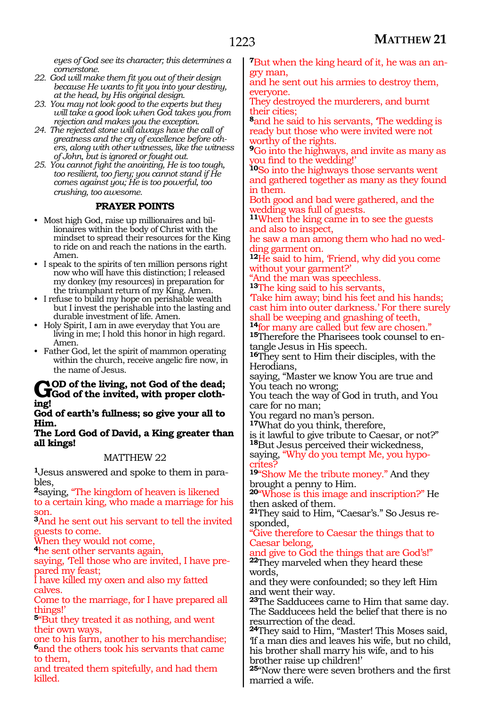*eyes of God see its character; this determines a cornerstone.*

- *22. God will make them fit you out of their design because He wants to fit you into your destiny, at the head, by His original design.*
- *23. You may not look good to the experts but they will take a good look when God takes you from rejection and makes you the exception.*
- *24. The rejected stone will always have the call of greatness and the cry of excellence before others, along with other witnesses, like the witness of John, but is ignored or fought out.*
- *25. You cannot fight the anointing, He is too tough, too resilient, too fiery; you cannot stand if He comes against you; He is too powerful, too crushing, too awesome.*

# **PRAYER POINTS**

- Most high God, raise up millionaires and billionaires within the body of Christ with the mindset to spread their resources for the King to ride on and reach the nations in the earth. Amen.
- I speak to the spirits of ten million persons right now who will have this distinction; I released my donkey (my resources) in preparation for the triumphant return of my King. Amen.
- I refuse to build my hope on perishable wealth but I invest the perishable into the lasting and durable investment of life. Amen.
- Holy Spirit, I am in awe everyday that You are living in me; I hold this honor in high regard. Amen.
- Father God, let the spirit of mammon operating within the church, receive angelic fire now, in the name of Jesus.

# God of the living, not God of the dead;<br> **God of the invited, with proper clothing!**

**God of earth's fullness; so give your all to Him.**

**The Lord God of David, a King greater than all kings!**

## MATTHEW 22

**1**Jesus answered and spoke to them in parables,

**<sup>2</sup>**saying, "The kingdom of heaven is likened to a certain king, who made a marriage for his son.

**<sup>3</sup>**And he sent out his servant to tell the invited guests to come.

When they would not come,

**<sup>4</sup>**he sent other servants again,

saying, 'Tell those who are invited, I have prepared my feast;

I have killed my oxen and also my fatted calves.

Come to the marriage, for I have prepared all things!'

**<sup>5</sup>**"But they treated it as nothing, and went their own ways,

one to his farm, another to his merchandise; **<sup>6</sup>**and the others took his servants that came to them,

and treated them spitefully, and had them killed.

**7**But when the king heard of it, he was an angry man,

and he sent out his armies to destroy them, everyone.

They destroyed the murderers, and burnt their cities;

**<sup>8</sup>**and he said to his servants, 'The wedding is ready but those who were invited were not worthy of the rights.

**<sup>9</sup>**Go into the highways, and invite as many as you find to the wedding!'

**<sup>10</sup>**So into the highways those servants went and gathered together as many as they found in them.

Both good and bad were gathered, and the wedding was full of guests.

**<sup>11</sup>**When the king came in to see the guests and also to inspect,

he saw a man among them who had no wedding garment on.

<sup>12</sup>He said to him, Friend, why did you come without your garment?'

"And the man was speechless. **<sup>13</sup>**The king said to his servants,

'Take him away; bind his feet and his hands; cast him into outer darkness.' For there surely shall be weeping and gnashing of teeth,<br><sup>14</sup> for many are called but few are chosen."

**15**Therefore the Pharisees took counsel to en-

tangle Jesus in His speech.

**<sup>16</sup>**They sent to Him their disciples, with the Herodians,

saying, "Master we know You are true and You teach no wrong;

You teach the way of God in truth, and You care for no man;

You regard no man's person.

**<sup>17</sup>**What do you think, therefore, is it lawful to give tribute to Caesar, or not?"

**<sup>18</sup>**But Jesus perceived their wickedness, saying, "Why do you tempt Me, you hypocrites?

**<sup>19</sup>**"Show Me the tribute money." And they brought a penny to Him.

**<sup>20</sup>**"Whose is this image and inscription?" He then asked of them.

**21**They said to Him, "Caesar's." So Jesus responded,

"Give therefore to Caesar the things that to Caesar belong,

and give to God the things that are God's!"

**<sup>22</sup>**They marveled when they heard these words,

and they were confounded; so they left Him and went their way.

**<sup>23</sup>**The Sadducees came to Him that same day. The Sadducees held the belief that there is no resurrection of the dead.

**<sup>24</sup>**They said to Him, "Master! This Moses said, 'If a man dies and leaves his wife, but no child, his brother shall marry his wife, and to his brother raise up children!'

**<sup>25</sup>**"Now there were seven brothers and the first married a wife.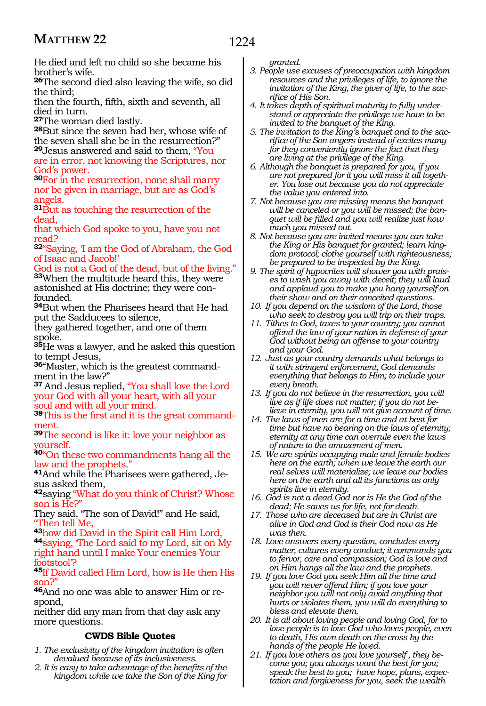# 1224

He died and left no child so she became his brother's wife.

**<sup>26</sup>**The second died also leaving the wife, so did the third;

then the fourth, fifth, sixth and seventh, all died in turn.<br>27The woman died lastly.

**28**But since the seven had her, whose wife of the seven shall she be in the resurrection?" **<sup>29</sup>**Jesus answered and said to them, "You

are in error, not knowing the Scriptures, nor God's power.

**<sup>30</sup>**For in the resurrection, none shall marry nor be given in marriage, but are as God's angels.

**<sup>31</sup>**But as touching the resurrection of the dead,

that which God spoke to you, have you not read?

**<sup>32</sup>**"Saying, 'I am the God of Abraham, the God of Isaac and Jacob!'

God is not a God of the dead, but of the living."

**<sup>33</sup>**When the multitude heard this, they were astonished at His doctrine; they were confounded.

**<sup>34</sup>**But when the Pharisees heard that He had put the Sadducees to silence,

they gathered together, and one of them spoke.

**<sup>35</sup>**He was a lawyer, and he asked this question to tempt Jesus,

**36**"Master, which is the greatest commandment in the law?"

**<sup>37</sup>**And Jesus replied, "You shall love the Lord your God with all your heart, with all your soul and with all your mind.

**38**This is the first and it is the great commandment.

**<sup>39</sup>**The second is like it: love your neighbor as yourself.

**<sup>40</sup>**"On these two commandments hang all the law and the prophets."

**41**And while the Pharisees were gathered, Jesus asked them,

**<sup>42</sup>**saying "What do you think of Christ? Whose son is He?"

They said, "The son of David!" and He said, "Then tell Me,

**<sup>43</sup>**how did David in the Spirit call Him Lord, **44**saying, 'The Lord said to my Lord, sit on My right hand until I make Your enemies Your footstool'?

**<sup>45</sup>**If David called Him Lord, how is He then His son?"

**46**And no one was able to answer Him or respond,

neither did any man from that day ask any more questions.

# **CWDS Bible Quotes**

- *1. The exclusivity of the kingdom invitation is often devalued because of its inclusiveness.*
- *2. It is easy to take advantage of the benefits of the kingdom while we take the Son of the King for*

*granted.* 

- *3. People use excuses of preoccupation with kingdom resources and the privileges of life, to ignore the invitation of the King, the giver of life, to the sacrifice of His Son.*
- *4. It takes depth of spiritual maturity to fully understand or appreciate the privilege we have to be invited to the banquet of the King.*
- *5. The invitation to the King's banquet and to the sacrifice of the Son angers instead of excites many for they conveniently ignore the fact that they are living at the privilege of the King.*
- *6. Although the banquet is prepared for you, if you are not prepared for it you will miss it all together. You lose out because you do not appreciate the value you entered into.*
- *7. Not because you are missing means the banquet will be canceled or you will be missed; the banquet will be filled and you will realize just how much you missed out.*
- *8. Not because you are invited means you can take the King or His banquet for granted; learn kingdom protocol; clothe yourself with righteousness; be prepared to be inspected by the King.*
- *9. The spirit of hypocrites will shower you with praises to wash you away with deceit; they will laud and applaud you to make you hang yourself on their show and on their conceited questions.*
- *10. If you depend on the wisdom of the Lord, those who seek to destroy you will trip on their traps.*
- *11. Tithes to God, taxes to your country; you cannot offend the law of your nation in defense of your God without being an offense to your country and your God.*
- *12. Just as your country demands what belongs to it with stringent enforcement, God demands everything that belongs to Him; to include your every breath.*
- *13. If you do not believe in the resurrection, you will live as if life does not matter; if you do not believe in eternity, you will not give account of time.*
- *14. The laws of men are for a time and at best for time but have no bearing on the laws of eternity; eternity at any time can overrule even the laws of nature to the amazement of men.*
- *15. We are spirits occupying male and female bodies here on the earth; when we leave the earth our real selves will materialize; we leave our bodies here on the earth and all its functions as only spirits live in eternity.*
- *16. God is not a dead God nor is He the God of the dead; He saves us for life, not for death.*
- *17. Those who are deceased but are in Christ are alive in God and God is their God now as He was then.*
- *18. Love answers every question, concludes every matter, cultures every conduct; it commands you to fervor, care and compassion; God is love and on Him hangs all the law and the prophets.*
- *19. If you love God you seek Him all the time and you will never offend Him; if you love your neighbor you will not only avoid anything that hurts or violates them, you will do everything to bless and elevate them.*
- *20. It is all about loving people and loving God, for to love people is to love God who loves people, even to death, His own death on the cross by the hands of the people He loved.*
- *21. If you love others as you love yourself , they become you; you always want the best for you; speak the best to you; have hope, plans, expectation and forgiveness for you, seek the wealth*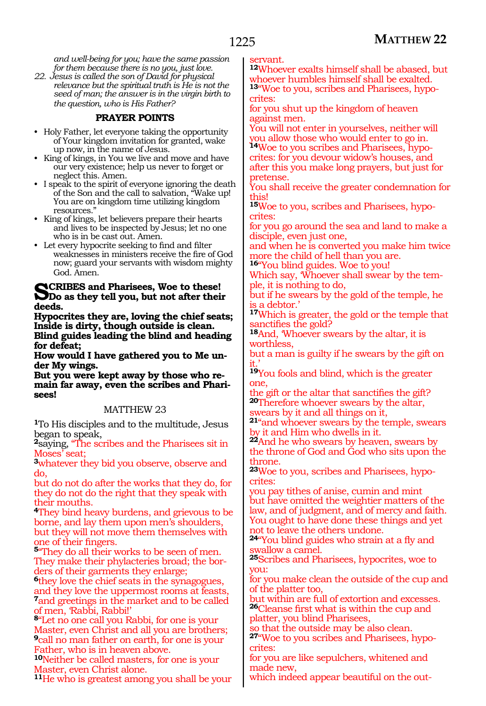*and well-being for you; have the same passion for them because there is no you, just love.*

*22. Jesus is called the son of David for physical relevance but the spiritual truth is He is not the seed of man; the answer is in the virgin birth to the question, who is His Father?*

# **PRAYER POINTS**

- Holy Father, let everyone taking the opportunity of Your kingdom invitation for granted, wake up now, in the name of Jesus.
- King of kings, in You we live and move and have our very existence; help us never to forget or neglect this. Amen.
- I speak to the spirit of everyone ignoring the death of the Son and the call to salvation, "Wake up! You are on kingdom time utilizing kingdom resources."
- King of kings, let believers prepare their hearts and lives to be inspected by Jesus; let no one who is in be cast out. Amen.
- Let every hypocrite seeking to find and filter weaknesses in ministers receive the fire of God now; guard your servants with wisdom mighty God. Amen.

# **SCRIBES and Pharisees, Woe to these!**<br>Do as they tell you, but not after their **deeds.**

**Hypocrites they are, loving the chief seats; Inside is dirty, though outside is clean. Blind guides leading the blind and heading for defeat;**

**How would I have gathered you to Me under My wings.**

**But you were kept away by those who remain far away, even the scribes and Pharisees!**

## MATTHEW 23

**<sup>1</sup>**To His disciples and to the multitude, Jesus began to speak,

**<sup>2</sup>**saying, "The scribes and the Pharisees sit in Moses' seat;

**<sup>3</sup>**whatever they bid you observe, observe and do,

but do not do after the works that they do, for they do not do the right that they speak with their mouths.

**<sup>4</sup>**They bind heavy burdens, and grievous to be borne, and lay them upon men's shoulders, but they will not move them themselves with one of their fingers.

**<sup>5</sup>**"They do all their works to be seen of men. They make their phylacteries broad; the borders of their garments they enlarge;

**<sup>6</sup>**they love the chief seats in the synagogues, and they love the uppermost rooms at feasts, **<sup>7</sup>**and greetings in the market and to be called of men, Rabbi, Rabbi!'

**<sup>8</sup>**"Let no one call you Rabbi, for one is your Master, even Christ and all you are brothers; **<sup>9</sup>**call no man father on earth, for one is your Father, who is in heaven above.

**<sup>10</sup>**Neither be called masters, for one is your Master, even Christ alone.

**<sup>11</sup>**He who is greatest among you shall be your

servant.

**<sup>12</sup>**Whoever exalts himself shall be abased, but whoever humbles himself shall be exalted. **13**"Woe to you, scribes and Pharisees, hypocrites:

for you shut up the kingdom of heaven against men.

You will not enter in yourselves, neither will you allow those who would enter to go in. **14**Woe to you scribes and Pharisees, hypocrites: for you devour widow's houses, and after this you make long prayers, but just for

pretense. You shall receive the greater condemnation for this!

**15**Woe to you, scribes and Pharisees, hypocrites:

for you go around the sea and land to make a disciple, even just one,

and when he is converted you make him twice more the child of hell than you are.

**<sup>16</sup>**"You blind guides. Woe to you!

Which say, 'Whoever shall swear by the temple, it is nothing to do,

but if he swears by the gold of the temple, he is a debtor.'

**<sup>17</sup>**Which is greater, the gold or the temple that sanctifies the gold?

**<sup>18</sup>**And, 'Whoever swears by the altar, it is worthless,

but a man is guilty if he swears by the gift on it.'

**<sup>19</sup>**You fools and blind, which is the greater one,

the gift or the altar that sanctifies the gift? **<sup>20</sup>**Therefore whoever swears by the altar,

swears by it and all things on it,

**<sup>21</sup>**"and whoever swears by the temple, swears by it and Him who dwells in it.

**<sup>22</sup>**And he who swears by heaven, swears by the throne of God and God who sits upon the throne.

**<sup>23</sup>**Woe to you, scribes and Pharisees, hypo- crites:

you pay tithes of anise, cumin and mint but have omitted the weightier matters of the law, and of judgment, and of mercy and faith. You ought to have done these things and yet not to leave the others undone.

**<sup>24</sup>**"You blind guides who strain at a fly and swallow a camel.

**<sup>25</sup>**Scribes and Pharisees, hypocrites, woe to you:

for you make clean the outside of the cup and of the platter too,

but within are full of extortion and excesses. **<sup>26</sup>**Cleanse first what is within the cup and platter, you blind Pharisees,

so that the outside may be also clean.

**27**"Woe to you scribes and Pharisees, hypocrites:

for you are like sepulchers, whitened and made new,

which indeed appear beautiful on the out-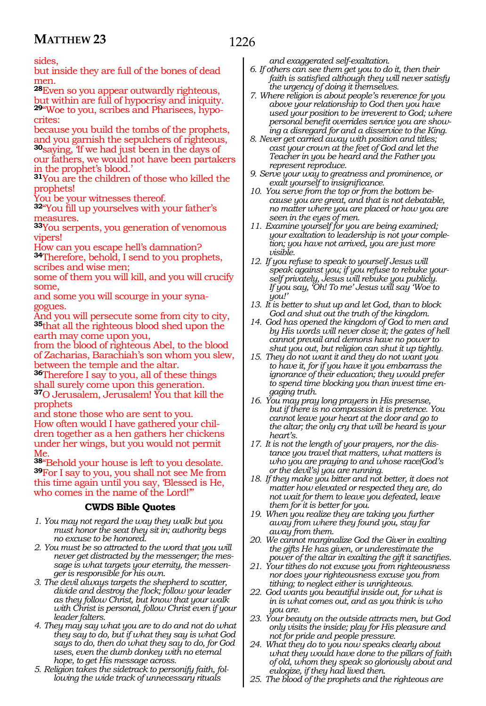sides,

but inside they are full of the bones of dead men.

**<sup>28</sup>**Even so you appear outwardly righteous, but within are full of hypocrisy and iniquity. **29**"Woe to you, scribes and Pharisees, hypocrites:

because you build the tombs of the prophets, and you garnish the sepulchers of righteous, **<sup>30</sup>**saying, 'If we had just been in the days of our fathers, we would not have been partakers in the prophet's blood.'

**<sup>31</sup>**You are the children of those who killed the prophets!

You be your witnesses thereof.

**<sup>32</sup>**"You fill up yourselves with your father's measures.

**<sup>33</sup>**You serpents, you generation of venomous vipers!

How can you escape hell's damnation? **<sup>34</sup>**Therefore, behold, I send to you prophets,

scribes and wise men;

some of them you will kill, and you will crucify some,

and some you will scourge in your synagogues.

And you will persecute some from city to city, **<sup>35</sup>**that all the righteous blood shed upon the earth may come upon you,

from the blood of righteous Abel, to the blood of Zacharias, Barachiah's son whom you slew, between the temple and the altar.

**<sup>36</sup>**Therefore I say to you, all of these things hall surely come upon this generation. **<sup>37</sup>**O Jerusalem, Jerusalem! You that kill the prophets

and stone those who are sent to you. How often would I have gathered your chil- dren together as a hen gathers her chickens under her wings, but you would not permit Me.

**<sup>38</sup>**"Behold your house is left to you desolate. **<sup>39</sup>**For I say to you, you shall not see Me from this time again until you say, 'Blessed is He, who comes in the name of the Lord!"

## **CWDS Bible Quotes**

- *1. You may not regard the way they walk but you must honor the seat they sit in; authority begs no excuse to be honored.*
- *2. You must be so attracted to the word that you will never get distracted by the messenger; the message is what targets your eternity, the messenger is responsible for his own.*
- *3. The devil always targets the shepherd to scatter, divide and destroy the flock; follow your leader as they follow Christ, but know that your walk with Christ is personal, follow Christ even if your leader falters.*
- *4. They may say what you are to do and not do what they say to do, but if what they say is what God says to do, then do what they say to do, for God uses, even the dumb donkey with no eternal hope, to get His message across.*
- *5. Religion takes the sidetrack to personify faith, following the wide track of unnecessary rituals*

*and exaggerated self-exaltation.*

- *6. If others can see them get you to do it, then their faith is satisfied although they will never satisfy the urgency of doing it themselves.*
- *7. Where religion is about people's reverence for you above your relationship to God then you have used your position to be irreverent to God; where personal benefit overrides service you are showing a disregard for and a disservice to the King.*
- *8. Never get carried away with position and titles; cast your crown at the feet of God and let the Teacher in you be heard and the Father you represent reproduce.*
- *9. Serve your way to greatness and prominence, or exalt yourself to insignificance.*
- *10. You serve from the top or from the bottom because you are great, and that is not debatable, no matter where you are placed or how you are seen in the eyes of men.*
- *11. Examine yourself for you are being examined; your exaltation to leadership is not your completion; you have not arrived, you are just more visible.*
- *12. If you refuse to speak to yourself Jesus will speak against you; if you refuse to rebuke yourself privately, Jesus will rebuke you publicly. If you say, 'Oh! To me' Jesus will say 'Woe to you!'*
- *13. It is better to shut up and let God, than to block God and shut out the truth of the kingdom.*
- *14. God has opened the kingdom of God to men and by His words will never close it; the gates of hell cannot prevail and demons have no power to shut you out, but religion can shut it up tightly.*
- *15. They do not want it and they do not want you to have it, for if you have it you embarrass the ignorance of their education; they would prefer to spend time blocking you than invest time engaging truth.*
- *16. You may pray long prayers in His presense, but if there is no compassion it is pretence. You cannot leave your heart at the door and go to the altar; the only cry that will be heard is your heart's.*
- *17. It is not the length of your prayers, nor the distance you travel that matters, what matters is who you are praying to and whose race(God's or the devil's) you are running.*
- *18. If they make you bitter and not better, it does not matter how elevated or respected they are, do not wait for them to leave you defeated, leave them for it is better for you.*
- *19. When you realize they are taking you further away from where they found you, stay far away from them.*
- *20. We cannot marginalize God the Giver in exalting the gifts He has given, or underestimate the power of the altar in exalting the gift it sanctifies.*
- *21. Your tithes do not excuse you from righteousness nor does your righteousness excuse you from tithing; to neglect either is unrighteous.*
- *22. God wants you beautiful inside out, for what is in is what comes out, and as you think is who you are.*
- *23. Your beauty on the outside attracts men, but God only visits the inside; play for His pleasure and not for pride and people pressure.*
- *24. What they do to you now speaks clearly about what they would have done to the pillars of faith of old, whom they speak so gloriously about and eulogize, if they had lived then.*
- *25. The blood of the prophets and the righteous are*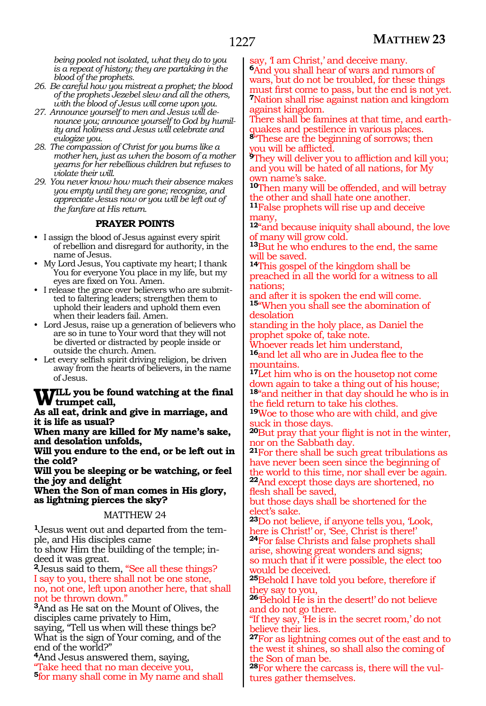*being pooled not isolated, what they do to you is a repeat of history; they are partaking in the blood of the prophets.*

- *26. Be careful how you mistreat a prophet; the blood of the prophets Jezebel slew and all the others, with the blood of Jesus will come upon you.*
- *27. Announce yourself to men and Jesus will denounce you; announce yourself to God by humility and holiness and Jesus will celebrate and eulogize you.*
- *28. The compassion of Christ for you burns like a mother hen, just as when the bosom of a mother yearns for her rebellious children but refuses to violate their will.*
- *29. You never know how much their absence makes you empty until they are gone; recognize, and appreciate Jesus now or you will be left out of the fanfare at His return.*

## **PRAYER POINTS**

- I assign the blood of Jesus against every spirit of rebellion and disregard for authority, in the name of Jesus.
- My Lord Jesus, You captivate my heart; I thank You for everyone You place in my life, but my eyes are fixed on You. Amen.
- I release the grace over believers who are submitted to faltering leaders; strengthen them to uphold their leaders and uphold them even when their leaders fail. Amen.
- Lord Jesus, raise up a generation of believers who are so in tune to Your word that they will not be diverted or distracted by people inside or outside the church. Amen.
- Let every selfish spirit driving religion, be driven away from the hearts of believers, in the name of Jesus.

#### **Will you be found watching at the final trumpet call,**

**As all eat, drink and give in marriage, and it is life as usual?**

**When many are killed for My name's sake, and desolation unfolds,**

**Will you endure to the end, or be left out in the cold?**

**Will you be sleeping or be watching, or feel the joy and delight**

**When the Son of man comes in His glory, as lightning pierces the sky?**

## MATTHEW 24

**1**Jesus went out and departed from the temple, and His disciples came

to show Him the building of the temple; indeed it was great.

**<sup>2</sup>**Jesus said to them, "See all these things? I say to you, there shall not be one stone, no, not one, left upon another here, that shall not be thrown down."

**<sup>3</sup>**And as He sat on the Mount of Olives, the disciples came privately to Him,

saying, "Tell us when will these things be? What is the sign of Your coming, and of the end of the world?"

**<sup>4</sup>**And Jesus answered them, saying, "Take heed that no man deceive you, **<sup>5</sup>**for many shall come in My name and shall say, I am Christ,' and deceive many.

**<sup>6</sup>**And you shall hear of wars and rumors of wars, but do not be troubled, for these things must first come to pass, but the end is not yet. **<sup>7</sup>**Nation shall rise against nation and kingdom against kingdom.

There shall be famines at that time, and earthquakes and pestilence in various places.

**<sup>8</sup>**"These are the beginning of sorrows; then you will be afflicted.

**<sup>9</sup>**They will deliver you to affliction and kill you; and you will be hated of all nations, for My own name's sake.

**<sup>10</sup>**Then many will be offended, and will betray the other and shall hate one another.

**<sup>11</sup>**False prophets will rise up and deceive many,

**<sup>12</sup>**"and because iniquity shall abound, the love of many will grow cold.

**<sup>13</sup>**But he who endures to the end, the same will be saved.

**<sup>14</sup>**This gospel of the kingdom shall be preached in all the world for a witness to all nations;

and after it is spoken the end will come. **<sup>15</sup>**"When you shall see the abomination of desolation

standing in the holy place, as Daniel the prophet spoke of, take note.

Whoever reads let him understand, **<sup>16</sup>**and let all who are in Judea flee to the

nountains.

**<sup>17</sup>**Let him who is on the housetop not come down again to take a thing out of his house; **<sup>18</sup>**"and neither in that day should he who is in

the field return to take his clothes.

**<sup>19</sup>**Woe to those who are with child, and give uck in those days.

**<sup>20</sup>**But pray that your flight is not in the winter, nor on the Sabbath day.

**<sup>21</sup>**For there shall be such great tribulations as have never been seen since the beginning of the world to this time, nor shall ever be again. **<sup>22</sup>**And except those days are shortened, no flesh shall be saved,

but those days shall be shortened for the elect's sake.

**<sup>23</sup>**Do not believe, if anyone tells you, 'Look, here is Christ!' or, 'See, Christ is there!'

**<sup>24</sup>**For false Christs and false prophets shall arise, showing great wonders and signs; so much that if it were possible, the elect too

would be deceived. **<sup>25</sup>**Behold I have told you before, therefore if

they say to you, **<sup>26</sup>**'Behold He is in the desert!' do not believe and do not go there.

"If they say, 'He is in the secret room,' do not believe their lies.

**<sup>27</sup>**For as lightning comes out of the east and to the west it shines, so shall also the coming of the Son of man be.

**<sup>28</sup>**For where the carcass is, there will the vul- tures gather themselves.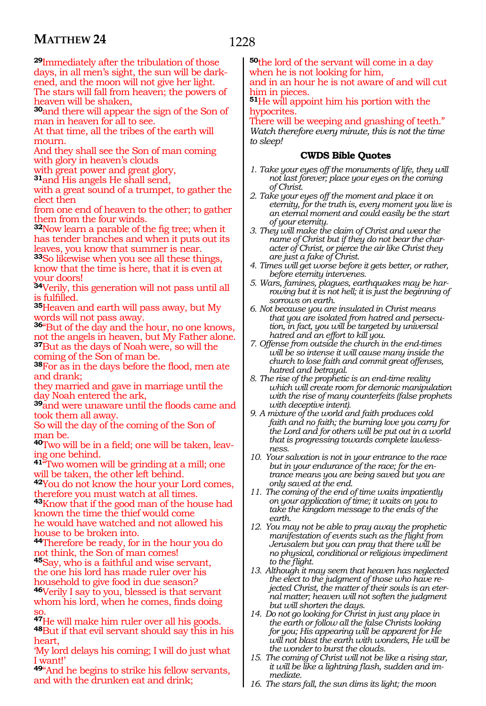**<sup>29</sup>**Immediately after the tribulation of those days, in all men's sight, the sun will be dark- ened, and the moon will not give her light. The stars will fall from heaven; the powers of heaven will be shaken,

**<sup>30</sup>**and there will appear the sign of the Son of man in heaven for all to see.

At that time, all the tribes of the earth will mourn

And they shall see the Son of man coming with glory in heaven's clouds

with great power and great glory,

**<sup>31</sup>**and His angels He shall send,

with a great sound of a trumpet, to gather the elect then

from one end of heaven to the other; to gather them from the four winds.

**<sup>32</sup>**Now learn a parable of the fig tree; when it has tender branches and when it puts out its leaves, you know that summer is near.

**<sup>33</sup>**So likewise when you see all these things, know that the time is here, that it is even at your doors!

**<sup>34</sup>**Verily, this generation will not pass until all is fulfilled.

**<sup>35</sup>**Heaven and earth will pass away, but My words will not pass away.

**<sup>36</sup>**"But of the day and the hour, no one knows, not the angels in heaven, but My Father alone. **<sup>37</sup>**But as the days of Noah were, so will the coming of the Son of man be.

**<sup>38</sup>**For as in the days before the flood, men ate and drank;

they married and gave in marriage until the day Noah entered the ark,

**<sup>39</sup>**and were unaware until the floods came and took them all away.

So will the day of the coming of the Son of man be.

**40**Two will be in a field; one will be taken, leaving one behind.

**<sup>41</sup>**"Two women will be grinding at a mill; one will be taken, the other left behind.

**<sup>42</sup>**You do not know the hour your Lord comes, therefore you must watch at all times.

**<sup>43</sup>**Know that if the good man of the house had known the time the thief would come he would have watched and not allowed his house to be broken into.

**<sup>44</sup>**Therefore be ready, for in the hour you do not think, the Son of man comes!

**<sup>45</sup>**Say, who is a faithful and wise servant, the one his lord has made ruler over his household to give food in due season? **<sup>46</sup>**Verily I say to you, blessed is that servant

whom his lord, when he comes, finds doing

<sup>47</sup>He will make him ruler over all his goods. <sup>48</sup>But if that evil servant should say this in his heart,

'My lord delays his coming; I will do just what I want!'

**<sup>49</sup>**"And he begins to strike his fellow servants, and with the drunken eat and drink;

**<sup>50</sup>**the lord of the servant will come in a day when he is not looking for him, and in an hour he is not aware of and will cut him in pieces.

**<sup>51</sup>**He will appoint him his portion with the hypocrites

There will be weeping and gnashing of teeth." *Watch therefore every minute, this is not the time to sleep!*

- *1. Take your eyes off the monuments of life, they will not last forever; place your eyes on the coming of Christ.*
- *2. Take your eyes off the moment and place it on eternity, for the truth is, every moment you live is an eternal moment and could easily be the start of your eternity.*
- *3. They will make the claim of Christ and wear the name of Christ but if they do not bear the character of Christ, or pierce the air like Christ they are just a fake of Christ.*
- *4. Times will get worse before it gets better, or rather, before eternity intervenes.*
- *5. Wars, famines, plagues, earthquakes may be harrowing but it is not hell; it is just the beginning of sorrows on earth.*
- *6. Not because you are insulated in Christ means that you are isolated from hatred and persecution, in fact, you will be targeted by universal hatred and an effort to kill you.*
- *7. Offense from outside the church in the end-times will be so intense it will cause many inside the church to lose faith and commit great offenses, hatred and betrayal.*
- *8. The rise of the prophetic is an end-time reality which will create room for demonic manipulation with the rise of many counterfeits (false prophets with deceptive intent).*
- *9. A mixture of the world and faith produces cold faith and no faith; the burning love you carry for the Lord and for others will be put out in a world that is progressing towards complete lawlessness.*
- *10. Your salvation is not in your entrance to the race but in your endurance of the race; for the entrance means you are being saved but you are only saved at the end.*
- *11. The coming of the end of time waits impatiently on your application of time; it waits on you to take the kingdom message to the ends of the earth.*
- *12. You may not be able to pray away the prophetic manifestation of events such as the flight from Jerusalem but you can pray that there will be no physical, conditional or religious impediment to the flight.*
- *13. Although it may seem that heaven has neglected the elect to the judgment of those who have rejected Christ, the matter of their souls is an eternal matter; heaven will not soften the judgment but will shorten the days.*
- *14. Do not go looking for Christ in just any place in the earth or follow all the false Christs looking for you; His appearing will be apparent for He will not blast the earth with wonders, He will be the wonder to burst the clouds.*
- *15. The coming of Christ will not be like a rising star, it will be like a lightning flash, sudden and immediate.*
- *16. The stars fall, the sun dims its light; the moon*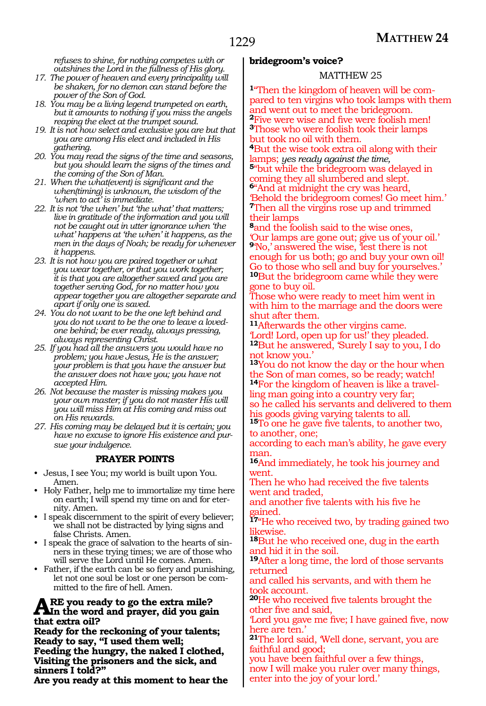*refuses to shine, for nothing competes with or outshines the Lord in the fullness of His glory.*

- *17. The power of heaven and every principality will be shaken, for no demon can stand before the power of the Son of God.*
- *18. You may be a living legend trumpeted on earth, but it amounts to nothing if you miss the angels reaping the elect at the trumpet sound.*
- *19. It is not how select and exclusive you are but that you are among His elect and included in His gathering.*
- *20. You may read the signs of the time and seasons, but you should learn the signs of the times and the coming of the Son of Man.*
- *21. When the what(event) is significant and the when(timing) is unknown, the wisdom of the 'when to act' is immediate.*
- *22. It is not 'the when' but 'the what' that matters; live in gratitude of the information and you will not be caught out in utter ignorance when 'the what' happens at 'the when' it happens, as the men in the days of Noah; be ready for whenever it happens.*
- *23. It is not how you are paired together or what you wear together, or that you work together; it is that you are altogether saved and you are together serving God, for no matter how you appear together you are altogether separate and apart if only one is saved.*
- *24. You do not want to be the one left behind and you do not want to be the one to leave a lovedone behind; be ever ready, always pressing, always representing Christ.*
- *25. If you had all the answers you would have no problem; you have Jesus, He is the answer; your problem is that you have the answer but the answer does not have you; you have not accepted Him.*
- *26. Not because the master is missing makes you your own master; if you do not master His will you will miss Him at His coming and miss out on His rewards.*
- *27. His coming may be delayed but it is certain; you have no excuse to ignore His existence and pursue your indulgence.*

## **PRAYER POINTS**

- Jesus, I see You; my world is built upon You. Amen.
- Holy Father, help me to immortalize my time here on earth; I will spend my time on and for eternity. Amen.
- I speak discernment to the spirit of every believer; we shall not be distracted by lying signs and false Christs. Amen.
- I speak the grace of salvation to the hearts of sinners in these trying times; we are of those who will serve the Lord until He comes. Amen.
- Father, if the earth can be so fiery and punishing, let not one soul be lost or one person be committed to the fire of hell. Amen.

# **ARE** you ready to go the extra mile?<br> **A**In the word and prayer, did you gain **that extra oil?**

**Ready for the reckoning of your talents; Ready to say, "I used them well; Feeding the hungry, the naked I clothed, Visiting the prisoners and the sick, and sinners I told?"**

**Are you ready at this moment to hear the** 

## **bridegroom's voice?**

#### MATTHEW 25

**1**"Then the kingdom of heaven will be compared to ten virgins who took lamps with them and went out to meet the bridegroom. **<sup>2</sup>**Five were wise and five were foolish men! **<sup>3</sup>**Those who were foolish took their lamps but took no oil with them.

**4**But the wise took extra oil along with their lamps; yes ready against the time,

<sup>5"</sup>but while the bridegroom was delayed in coming they all slumbered and slept. **<sup>6</sup>**"And at midnight the cry was heard, 'Behold the bridegroom comes! Go meet him.' **<sup>7</sup>**Then all the virgins rose up and trimmed their lamps

**<sup>8</sup>**and the foolish said to the wise ones, 'Our lamps are gone out; give us of your oil.' **9**No,' answered the wise, lest there is not enough for us both; go and buy your own oil! Go to those who sell and buy for yourselves.' **<sup>10</sup>**But the bridegroom came while they were gone to buy oil.

Those who were ready to meet him went in with him to the marriage and the doors were shut after them.

**<sup>11</sup>**Afterwards the other virgins came. 'Lord! Lord, open up for us!' they pleaded. **<sup>12</sup>**But he answered, 'Surely I say to you, I do not know you.'

**<sup>13</sup>**You do not know the day or the hour when the Son of man comes, so be ready; watch! **14**For the kingdom of heaven is like a travelling man going into a country very far; so he called his servants and delivered to them his goods giving varying talents to all.

**<sup>15</sup>**To one he gave five talents, to another two, to another, one;

according to each man's ability, he gave every man.

**<sup>16</sup>**And immediately, he took his journey and went.

Then he who had received the five talents went and traded,

and another five talents with his five he gained.

**<sup>17</sup>**"He who received two, by trading gained two likewise.

**<sup>18</sup>**But he who received one, dug in the earth and hid it in the soil.

**<sup>19</sup>**After a long time, the lord of those servants returned

and called his servants, and with them he took account.

**<sup>20</sup>**He who received five talents brought the other five and said,

'Lord you gave me five; I have gained five, now here are ten.'

**<sup>21</sup>**The lord said, 'Well done, servant, you are faithful and good;

you have been faithful over a few things, now I will make you ruler over many things, enter into the joy of your lord.'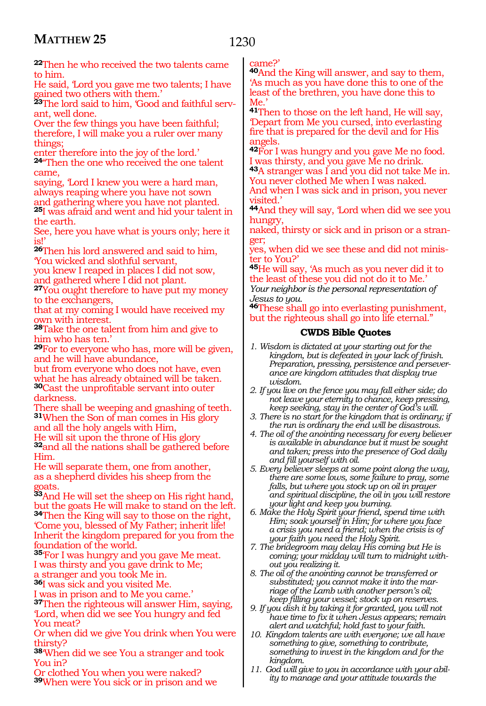# 1230

**<sup>22</sup>**Then he who received the two talents came to him.

He said, 'Lord you gave me two talents; I have gained two others with them.'

**23**The lord said to him, 'Good and faithful servant, well done.

Over the few things you have been faithful; therefore, I will make you a ruler over many things;

enter therefore into the joy of the lord.' **<sup>24</sup>**"Then the one who received the one talent came,

saying, 'Lord I knew you were a hard man, always reaping where you have not sown and gathering where you have not planted. **<sup>25</sup>**I was afraid and went and hid your talent in the earth.

See, here you have what is yours only; here it is!'

**<sup>26</sup>**Then his lord answered and said to him, 'You wicked and slothful servant,

you knew I reaped in places I did not sow, and gathered where I did not plant.

**<sup>27</sup>**You ought therefore to have put my money to the exchangers,

that at my coming I would have received my own with interest.

**<sup>28</sup>**Take the one talent from him and give to him who has ten.'

**<sup>29</sup>**For to everyone who has, more will be given, and he will have abundance,

but from everyone who does not have, even what he has already obtained will be taken. **<sup>30</sup>**Cast the unprofitable servant into outer darkness.

There shall be weeping and gnashing of teeth. **<sup>31</sup>**When the Son of man comes in His glory and all the holy angels with Him,

He will sit upon the throne of His glory **<sup>32</sup>**and all the nations shall be gathered before Him.

He will separate them, one from another, as a shepherd divides his sheep from the goats.

**<sup>33</sup>**And He will set the sheep on His right hand, but the goats He will make to stand on the left. **<sup>34</sup>**Then the King will say to those on the right, 'Come you, blessed of My Father; inherit life! Inherit the kingdom prepared for you from the foundation of the world.

**<sup>35</sup>**'For I was hungry and you gave Me meat. I was thirsty and you gave drink to Me; a stranger and you took Me in.

**<sup>36</sup>**I was sick and you visited Me.

I was in prison and to Me you came.'

**<sup>37</sup>**Then the righteous will answer Him, saying, 'Lord, when did we see You hungry and fed You meat?

Or when did we give You drink when You were thirsty?

**<sup>38</sup>**'When did we see You a stranger and took You in?

Or clothed You when you were naked? **<sup>39</sup>**When were You sick or in prison and we came?'

**<sup>40</sup>**And the King will answer, and say to them, 'As much as you have done this to one of the least of the brethren, you have done this to Me.'

**<sup>41</sup>**Then to those on the left hand, He will say, 'Depart from Me you cursed, into everlasting fire that is prepared for the devil and for His angels.

**<sup>42</sup>**For I was hungry and you gave Me no food. I was thirsty, and you gave Me no drink.

**<sup>43</sup>**A stranger was I and you did not take Me in. You never clothed Me when I was naked.

And when I was sick and in prison, you never visited.'

**<sup>44</sup>**And they will say, 'Lord when did we see you hungry,

naked, thirsty or sick and in prison or a stranger;

yes, when did we see these and did not minister to You?'

**<sup>45</sup>**He will say, 'As much as you never did it to the least of these you did not do it to Me.'

*Your neighbor is the personal representation of Jesus to you.*

**<sup>46</sup>**These shall go into everlasting punishment, but the righteous shall go into life eternal."

- *1. Wisdom is dictated at your starting out for the kingdom, but is defeated in your lack of finish. Preparation, pressing, persistence and perseverance are kingdom attitudes that display true wisdom.*
- *2. If you live on the fence you may fall either side; do not leave your eternity to chance, keep pressing, keep seeking, stay in the center of God's will.*
- *3. There is no start for the kingdom that is ordinary; if the run is ordinary the end will be disastrous.*
- *4. The oil of the anointing necessary for every believer is available in abundance but it must be sought and taken; press into the presence of God daily and fill yourself with oil.*
- *5. Every believer sleeps at some point along the way, there are some lows, some failure to pray, some falls, but where you stock up on oil in prayer and spiritual discipline, the oil in you will restore your light and keep you burning.*
- *6. Make the Holy Spirit your friend, spend time with Him; soak yourself in Him; for where you face a crisis you need a friend; when the crisis is of your faith you need the Holy Spirit.*
- *7. The bridegroom may delay His coming but He is coming; your midday will turn to midnight without you realizing it.*
- *8. The oil of the anointing cannot be transferred or substituted; you cannot make it into the marriage of the Lamb with another person's oil; keep filling your vessel; stock up on reserves.*
- *9. If you dish it by taking it for granted, you will not have time to fix it when Jesus appears; remain alert and watchful; hold fast to your faith.*
- *10. Kingdom talents are with everyone; we all have something to give, something to contribute, something to invest in the kingdom and for the kingdom.*
- *11. God will give to you in accordance with your ability to manage and your attitude towards the*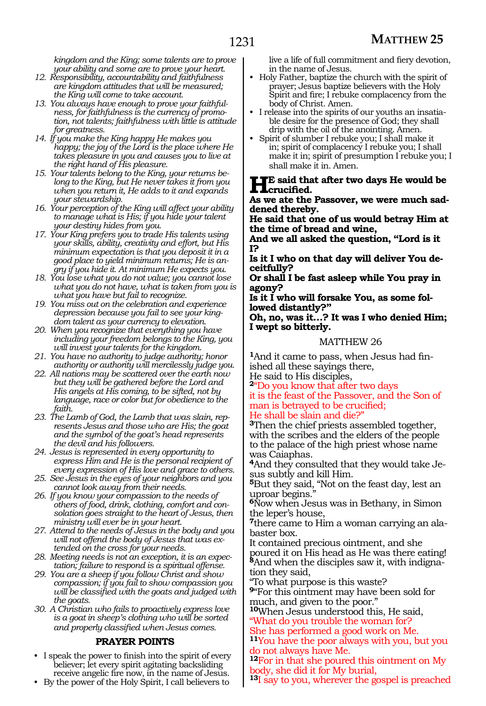*kingdom and the King; some talents are to prove your ability and some are to prove your heart.*

- *12. Responsibility, accountability and faithfulness are kingdom attitudes that will be measured; the King will come to take account.*
- *13. You always have enough to prove your faithfulness, for faithfulness is the currency of promotion, not talents; faithfulness with little is attitude for greatness.*
- *14. If you make the King happy He makes you happy; the joy of the Lord is the place where He takes pleasure in you and causes you to live at the right hand of His pleasure.*
- *15. Your talents belong to the King, your returns belong to the King, but He never takes it from you when you return it, He adds to it and expands your stewardship.*
- *16. Your perception of the King will affect your ability to manage what is His; if you hide your talent your destiny hides from you.*
- *17. Your King prefers you to trade His talents using your skills, ability, creativity and effort, but His minimum expectation is that you deposit it in a good place to yield minimum returns; He is angry if you hide it. At minimum He expects you.*
- *18. You lose what you do not value; you cannot lose what you do not have, what is taken from you is what you have but fail to recognize.*
- *19. You miss out on the celebration and experience depression because you fail to see your kingdom talent as your currency to elevation.*
- *20. When you recognize that everything you have including your freedom belongs to the King, you will invest your talents for the kingdom.*
- *21. You have no authority to judge authority; honor authority or authority will mercilessly judge you.*
- *22. All nations may be scattered over the earth now but they will be gathered before the Lord and His angels at His coming, to be sifted, not by language, race or color but for obedience to the faith.*
- *23. The Lamb of God, the Lamb that was slain, represents Jesus and those who are His; the goat and the symbol of the goat's head represents the devil and his followers.*
- *24. Jesus is represented in every opportunity to express Him and He is the personal recipient of every expression of His love and grace to others.*
- *25. See Jesus in the eyes of your neighbors and you cannot look away from their needs.*
- *26. If you know your compassion to the needs of others of food, drink, clothing, comfort and consolation goes straight to the heart of Jesus, then ministry will ever be in your heart.*
- *27. Attend to the needs of Jesus in the body and you will not offend the body of Jesus that was extended on the cross for your needs.*
- *28. Meeting needs is not an exception, it is an expectation; failure to respond is a spiritual offense.*
- *29. You are a sheep if you follow Christ and show compassion; if you fail to show compassion you will be classified with the goats and judged with the goats.*
- *30. A Christian who fails to proactively express love is a goat in sheep's clothing who will be sorted and properly classified when Jesus comes.*

## **PRAYER POINTS**

- I speak the power to finish into the spirit of every believer; let every spirit agitating backsliding receive angelic fire now, in the name of Jesus.
- By the power of the Holy Spirit, I call believers to

live a life of full commitment and fiery devotion, in the name of Jesus.

- Holy Father, baptize the church with the spirit of prayer; Jesus baptize believers with the Holy Spirit and fire; I rebuke complacency from the body of Christ. Amen.
- I release into the spirits of our youths an insatiable desire for the presence of God; they shall drip with the oil of the anointing. Amen.
- Spirit of slumber I rebuke you; I shall make it in; spirit of complacency I rebuke you; I shall make it in; spirit of presumption I rebuke you; I shall make it in. Amen.

## **He said that after two days He would be crucified.**

**As we ate the Passover, we were much sad- dened thereby.**

**He said that one of us would betray Him at the time of bread and wine,**

**And we all asked the question, "Lord is it I?**

**Is it I who on that day will deliver You deceitfully?**

**Or shall I be fast asleep while You pray in agony?**

**Is it I who will forsake You, as some followed distantly?"**

**Oh, no, was it…? It was I who denied Him; I wept so bitterly.**

## MATTHEW 26

**1**And it came to pass, when Jesus had finished all these sayings there,

He said to His disciples,

**<sup>2</sup>**"Do you know that after two days it is the feast of the Passover, and the Son of man is betrayed to be crucified; He shall be slain and die?"

**<sup>3</sup>**Then the chief priests assembled together, with the scribes and the elders of the people to the palace of the high priest whose name was Caiaphas.

**4**And they consulted that they would take Jesus subtly and kill Him.

**<sup>5</sup>**But they said, "Not on the feast day, lest an uproar begins.

**<sup>6</sup>**Now when Jesus was in Bethany, in Simon the leper's house,

**7**there came to Him a woman carrying an alabaster box.

It contained precious ointment, and she poured it on His head as He was there eating! **8**And when the disciples saw it, with indignation they said,

"To what purpose is this waste? **<sup>9</sup>**"For this ointment may have been sold for

much, and given to the poor."

**<sup>10</sup>**When Jesus understood this, He said, "What do you trouble the woman for?

She has performed a good work on Me. **<sup>11</sup>**You have the poor always with you, but you do not always have Me.

**<sup>12</sup>**For in that she poured this ointment on My body, she did it for My burial,

**<sup>13</sup>**I say to you, wherever the gospel is preached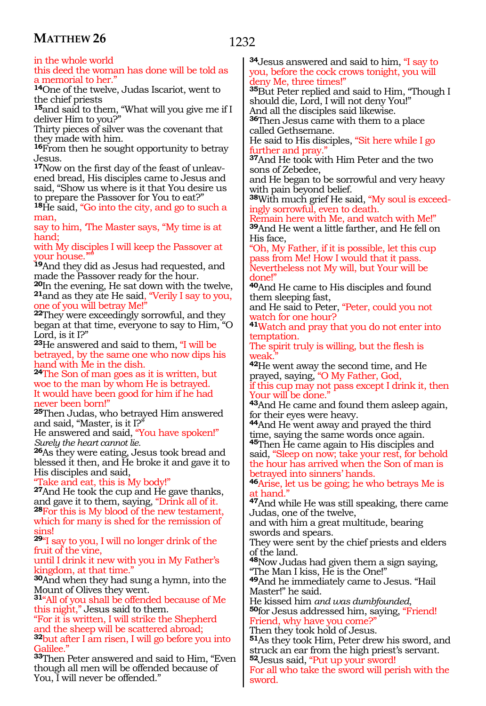in the whole world

this deed the woman has done will be told as a memorial to her.

**<sup>14</sup>**One of the twelve, Judas Iscariot, went to the chief priests

**<sup>15</sup>**and said to them, "What will you give me if I deliver Him to you?"

Thirty pieces of silver was the covenant that they made with him.

**<sup>16</sup>**From then he sought opportunity to betray Jesus.

**17**Now on the first day of the feast of unleavened bread, His disciples came to Jesus and said, "Show us where is it that You desire us to prepare the Passover for You to eat?"

**<sup>18</sup>**He said, "Go into the city, and go to such a man, say to him, 'The Master says, "My time is at

hand;

with My disciples I will keep the Passover at vour house."

**<sup>19</sup>**And they did as Jesus had requested, and made the Passover ready for the hour.<br>20In the evening, He sat down with the twelve,

**21**and as they ate He said, "Verily I say to you, one of you will betray Me!"

**<sup>22</sup>**They were exceedingly sorrowful, and they began at that time, everyone to say to Him, "O Lord, is it I?"

**<sup>23</sup>**He answered and said to them, "I will be betrayed, by the same one who now dips his hand with Me in the dish.

**<sup>24</sup>**The Son of man goes as it is written, but woe to the man by whom He is betrayed. It would have been good for him if he had never been born!"

**<sup>25</sup>**Then Judas, who betrayed Him answered and said, "Master, is it I?"

He answered and said, "You have spoken!" *Surely the heart cannot lie.*

**<sup>26</sup>**As they were eating, Jesus took bread and blessed it then, and He broke it and gave it to His disciples and said,

"Take and eat, this is My body!"

**<sup>27</sup>**And He took the cup and He gave thanks, and gave it to them, saying, "Drink all of it. **<sup>28</sup>**For this is My blood of the new testament, which for many is shed for the remission of sins!

**<sup>29</sup>**"I say to you, I will no longer drink of the fruit of the vine,

until I drink it new with you in My Father's kingdom, at that time."

**<sup>30</sup>**And when they had sung a hymn, into the Mount of Olives they went.

**<sup>31</sup>**"All of you shall be offended because of Me this night," Jesus said to them.

"For it is written, I will strike the Shepherd and the sheep will be scattered abroad; **<sup>32</sup>**but after I am risen, I will go before you into Galilee.'

**<sup>33</sup>**Then Peter answered and said to Him, "Even though all men will be offended because of You, I will never be offended."

**<sup>34</sup>**Jesus answered and said to him, "I say to you, before the cock crows tonight, you will deny Me, three times!"

**<sup>35</sup>**But Peter replied and said to Him, "Though I should die, Lord, I will not deny You!"

And all the disciples said likewise.

**<sup>36</sup>**Then Jesus came with them to a place called Gethsemane.

He said to His disciples, "Sit here while I go further and pray.

**<sup>37</sup>**And He took with Him Peter and the two sons of Zebedee,

and He began to be sorrowful and very heavy with pain beyond belief.

**38**With much grief He said, "My soul is exceedingly sorrowful, even to death.

Remain here with Me, and watch with Me!" **<sup>39</sup>**And He went a little farther, and He fell on His face,

"Oh, My Father, if it is possible, let this cup pass from Me! How I would that it pass. Nevertheless not My will, but Your will be done!"

**<sup>40</sup>**And He came to His disciples and found them sleeping fast,

and He said to Peter, "Peter, could you not watch for one hour?

**<sup>41</sup>**Watch and pray that you do not enter into temptation.

The spirit truly is willing, but the flesh is weak.

**<sup>42</sup>**He went away the second time, and He prayed, saying, "O My Father, God,

if this cup may not pass except I drink it, then Your will be done."

**<sup>43</sup>**And He came and found them asleep again, for their eyes were heavy.

**<sup>44</sup>**And He went away and prayed the third time, saying the same words once again. **<sup>45</sup>**Then He came again to His disciples and

said, "Sleep on now; take your rest, for behold the hour has arrived when the Son of man is betrayed into sinners' hands.

**<sup>46</sup>**Arise, let us be going; he who betrays Me is at hand."

**<sup>47</sup>**And while He was still speaking, there came Judas, one of the twelve,

and with him a great multitude, bearing swords and spears.

They were sent by the chief priests and elders of the land.

**<sup>48</sup>**Now Judas had given them a sign saying, "The Man I kiss, He is the One!"

**<sup>49</sup>**And he immediately came to Jesus. "Hail Master!" he said.

He kissed him *and was dumbfounded*, **<sup>50</sup>**for Jesus addressed him, saying, "Friend! Friend, why have you come?

Then they took hold of Jesus.

**<sup>51</sup>**As they took Him, Peter drew his sword, and struck an ear from the high priest's servant. **<sup>52</sup>**Jesus said, "Put up your sword!

For all who take the sword will perish with the sword.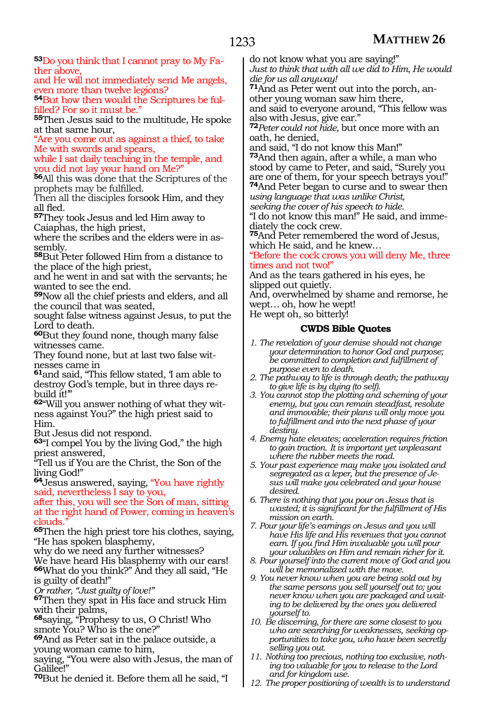**53**Do you think that I cannot pray to My Father above,

and He will not immediately send Me angels, even more than twelve legions?

**54**But how then would the Scriptures be fulfilled? For so it must be."

**<sup>55</sup>**Then Jesus said to the multitude, He spoke at that same hour,

"Are you come out as against a thief, to take Me with swords and spears,

while I sat daily teaching in the temple, and ou did not lay your hand on Me?"

**<sup>56</sup>**All this was done that the Scriptures of the prophets may be fulfilled.

Then all the disciples forsook Him*,* and they all fled.

**<sup>57</sup>**They took Jesus and led Him away to Caiaphas, the high priest,

where the scribes and the elders were in assembly.

**<sup>58</sup>**But Peter followed Him from a distance to the place of the high priest,

and he went in and sat with the servants; he wanted to see the end.

**<sup>59</sup>**Now all the chief priests and elders, and all the council that was seated,

sought false witness against Jesus, to put the Lord to death.

**<sup>60</sup>**But they found none, though many false witnesses came.

They found none, but at last two false witnesses came in

**<sup>61</sup>**and said, "This fellow stated, 'I am able to destroy God's temple, but in three days rebuild it!'"

**62**"Will you answer nothing of what they witness against You?" the high priest said to Him.

But Jesus did not respond.

**<sup>63</sup>**"I compel You by the living God," the high priest answered,

"Tell us if You are the Christ, the Son of the living God!"

**<sup>64</sup>**Jesus answered, saying, "You have rightly said, nevertheless I say to you,

after this, you will see the Son of man, sitting at the right hand of Power, coming in heaven's clouds.

**<sup>65</sup>**Then the high priest tore his clothes, saying, "He has spoken blasphemy,

why do we need any further witnesses?

We have heard His blasphemy with our ears! **<sup>66</sup>**What do you think?" And they all said, "He is guilty of death!"

*Or rather, "Just guilty of love!"*

**<sup>67</sup>**Then they spat in His face and struck Him with their palms,

**<sup>68</sup>**saying, "Prophesy to us, O Christ! Who smote You? Who is the one?"

**<sup>69</sup>**And as Peter sat in the palace outside, a young woman came to him,

saying, "You were also with Jesus, the man of Galilee!"

**<sup>70</sup>**But he denied it. Before them all he said, "I

do not know what you are saying!" *Just to think that with all we did to Him, He would die for us all anyway!*

**71**And as Peter went out into the porch, another young woman saw him there,

and said to everyone around, "This fellow was also with Jesus, give ear."

**<sup>72</sup>***Peter could not hide,* but once more with an oath, he denied,

and said, "I do not know this Man!"

**<sup>73</sup>**And then again, after a while, a man who stood by came to Peter, and said, "Surely you are one of them, for your speech betrays you!"

**<sup>74</sup>**And Peter began to curse and to swear then *using language that was unlike Christ,* 

*seeking the cover of his speech to hide.*

"I do not know this man!" He said, and immediately the cock crew.

**<sup>75</sup>**And Peter remembered the word of Jesus, which He said, and he knew…

"Before the cock crows you will deny Me, three times and not two!"

And as the tears gathered in his eyes, he slipped out quietly.

And, overwhelmed by shame and remorse, he wept… oh, how he wept!

He wept oh, so bitterly!

# **CWDS Bible Quotes**

- *1. The revelation of your demise should not change your determination to honor God and purpose; be committed to completion and fulfillment of purpose even to death.*
- *2. The pathway to life is through death; the pathway to give life is by dying (to self).*
- *3. You cannot stop the plotting and scheming of your enemy, but you can remain steadfast, resolute and immovable; their plans will only move you to fulfillment and into the next phase of your destiny.*
- *4. Enemy hate elevates; acceleration requires friction to gain traction. It is important yet unpleasant where the rubber meets the road.*
- *5. Your past experience may make you isolated and segregated as a leper, but the presence of Jesus will make you celebrated and your house desired.*
- *6. There is nothing that you pour on Jesus that is wasted; it is significant for the fulfillment of His mission on earth.*

*7. Pour your life's earnings on Jesus and you will have His life and His revenues that you cannot earn. If you find Him invaluable you will pour your valuables on Him and remain richer for it.*

*8. Pour yourself into the current move of God and you will be memorialized with the move.*

*9. You never know when you are being sold out by the same persons you sell yourself out to; you never know when you are packaged and waiting to be delivered by the ones you delivered yourself to.* 

*10. Be discerning, for there are some closest to you who are searching for weaknesses, seeking opportunities to take you, who have been secretly selling you out.*

*11. Nothing too precious, nothing too exclusive, nothing too valuable for you to release to the Lord and for kingdom use.*

*12. The proper positioning of wealth is to understand*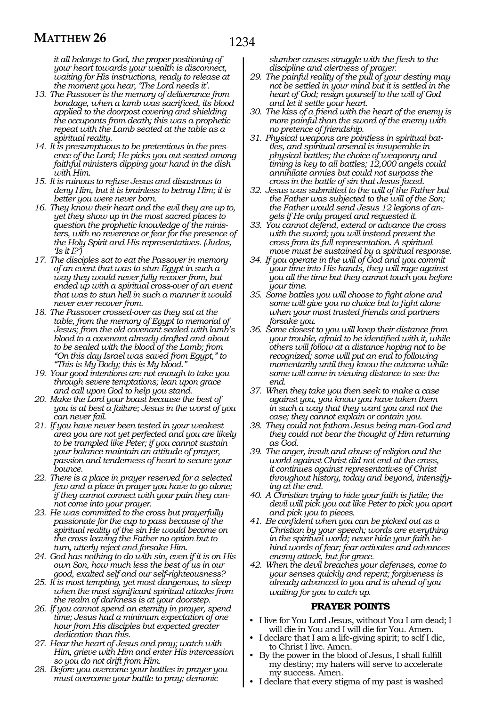*it all belongs to God, the proper positioning of your heart towards your wealth is disconnect, waiting for His instructions, ready to release at the moment you hear, 'The Lord needs it'.*

- *13. The Passover is the memory of deliverance from bondage, when a lamb was sacrificed, its blood applied to the doorpost covering and shielding the occupants from death; this was a prophetic repeat with the Lamb seated at the table as a spiritual reality.*
- *14. It is presumptuous to be pretentious in the presence of the Lord; He picks you out seated among faithful ministers dipping your hand in the dish with Him.*
- *15. It is ruinous to refuse Jesus and disastrous to deny Him, but it is brainless to betray Him; it is better you were never born.*
- *16. They know their heart and the evil they are up to, yet they show up in the most sacred places to question the prophetic knowledge of the ministers, with no reverence or fear for the presence of the Holy Spirit and His representatives. (Judas, 'Is it I?')*
- *17. The disciples sat to eat the Passover in memory of an event that was to stun Egypt in such a way they would never fully recover from, but ended up with a spiritual cross-over of an event that was to stun hell in such a manner it would never ever recover from.*
- *18. The Passover crossed-over as they sat at the table, from the memory of Egypt to memorial of Jesus; from the old covenant sealed with lamb's blood to a covenant already drafted and about to be sealed with the blood of the Lamb; from "On this day Israel was saved from Egypt," to "This is My Body; this is My blood."*
- *19. Your good intentions are not enough to take you through severe temptations; lean upon grace and call upon God to help you stand.*
- *20. Make the Lord your boast because the best of you is at best a failure; Jesus in the worst of you can never fail.*
- *21. If you have never been tested in your weakest area you are not yet perfected and you are likely to be trampled like Peter; if you cannot sustain your balance maintain an attitude of prayer, passion and tenderness of heart to secure your bounce.*
- *22. There is a place in prayer reserved for a selected few and a place in prayer you have to go alone; if they cannot connect with your pain they cannot come into your prayer.*
- *23. He was committed to the cross but prayerfully passionate for the cup to pass because of the spiritual reality of the sin He would become on the cross leaving the Father no option but to turn, utterly reject and forsake Him.*
- *24. God has nothing to do with sin, even if it is on His own Son, how much less the best of us in our good, exalted self and our self-righteousness?*
- *25. It is most tempting, yet most dangerous, to sleep when the most significant spiritual attacks from the realm of darkness is at your doorstep.*
- *26. If you cannot spend an eternity in prayer, spend time; Jesus had a minimum expectation of one hour from His disciples but expected greater dedication than this.*
- *27. Hear the heart of Jesus and pray; watch with Him, grieve with Him and enter His intercession so you do not drift from Him.*
- *28. Before you overcome your battles in prayer you must overcome your battle to pray; demonic*

*slumber causes struggle with the flesh to the discipline and alertness of prayer.*

- *29. The painful reality of the pull of your destiny may not be settled in your mind but it is settled in the heart of God; resign yourself to the will of God and let it settle your heart.*
- *30. The kiss of a friend with the heart of the enemy is more painful than the sword of the enemy with no pretence of friendship.*
- *31. Physical weapons are pointless in spiritual battles, and spiritual arsenal is insuperable in physical battles; the choice of weaponry and timing is key to all battles; 12,000 angels could annihilate armies but could not surpass the cross in the battle of sin that Jesus faced.*
- *32. Jesus was submitted to the will of the Father but the Father was subjected to the will of the Son; the Father would send Jesus 12 legions of angels if He only prayed and requested it.*
- *33. You cannot defend, extend or advance the cross with the sword; you will instead prevent the cross from its full representation. A spiritual move must be sustained by a spiritual response.*
- *34. If you operate in the will of God and you commit your time into His hands, they will rage against you all the time but they cannot touch you before your time.*
- *35. Some battles you will choose to fight alone and some will give you no choice but to fight alone when your most trusted friends and partners forsake you.*
- *36. Some closest to you will keep their distance from your trouble, afraid to be identified with it, while others will follow at a distance hoping not to be recognized; some will put an end to following momentarily until they know the outcome while some will come in viewing distance to see the end.*
- *37. When they take you then seek to make a case against you, you know you have taken them in such a way that they want you and not the case; they cannot explain or contain you.*
- *38. They could not fathom Jesus being man-God and they could not bear the thought of Him returning as God.*
- *39. The anger, insult and abuse of religion and the world against Christ did not end at the cross, it continues against representatives of Christ throughout history, today and beyond, intensifying at the end.*
- *40. A Christian trying to hide your faith is futile; the devil will pick you out like Peter to pick you apart and pick you to pieces.*
- *41. Be confident when you can be picked out as a Christian by your speech; words are everything in the spiritual world; never hide your faith behind words of fear; fear activates and advances enemy attack, but for grace.*
- *42. When the devil breaches your defenses, come to your senses quickly and repent; forgiveness is already advanced to you and is ahead of you waiting for you to catch up.*

#### **PRAYER POINTS**

- I live for You Lord Jesus, without You I am dead; I will die in You and I will die for You. Amen.
- I declare that I am a life-giving spirit; to self I die, to Christ I live. Amen.
- By the power in the blood of Jesus, I shall fulfill my destiny; my haters will serve to accelerate my success. Amen.
- I declare that every stigma of my past is washed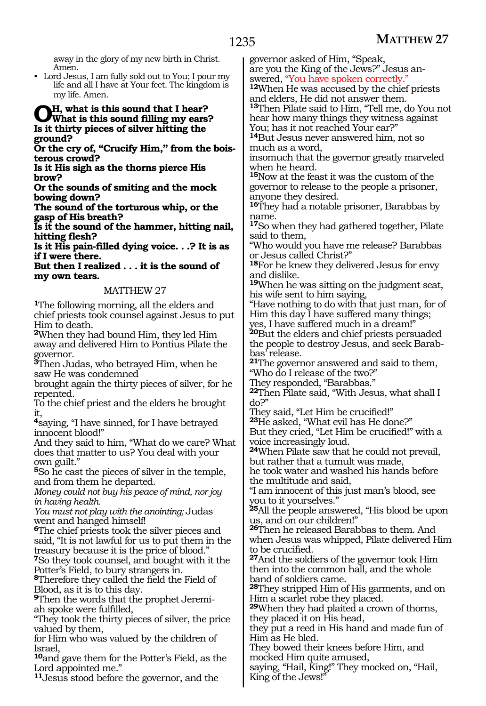away in the glory of my new birth in Christ. Amen.

• Lord Jesus, I am fully sold out to You; I pour my life and all I have at Your feet. The kingdom is my life. Amen.

# **Oh, what is this sound that I hear? What is this sound filling my ears? Is it thirty pieces of silver hitting the ground?**

**Or the cry of, "Crucify Him," from the boisterous crowd?**

**Is it His sigh as the thorns pierce His brow?**

**Or the sounds of smiting and the mock bowing down?**

**The sound of the torturous whip, or the gasp of His breath?**

**Is it the sound of the hammer, hitting nail, hitting flesh?**

**Is it His pain-filled dying voice. . .? It is as if I were there.**

**But then I realized . . . it is the sound of my own tears.**

## MATTHEW 27

**<sup>1</sup>**The following morning, all the elders and chief priests took counsel against Jesus to put Him to death.

**<sup>2</sup>**When they had bound Him, they led Him away and delivered Him to Pontius Pilate the governor.

**<sup>3</sup>**Then Judas, who betrayed Him, when he saw He was condemned

brought again the thirty pieces of silver, for he repented.

To the chief priest and the elders he brought it,

**<sup>4</sup>**saying, "I have sinned, for I have betrayed innocent blood!"

And they said to him, "What do we care? What does that matter to us? You deal with your own guilt."

**<sup>5</sup>**So he cast the pieces of silver in the temple, and from them he departed.

*Money could not buy his peace of mind, nor joy in having health.* 

*You must not play with the anointing;* Judas went and hanged himself!

**<sup>6</sup>**The chief priests took the silver pieces and said, "It is not lawful for us to put them in the treasury because it is the price of blood." **<sup>7</sup>**So they took counsel, and bought with it the

Potter's Field, to bury strangers in.

**<sup>8</sup>**Therefore they called the field the Field of Blood, as it is to this day.

**9**Then the words that the prophet Jeremiah spoke were fulfilled,

"They took the thirty pieces of silver, the price valued by them,

for Him who was valued by the children of Israel,

**<sup>10</sup>**and gave them for the Potter's Field, as the Lord appointed me."

**<sup>11</sup>**Jesus stood before the governor, and the

governor asked of Him, "Speak, are you the King of the Jews?" Jesus an-<br>swered, "You have spoken correctly."

<sup>12</sup>When He was accused by the chief priests and elders, He did not answer them.

**<sup>13</sup>**Then Pilate said to Him, "Tell me, do You not hear how many things they witness against You; has it not reached Your ear?"

**<sup>14</sup>**But Jesus never answered him, not so much as a word,

insomuch that the governor greatly marveled when he heard.

**<sup>15</sup>**Now at the feast it was the custom of the governor to release to the people a prisoner, anyone they desired.

**<sup>16</sup>**They had a notable prisoner, Barabbas by name.

**<sup>17</sup>**So when they had gathered together, Pilate said to them,

"Who would you have me release? Barabbas or Jesus called Christ?"

**<sup>18</sup>**For he knew they delivered Jesus for envy and dislike.

**<sup>19</sup>**When he was sitting on the judgment seat, his wife sent to him saying,

"Have nothing to do with that just man, for of Him this day I have suffered many things;

yes, I have suffered much in a dream!" **<sup>20</sup>**But the elders and chief priests persuaded the people to destroy Jesus, and seek Barabbas' release.

**<sup>21</sup>**The governor answered and said to them, "Who do I release of the two?"

They responded, "Barabbas."

**<sup>22</sup>**Then Pilate said, "With Jesus, what shall I do?"

They said, "Let Him be crucified!"

**<sup>23</sup>**He asked, "What evil has He done?" But they cried, "Let Him be crucified!" with a voice increasingly loud.

**<sup>24</sup>**When Pilate saw that he could not prevail, but rather that a tumult was made,

he took water and washed his hands before the multitude and said,

"I am innocent of this just man's blood, see you to it yourselves."

**<sup>25</sup>**All the people answered, "His blood be upon us, and on our children!"

**<sup>26</sup>**Then he released Barabbas to them. And when Jesus was whipped, Pilate delivered Him to be crucified.

**<sup>27</sup>**And the soldiers of the governor took Him then into the common hall, and the whole band of soldiers came.

**<sup>28</sup>**They stripped Him of His garments, and on Him a scarlet robe they placed.

**<sup>29</sup>**When they had plaited a crown of thorns, they placed it on His head,

they put a reed in His hand and made fun of Him as He bled.

They bowed their knees before Him, and mocked Him quite amused,

saying, "Hail, King!" They mocked on, "Hail, King of the Jews!"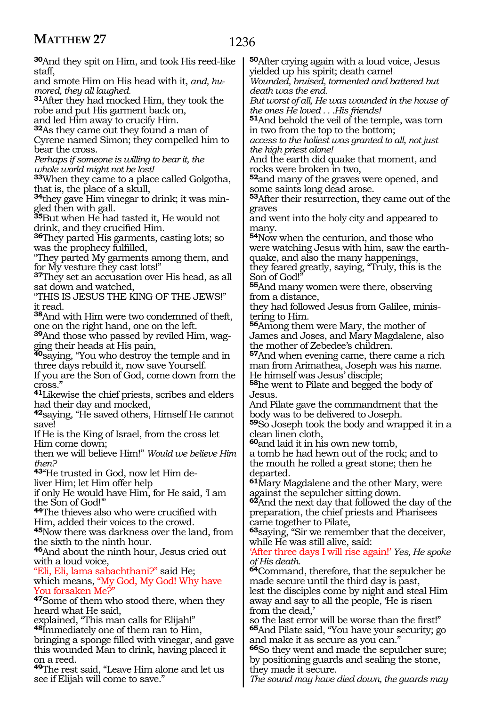| <b>30</b> And they spit on Him, and took His reed-like            | <b>50</b> After crying again with a loud voice, Jesus                    |
|-------------------------------------------------------------------|--------------------------------------------------------------------------|
| staff,                                                            | yielded up his spirit; death came!                                       |
| and smote Him on His head with it, and, hu-                       | Wounded, bruised, tormented and battered but                             |
| mored, they all laughed.                                          | death was the end.                                                       |
| <sup>31</sup> After they had mocked Him, they took the            | But worst of all, He was wounded in the house of                         |
| robe and put His garment back on,                                 | the ones He loved His friends!                                           |
| and led Him away to crucify Him.                                  | 51 And behold the veil of the temple, was torn                           |
| 32As they came out they found a man of                            | in two from the top to the bottom;                                       |
| Cyrene named Simon; they compelled him to<br>bear the cross.      | access to the holiest was granted to all, not just                       |
| Perhaps if someone is willing to bear it, the                     | the high priest alone!<br>And the earth did quake that moment, and       |
| whole world might not be lost!                                    | rocks were broken in two,                                                |
| 33When they came to a place called Golgotha,                      | 52and many of the graves were opened, and                                |
| that is, the place of a skull,                                    | some saints long dead arose.                                             |
| <sup>34</sup> they gave Him vinegar to drink; it was min-         | 53 After their resurrection, they came out of the                        |
| gled then with gall.                                              | graves                                                                   |
| 35But when He had tasted it, He would not                         | and went into the holy city and appeared to                              |
| drink, and they crucified Him.                                    | many.                                                                    |
| 36They parted His garments, casting lots; so                      | 54 Now when the centurion, and those who                                 |
| was the prophecy fulfilled,                                       | were watching Jesus with him, saw the earth-                             |
| "They parted My garments among them, and                          | quake, and also the many happenings,                                     |
| for My vesture they cast lots!"                                   | they feared greatly, saying, "Truly, this is the                         |
| 37They set an accusation over His head, as all                    | Son of God!"                                                             |
| sat down and watched,<br>"THIS IS JESUS THE KING OF THE JEWS!"    | 55And many women were there, observing<br>from a distance,               |
| it read.                                                          | they had followed Jesus from Galilee, minis-                             |
| 38 And with Him were two condemned of theft,                      | tering to Him.                                                           |
| one on the right hand, one on the left.                           | 56Among them were Mary, the mother of                                    |
| 39 And those who passed by reviled Him, wag-                      | James and Joses, and Mary Magdalene, also                                |
| ging their heads at His pain,                                     | the mother of Zebedee's children.                                        |
| <sup>40</sup> saying, "You who destroy the temple and in          | 57 And when evening came, there came a rich                              |
| three days rebuild it, now save Yourself.                         | man from Arimathea, Joseph was his name.                                 |
| If you are the Son of God, come down from the                     | He himself was Jesus' disciple;                                          |
| cross."                                                           | <sup>58</sup> he went to Pilate and begged the body of                   |
| <sup>41</sup> Likewise the chief priests, scribes and elders      | Jesus.                                                                   |
| had their day and mocked,                                         | And Pilate gave the commandment that the                                 |
| <sup>42</sup> saying, "He saved others, Himself He cannot         | body was to be delivered to Joseph.                                      |
| save!<br>If He is the King of Israel, from the cross let          | 59So Joseph took the body and wrapped it in a<br>clean linen cloth,      |
| Him come down;                                                    | <sup>60</sup> and laid it in his own new tomb,                           |
| then we will believe Him!" Would we believe Him                   | a tomb he had hewn out of the rock; and to                               |
| then?                                                             | the mouth he rolled a great stone; then he                               |
| 43"He trusted in God, now let Him de-                             | departed.                                                                |
| liver Him; let Him offer help                                     | <sup>61</sup> Mary Magdalene and the other Mary, were                    |
| if only He would have Him, for He said, 1 am                      | against the sepulcher sitting down.                                      |
| the Son of God!"                                                  | <sup>62</sup> And the next day that followed the day of the              |
| 44The thieves also who were crucified with                        | preparation, the chief priests and Pharisees                             |
| Him, added their voices to the crowd.                             | came together to Pilate,                                                 |
| 45 Now there was darkness over the land, from                     | <sup>63</sup> saying, "Sir we remember that the deceiver,                |
| the sixth to the ninth hour.                                      | while He was still alive, said:                                          |
| 46And about the ninth hour, Jesus cried out<br>with a loud voice, | 'After three days I will rise again!' Yes, He spoke                      |
| "Eli, Eli, lama sabachthani?" said He;                            | of His death.<br><sup>64</sup> Command, therefore, that the sepulcher be |
| which means, "My God, My God! Why have                            | made secure until the third day is past,                                 |
| You forsaken Me?"                                                 | lest the disciples come by night and steal Him                           |
| <sup>47</sup> Some of them who stood there, when they             | away and say to all the people, He is risen                              |
| heard what He said,                                               | from the dead,'                                                          |
| explained, "This man calls for Elijah!"                           | so the last error will be worse than the first!"                         |
| <sup>48</sup> Immediately one of them ran to Him,                 | 65 And Pilate said, "You have your security; go                          |
| bringing a sponge filled with vinegar, and gave                   | and make it as secure as you can."                                       |
| this wounded Man to drink, having placed it                       | 66So they went and made the sepulcher sure;                              |
| on a reed.                                                        | by positioning guards and sealing the stone,                             |
| 49The rest said, "Leave Him alone and let us                      | they made it secure.                                                     |

**<sup>49</sup>**The rest said, "Leave Him alone and let us see if Elijah will come to save."

*The sound may have died down, the guards may*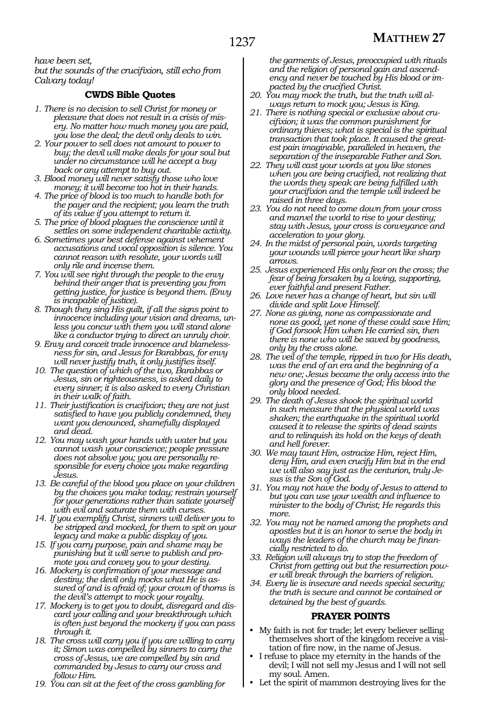*have been set, but the sounds of the crucifixion, still echo from Calvary today!*

# **CWDS Bible Quotes**

- *1. There is no decision to sell Christ for money or pleasure that does not result in a crisis of misery. No matter how much money you are paid, you lose the deal; the devil only deals to win.*
- *2. Your power to sell does not amount to power to buy; the devil will make deals for your soul but under no circumstance will he accept a buy back or any attempt to buy out.*
- *3. Blood money will never satisfy those who love money; it will become too hot in their hands.*
- *4. The price of blood is too much to handle both for the payer and the recipient; you learn the truth of its value if you attempt to return it.*
- *5. The price of blood plagues the conscience until it settles on some independent charitable activity.*
- *6. Sometimes your best defense against vehement accusations and vocal opposition is silence. You cannot reason with resolute, your words will only rile and incense them.*
- *7. You will see right through the people to the envy behind their anger that is preventing you from getting justice, for justice is beyond them. (Envy is incapable of justice).*
- *8. Though they sing His guilt, if all the signs point to innocence including your vision and dreams, unless you concur with them you will stand alone like a conductor trying to direct an unruly choir.*
- *9. Envy and conceit trade innocence and blamelessness for sin, and Jesus for Barabbas, for envy will never justify truth, it only justifies itself.*
- *10. The question of which of the two, Barabbas or Jesus, sin or righteousness, is asked daily to every sinner; it is also asked to every Christian in their walk of faith.*
- *11. Their justification is crucifixion; they are not just satisfied to have you publicly condemned, they want you denounced, shamefully displayed and dead.*
- *12. You may wash your hands with water but you cannot wash your conscience; people pressure does not absolve you; you are personally responsible for every choice you make regarding Jesus.*
- *13. Be careful of the blood you place on your children by the choices you make today; restrain yourself for your generations rather than satiate yourself with evil and saturate them with curses.*
- *14. If you exemplify Christ, sinners will deliver you to be stripped and mocked, for them to spit on your legacy and make a public display of you.*
- *15. If you carry purpose, pain and shame may be punishing but it will serve to publish and promote you and convey you to your destiny.*
- *16. Mockery is confirmation of your message and destiny; the devil only mocks what He is assured of and is afraid of; your crown of thorns is the devil's attempt to mock your royalty.*
- *17. Mockery is to get you to doubt, disregard and discard your calling and your breakthrough which is often just beyond the mockery if you can pass through it.*
- *18. The cross will carry you if you are willing to carry it; Simon was compelled by sinners to carry the cross of Jesus, we are compelled by sin and commanded by Jesus to carry our cross and follow Him.*
- *19. You can sit at the feet of the cross gambling for*

*the garments of Jesus, preoccupied with rituals and the religion of personal gain and ascendency and never be touched by His blood or impacted by the crucified Christ.*

- *20. You may mock the truth, but the truth will always return to mock you; Jesus is King.*
- *21. There is nothing special or exclusive about crucifixion; it was the common punishment for ordinary thieves; what is special is the spiritual transaction that took place. It caused the greatest pain imaginable, paralleled in heaven, the separation of the inseparable Father and Son.*
- *22. They will cast your words at you like stones when you are being crucified, not realizing that the words they speak are being fulfilled with your crucifixion and the temple will indeed be raised in three days.*
- *23. You do not need to come down from your cross and marvel the world to rise to your destiny; stay with Jesus, your cross is conveyance and acceleration to your glory.*
- *24. In the midst of personal pain, words targeting your wounds will pierce your heart like sharp arrows.*
- *25. Jesus experienced His only fear on the cross; the fear of being forsaken by a loving, supporting, ever faithful and present Father.*
- *26. Love never has a change of heart, but sin will divide and split Love Himself.*
- *27. None as giving, none as compassionate and none as good, yet none of these could save Him; if God forsook Him when He carried sin, then there is none who will be saved by goodness, only by the cross alone.*
- *28. The veil of the temple, ripped in two for His death, was the end of an era and the beginning of a new one; Jesus became the only access into the glory and the presence of God; His blood the only blood needed.*
- *29. The death of Jesus shook the spiritual world in such measure that the physical world was shaken; the earthquake in the spiritual world caused it to release the spirits of dead saints and to relinquish its hold on the keys of death and hell forever.*
- *30. We may taunt Him, ostracize Him, reject Him, deny Him, and even crucify Him but in the end we will also say just as the centurion, truly Jesus is the Son of God.*
- *31. You may not have the body of Jesus to attend to but you can use your wealth and influence to minister to the body of Christ; He regards this more.*
- *32. You may not be named among the prophets and apostles but it is an honor to serve the body in ways the leaders of the church may be financially restricted to do.*
- *33. Religion will always try to stop the freedom of Christ from getting out but the resurrection power will break through the barriers of religion.*
- *34. Every lie is insecure and needs special security; the truth is secure and cannot be contained or detained by the best of guards.*

## **PRAYER POINTS**

- My faith is not for trade; let every believer selling themselves short of the kingdom receive a visitation of fire now, in the name of Jesus.
- I refuse to place my eternity in the hands of the devil; I will not sell my Jesus and I will not sell my soul. Amen.
- Let the spirit of mammon destroying lives for the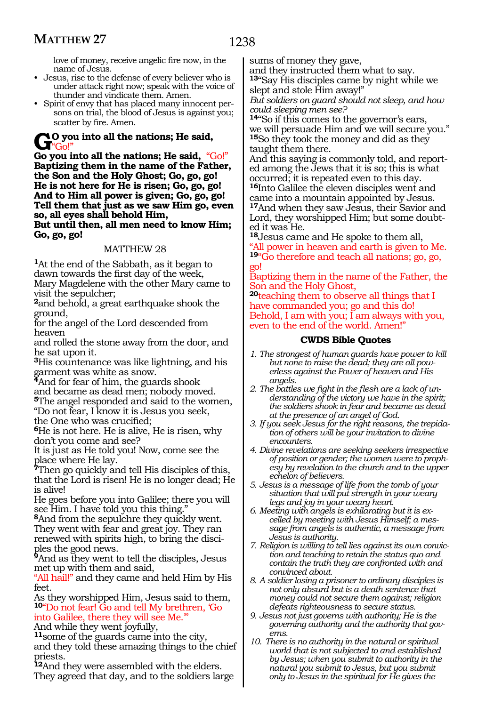love of money, receive angelic fire now, in the name of Jesus.

- Jesus, rise to the defense of every believer who is under attack right now; speak with the voice of thunder and vindicate them. Amen.
- Spirit of envy that has placed many innocent persons on trial, the blood of Jesus is against you; scatter by fire. Amen.

**Go** you into all the nations; He said, "Go!"

**Go you into all the nations; He said,** "Go!" **Baptizing them in the name of the Father, the Son and the Holy Ghost; Go, go, go! He is not here for He is risen; Go, go, go! And to Him all power is given; Go, go, go! Tell them that just as we saw Him go, even so, all eyes shall behold Him, But until then, all men need to know Him; Go, go, go!**

# MATTHEW 28

**<sup>1</sup>**At the end of the Sabbath, as it began to dawn towards the first day of the week, Mary Magdelene with the other Mary came to visit the sepulcher;

**<sup>2</sup>**and behold, a great earthquake shook the ground,

for the angel of the Lord descended from heaven

and rolled the stone away from the door, and he sat upon it.

**<sup>3</sup>**His countenance was like lightning, and his garment was white as snow.

**<sup>4</sup>**And for fear of him, the guards shook and became as dead men; nobody moved. **<sup>5</sup>**The angel responded and said to the women, "Do not fear, I know it is Jesus you seek,

the One who was crucified;

**<sup>6</sup>**He is not here. He is alive, He is risen, why don't you come and see?

It is just as He told you! Now, come see the place where He lay.

**<sup>7</sup>**Then go quickly and tell His disciples of this, that the Lord is risen! He is no longer dead; He is alive!

He goes before you into Galilee; there you will see Him. I have told you this thing."

**<sup>8</sup>**And from the sepulchre they quickly went. They went with fear and great joy. They ran renewed with spirits high, to bring the disci- ples the good news.

**<sup>9</sup>**And as they went to tell the disciples, Jesus met up with them and said,

"All hail!" and they came and held Him by His feet.

As they worshipped Him, Jesus said to them, **<sup>10</sup>**"Do not fear! Go and tell My brethren, 'Go into Galilee, there they will see Me.'" And while they went joyfully,

**<sup>11</sup>**some of the guards came into the city, and they told these amazing things to the chief priests.

**<sup>12</sup>**And they were assembled with the elders. They agreed that day, and to the soldiers large sums of money they gave,

and they instructed them what to say. **<sup>13</sup>**"Say His disciples came by night while we slept and stole Him away!"

*But soldiers on guard should not sleep, and how could sleeping men see?*

**<sup>14</sup>**"So if this comes to the governor's ears, we will persuade Him and we will secure you." **<sup>15</sup>**So they took the money and did as they taught them there.

And this saying is commonly told, and reported among the Jews that it is so; this is what occurred; it is repeated even to this day. **<sup>16</sup>**Into Galilee the eleven disciples went and

came into a mountain appointed by Jesus. **<sup>17</sup>**And when they saw Jesus, their Savior and Lord, they worshipped Him; but some doubted it was He.

**<sup>18</sup>**Jesus came and He spoke to them all, "All power in heaven and earth is given to Me. **<sup>19</sup>**"Go therefore and teach all nations; go, go, go!

Baptizing them in the name of the Father, the Son and the Holy Ghost,

**<sup>20</sup>**teaching them to observe all things that I have commanded you; go and this do! Behold, I am with you; I am always with you, even to the end of the world. Amen!"

- *1. The strongest of human guards have power to kill but none to raise the dead; they are all powerless against the Power of heaven and His angels.*
- *2. The battles we fight in the flesh are a lack of understanding of the victory we have in the spirit; the soldiers shook in fear and became as dead at the presence of an angel of God.*
- *3. If you seek Jesus for the right reasons, the trepidation of others will be your invitation to divine encounters.*
- *4. Divine revelations are seeking seekers irrespective of position or gender; the women were to prophesy by revelation to the church and to the upper echelon of believers.*
- *5. Jesus is a message of life from the tomb of your situation that will put strength in your weary legs and joy in your weary heart.*
- *6. Meeting with angels is exhilarating but it is excelled by meeting with Jesus Himself; a message from angels is authentic, a message from Jesus is authority.*
- *7. Religion is willing to tell lies against its own conviction and teaching to retain the status quo and contain the truth they are confronted with and convinced about.*
- *8. A soldier losing a prisoner to ordinary disciples is not only absurd but is a death sentence that money could not secure them against; religion defeats righteousness to secure status.*
- *9. Jesus not just governs with authority; He is the governing authority and the authority that governs.*
- *10. There is no authority in the natural or spiritual world that is not subjected to and established by Jesus; when you submit to authority in the natural you submit to Jesus, but you submit only to Jesus in the spiritual for He gives the*